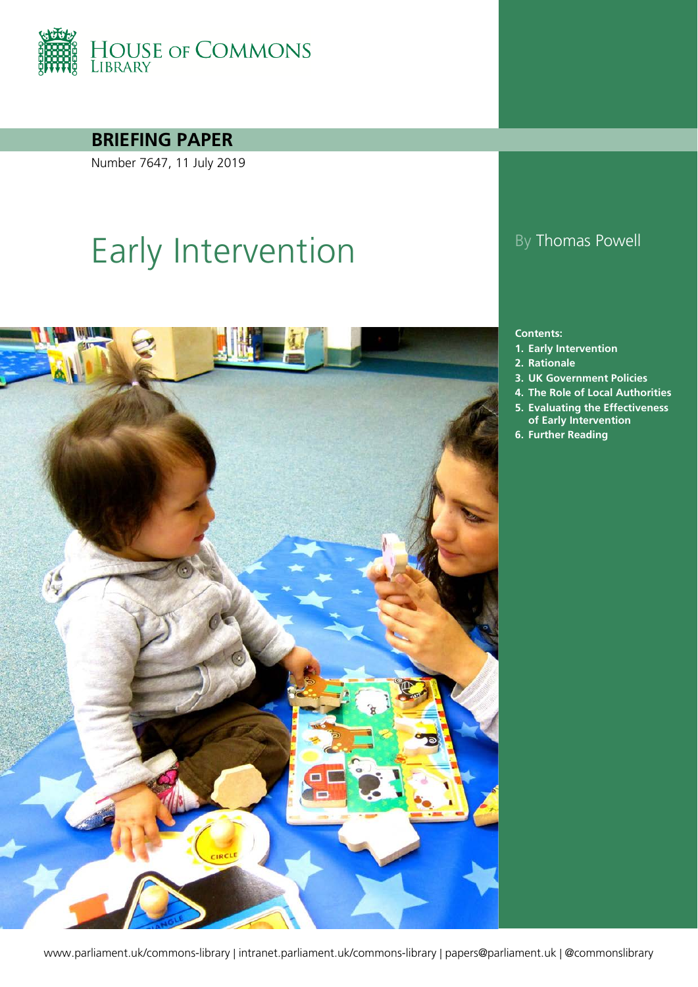

**BRIEFING PAPER**

Number 7647, 11 July 2019

# Early Intervention By Thomas Powell



#### **Contents:**

- **1. [Early Intervention](#page-3-0)**
- **2. [Rationale](#page-12-0)**
- **3. [UK Government Policies](#page-16-0)**
- **4. [The Role of Local Authorities](#page-43-0)**
- **5. [Evaluating the Effectiveness](#page-47-0)  [of Early Intervention](#page-47-0)**
- **6. [Further Reading](#page-51-0)**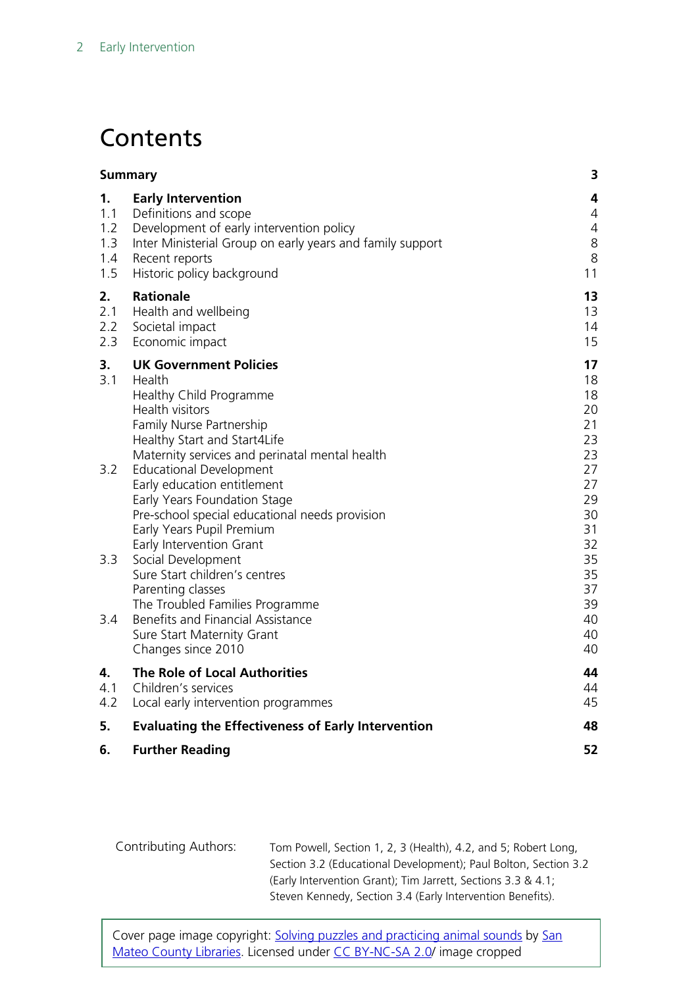## **Contents**

|                                       | <b>Summary</b>                                                                                                                                                                                              | 3                                                     |
|---------------------------------------|-------------------------------------------------------------------------------------------------------------------------------------------------------------------------------------------------------------|-------------------------------------------------------|
| 1.<br>1.1<br>1.2<br>1.3<br>1.4<br>1.5 | <b>Early Intervention</b><br>Definitions and scope<br>Development of early intervention policy<br>Inter Ministerial Group on early years and family support<br>Recent reports<br>Historic policy background | 4<br>$\overline{4}$<br>$\overline{4}$<br>8<br>8<br>11 |
| 2.<br>2.1<br>2.2<br>2.3               | <b>Rationale</b><br>Health and wellbeing<br>Societal impact<br>Economic impact                                                                                                                              | 13<br>13<br>14<br>15                                  |
| 3.<br>3.1                             | <b>UK Government Policies</b><br>Health<br>Healthy Child Programme<br>Health visitors<br>Family Nurse Partnership<br>Healthy Start and Start4Life<br>Maternity services and perinatal mental health         | 17<br>18<br>18<br>20<br>21<br>23<br>23                |
| 3.2                                   | <b>Educational Development</b><br>Early education entitlement<br>Early Years Foundation Stage<br>Pre-school special educational needs provision<br>Early Years Pupil Premium<br>Early Intervention Grant    | 27<br>27<br>29<br>30<br>31<br>32                      |
| 3.3                                   | Social Development<br>Sure Start children's centres<br>Parenting classes<br>The Troubled Families Programme                                                                                                 | 35<br>35<br>37<br>39                                  |
| 3.4                                   | Benefits and Financial Assistance<br>Sure Start Maternity Grant<br>Changes since 2010                                                                                                                       | 40<br>40<br>40                                        |
| 4.<br>4.1<br>4.2                      | The Role of Local Authorities<br>Children's services<br>Local early intervention programmes                                                                                                                 | 44<br>44<br>45                                        |
| 5.                                    | <b>Evaluating the Effectiveness of Early Intervention</b>                                                                                                                                                   | 48                                                    |
| 6.                                    | <b>Further Reading</b>                                                                                                                                                                                      | 52                                                    |
|                                       |                                                                                                                                                                                                             |                                                       |

Contributing Authors: Tom Powell, Section 1, 2, 3 (Health), 4.2, and 5; Robert Long, Section 3.2 (Educational Development); Paul Bolton, Section 3.2 (Early Intervention Grant); Tim Jarrett, Sections 3.3 & 4.1; Steven Kennedy, Section 3.4 (Early Intervention Benefits).

Cover page image copyright: [Solving puzzles and practicing animal sounds](https://www.flickr.com/photos/smcl/8562518567/in/photolist-e3D9st-8Q7vod-4HrEC2-4HrCPk-i2nx8T-m2Lid6-4HvR8E-m2KGZD-brAGA2-4HvRab-bE9iRr-e9YAzT-9ANTYM-7XTzoX-fXpQd-fXpLL-5J5UxC-eyzxn1-fXpND-y6tfj-5k3pZk-bCTGUk-akBSSx-5k7GDq-abQTTR-GJoxm-m2M8SG-fXpL7-5J5Ux1-9tcJwC-dvaHBz-5xKHC8-5k3pNz-dVuayk-7gpdxZ-7q84mb-52fo7A-fXpJZ-7fTcvW-5k7GwQ-5UamdJ-5DZZjf-akawAF-bDfAKt-fXpPm-cbzmz-5k7GGN-7X6mEd-98E5HV-ickEfG) by San [Mateo County Libraries.](https://www.flickr.com/photos/smcl/) Licensed under [CC BY-NC-SA 2.0/](https://creativecommons.org/licenses/by-nc-sa/2.0/) image cropped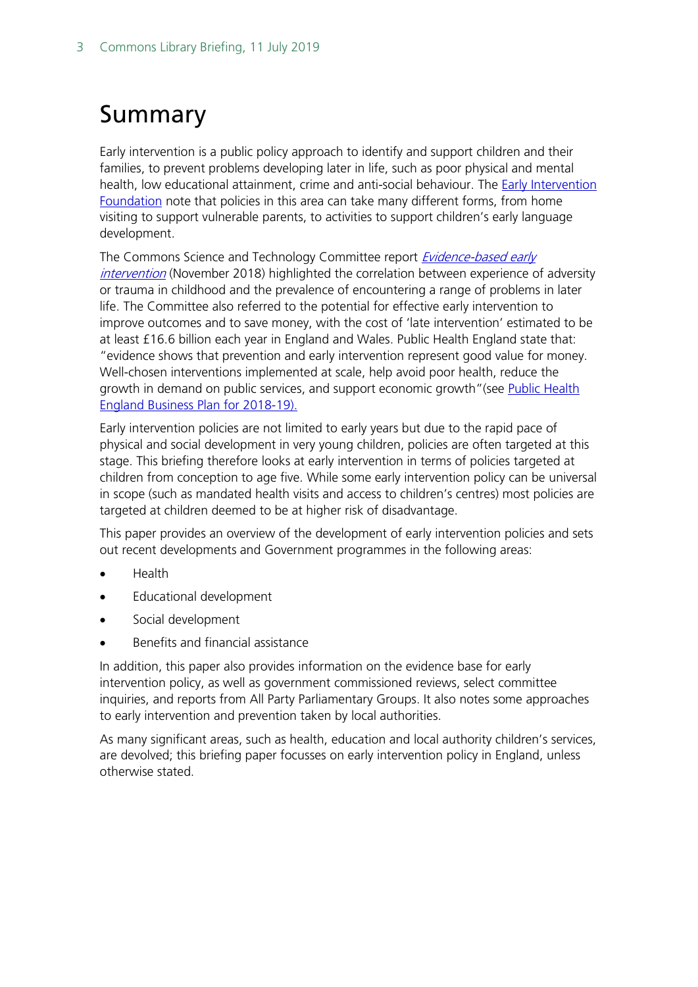## <span id="page-2-0"></span>Summary

Early intervention is a public policy approach to identify and support children and their families, to prevent problems developing later in life, such as poor physical and mental health, low educational attainment, crime and anti-social behaviour. The **Early Intervention** [Foundation](https://www.eif.org.uk/report/realising-the-potential-of-early-intervention) note that policies in this area can take many different forms, from home visiting to support vulnerable parents, to activities to support children's early language development.

The Commons Science and Technology Committee report **Evidence-based early** [intervention](https://publications.parliament.uk/pa/cm201719/cmselect/cmsctech/506/506.pdf) (November 2018) highlighted the correlation between experience of adversity or trauma in childhood and the prevalence of encountering a range of problems in later life. The Committee also referred to the potential for effective early intervention to improve outcomes and to save money, with the cost of 'late intervention' estimated to be at least £16.6 billion each year in England and Wales. Public Health England state that: "evidence shows that prevention and early intervention represent good value for money. Well-chosen interventions implemented at scale, help avoid poor health, reduce the growth in demand on public services, and support economic growth"(see Public Health [England Business Plan for 2018-19\)](https://assets.publishing.service.gov.uk/government/uploads/system/uploads/attachment_data/file/696145/PHE_Business_plan_2018.pdf).

Early intervention policies are not limited to early years but due to the rapid pace of physical and social development in very young children, policies are often targeted at this stage. This briefing therefore looks at early intervention in terms of policies targeted at children from conception to age five. While some early intervention policy can be universal in scope (such as mandated health visits and access to children's centres) most policies are targeted at children deemed to be at higher risk of disadvantage.

This paper provides an overview of the development of early intervention policies and sets out recent developments and Government programmes in the following areas:

- Health
- Educational development
- Social development
- Benefits and financial assistance

In addition, this paper also provides information on the evidence base for early intervention policy, as well as government commissioned reviews, select committee inquiries, and reports from All Party Parliamentary Groups. It also notes some approaches to early intervention and prevention taken by local authorities.

As many significant areas, such as health, education and local authority children's services, are devolved; this briefing paper focusses on early intervention policy in England, unless otherwise stated.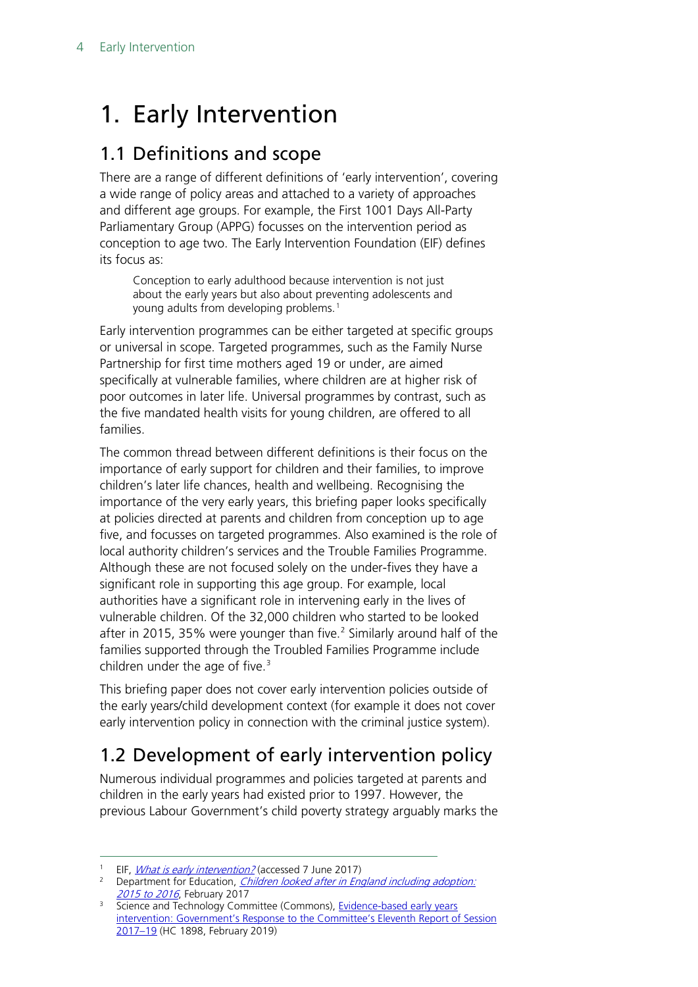## <span id="page-3-0"></span>1. Early Intervention

## <span id="page-3-1"></span>1.1 Definitions and scope

There are a range of different definitions of 'early intervention', covering a wide range of policy areas and attached to a variety of approaches and different age groups. For example, the First 1001 Days All-Party Parliamentary Group (APPG) focusses on the intervention period as conception to age two. The Early Intervention Foundation (EIF) defines its focus as:

Conception to early adulthood because intervention is not just about the early years but also about preventing adolescents and young adults from developing problems.<sup>[1](#page-3-3)</sup>

Early intervention programmes can be either targeted at specific groups or universal in scope. Targeted programmes, such as the Family Nurse Partnership for first time mothers aged 19 or under, are aimed specifically at vulnerable families, where children are at higher risk of poor outcomes in later life. Universal programmes by contrast, such as the five mandated health visits for young children, are offered to all families.

The common thread between different definitions is their focus on the importance of early support for children and their families, to improve children's later life chances, health and wellbeing. Recognising the importance of the very early years, this briefing paper looks specifically at policies directed at parents and children from conception up to age five, and focusses on targeted programmes. Also examined is the role of local authority children's services and the Trouble Families Programme. Although these are not focused solely on the under-fives they have a significant role in supporting this age group. For example, local authorities have a significant role in intervening early in the lives of vulnerable children. Of the 32,000 children who started to be looked after in [2](#page-3-4)015, 35% were younger than five. $<sup>2</sup>$  Similarly around half of the</sup> families supported through the Troubled Families Programme include children under the age of five. $3$ 

This briefing paper does not cover early intervention policies outside of the early years/child development context (for example it does not cover early intervention policy in connection with the criminal justice system).

## <span id="page-3-2"></span>1.2 Development of early intervention policy

Numerous individual programmes and policies targeted at parents and children in the early years had existed prior to 1997. However, the previous Labour Government's child poverty strategy arguably marks the

EIF, *[What is early intervention?](http://www.eif.org.uk/what-is-early-intervention/)* (accessed 7 June 2017)

<span id="page-3-4"></span><span id="page-3-3"></span><sup>&</sup>lt;sup>2</sup> Department for Education, *Children looked after in England including adoption:* [2015 to 2016](https://www.gov.uk/government/statistics/children-looked-after-in-england-including-adoption-2015-to-2016), February 2017

<span id="page-3-5"></span><sup>&</sup>lt;sup>3</sup> Science and Technology Committee (Commons), Evidence-based early years [intervention: Government's Response to the Committee's Eleventh Report of Session](https://publications.parliament.uk/pa/cm201719/cmselect/cmsctech/1898/1898.pdf)  [2017–19](https://publications.parliament.uk/pa/cm201719/cmselect/cmsctech/1898/1898.pdf) (HC 1898, February 2019)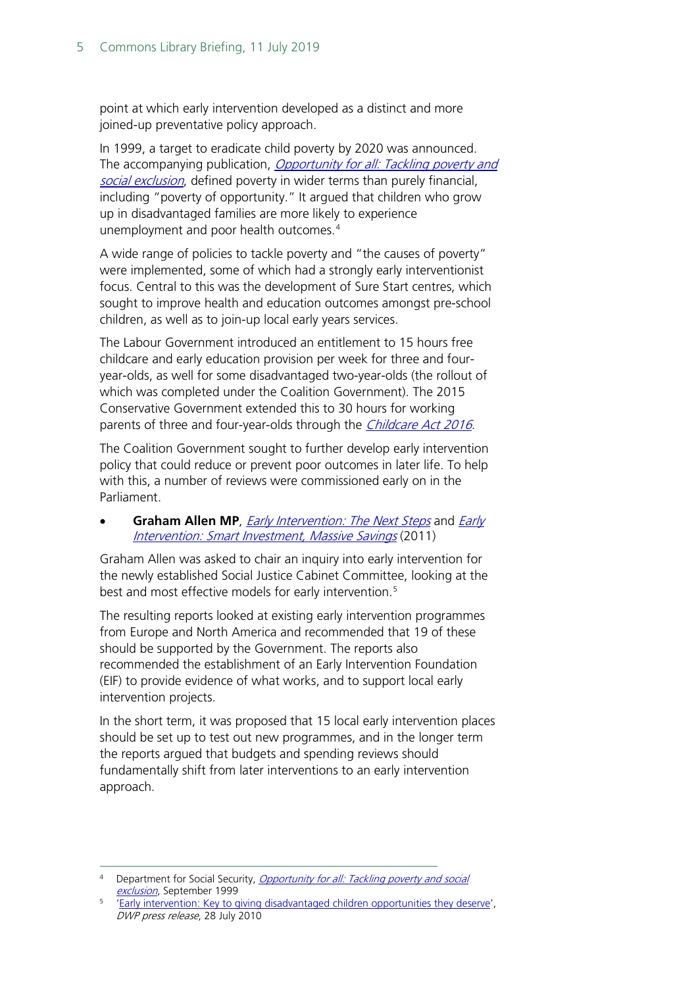point at which early intervention developed as a distinct and more joined-up preventative policy approach.

In 1999, a target to eradicate child poverty by 2020 was announced. The accompanying publication, *Opportunity for all: Tackling poverty and* [social exclusion](http://dera.ioe.ac.uk/15121/1/Opportunity%20for%20all%20-%20tackling%20poverty%20and%20social%20exclusion.pdf), defined poverty in wider terms than purely financial, including "poverty of opportunity." It argued that children who grow up in disadvantaged families are more likely to experience unemployment and poor health outcomes.[4](#page-4-0)

A wide range of policies to tackle poverty and "the causes of poverty" were implemented, some of which had a strongly early interventionist focus. Central to this was the development of Sure Start centres, which sought to improve health and education outcomes amongst pre-school children, as well as to join-up local early years services.

The Labour Government introduced an entitlement to 15 hours free childcare and early education provision per week for three and fouryear-olds, as well for some disadvantaged two-year-olds (the rollout of which was completed under the Coalition Government). The 2015 Conservative Government extended this to 30 hours for working parents of three and four-year-olds through the *[Childcare Act 2016](http://www.legislation.gov.uk/ukpga/2016/5/enacted)*.

The Coalition Government sought to further develop early intervention policy that could reduce or prevent poor outcomes in later life. To help with this, a number of reviews were commissioned early on in the Parliament.

#### **Graham Allen MP**, *[Early Intervention: The Next Steps](https://www.gov.uk/government/uploads/system/uploads/attachment_data/file/284086/early-intervention-next-steps2.pdf)* and *Early* [Intervention: Smart Investment, Massive Savings](https://www.gov.uk/government/uploads/system/uploads/attachment_data/file/61012/earlyintervention-smartinvestment.pdf) (2011)

Graham Allen was asked to chair an inquiry into early intervention for the newly established Social Justice Cabinet Committee, looking at the best and most effective models for early intervention.<sup>[5](#page-4-1)</sup>

The resulting reports looked at existing early intervention programmes from Europe and North America and recommended that 19 of these should be supported by the Government. The reports also recommended the establishment of an Early Intervention Foundation (EIF) to provide evidence of what works, and to support local early intervention projects.

In the short term, it was proposed that 15 local early intervention places should be set up to test out new programmes, and in the longer term the reports argued that budgets and spending reviews should fundamentally shift from later interventions to an early intervention approach.

<span id="page-4-0"></span><sup>&</sup>lt;sup>4</sup> Department for Social Security, *Opportunity for all: Tackling poverty and social* [exclusion](http://dera.ioe.ac.uk/15121/1/Opportunity%20for%20all%20-%20tackling%20poverty%20and%20social%20exclusion.pdf), September 1999

<span id="page-4-1"></span>[<sup>&#</sup>x27;Early intervention: Key to giving disadvantaged children opportunities they deserve',](https://www.gov.uk/government/news/early-intervention-key-to-giving-disadvantaged-children-opportunities-they-deserve) DWP press release, 28 July 2010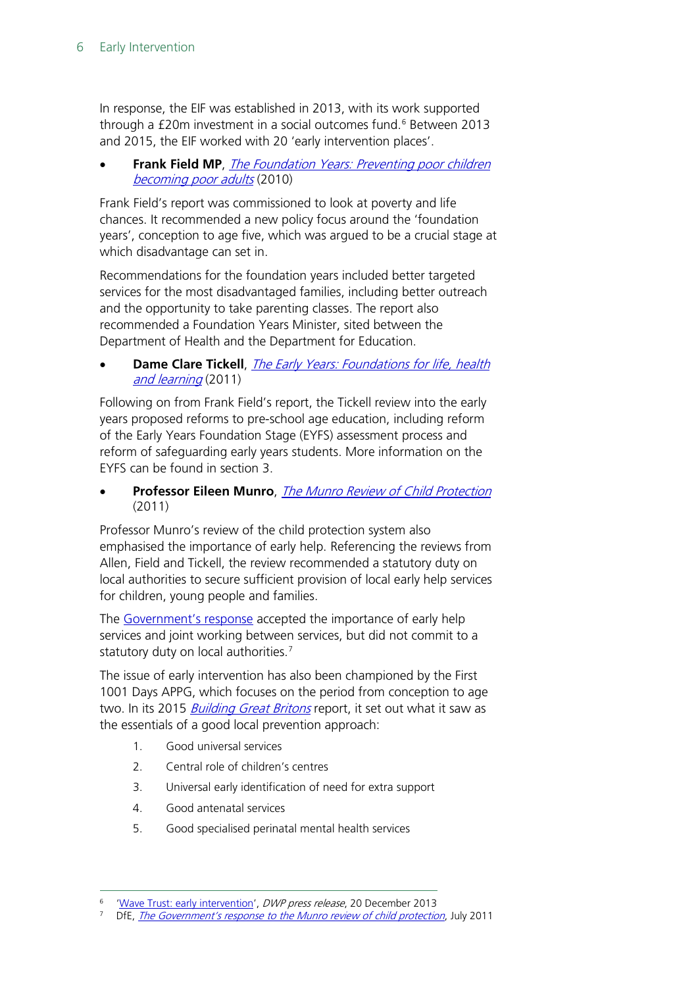In response, the EIF was established in 2013, with its work supported through a £20m investment in a social outcomes fund. [6](#page-5-0) Between 2013 and 2015, the EIF worked with 20 'early intervention places'.

**Frank Field MP**, The Foundation Years: Preventing poor children [becoming poor adults](http://webarchive.nationalarchives.gov.uk/20110120090128/http:/povertyreview.independent.gov.uk/media/20254/poverty-report.pdf) (2010)

Frank Field's report was commissioned to look at poverty and life chances. It recommended a new policy focus around the 'foundation years', conception to age five, which was argued to be a crucial stage at which disadvantage can set in.

Recommendations for the foundation years included better targeted services for the most disadvantaged families, including better outreach and the opportunity to take parenting classes. The report also recommended a Foundation Years Minister, sited between the Department of Health and the Department for Education.

**Dame Clare Tickell**, *The Early Years: Foundations for life, health* [and learning](https://www.gov.uk/government/uploads/system/uploads/attachment_data/file/180919/DFE-00177-2011.pdf) (2011)

Following on from Frank Field's report, the Tickell review into the early years proposed reforms to pre-school age education, including reform of the Early Years Foundation Stage (EYFS) assessment process and reform of safeguarding early years students. More information on the EYFS can be found in section 3.

• **Professor Eileen Munro**, [The Munro Review of Child Protection](https://www.gov.uk/government/uploads/system/uploads/attachment_data/file/175391/Munro-Review.pdf) (2011)

Professor Munro's review of the child protection system also emphasised the importance of early help. Referencing the reviews from Allen, Field and Tickell, the review recommended a statutory duty on local authorities to secure sufficient provision of local early help services for children, young people and families.

The [Government's response](https://www.gov.uk/government/uploads/system/uploads/attachment_data/file/175351/Munro-Government-Response.pdf) accepted the importance of early help services and joint working between services, but did not commit to a statutory duty on local authorities.<sup>[7](#page-5-1)</sup>

The issue of early intervention has also been championed by the First 1001 Days APPG, which focuses on the period from conception to age two. In its 2015 *[Building Great Britons](https://plct.files.wordpress.com/2012/11/building-great-britons-report-conception-to-age-2-feb-2015.pdf)* report, it set out what it saw as the essentials of a good local prevention approach:

- 1. Good universal services
- 2. Central role of children's centres
- 3. Universal early identification of need for extra support
- 4. Good antenatal services
- 5. Good specialised perinatal mental health services

<span id="page-5-0"></span>[<sup>&#</sup>x27;Wave Trust: early intervention'](https://www.gov.uk/government/speeches/wave-trust-early-intervention), DWP press release, 20 December 2013

<span id="page-5-1"></span>DfE, [The Government's response to the Munro review of child protection](https://www.gov.uk/government/uploads/system/uploads/attachment_data/file/175351/Munro-Government-Response.pdf), July 2011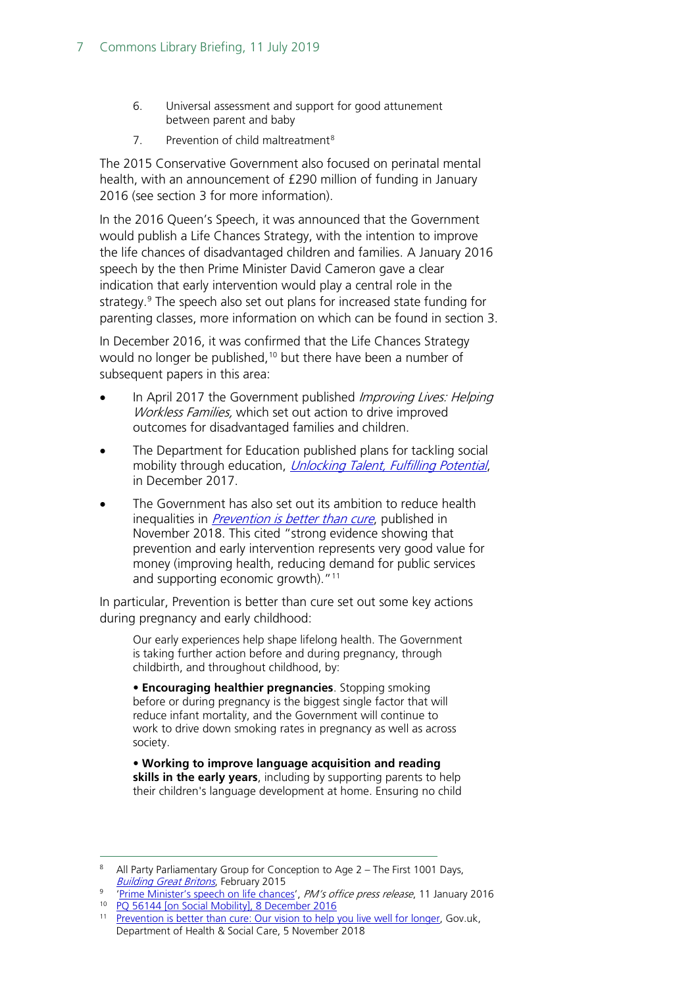- 6. Universal assessment and support for good attunement between parent and baby
- 7. Prevention of child maltreatment<sup>[8](#page-6-0)</sup>

The 2015 Conservative Government also focused on perinatal mental health, with an announcement of £290 million of funding in January 2016 (see section 3 for more information).

In the 2016 Queen's Speech, it was announced that the Government would publish a Life Chances Strategy, with the intention to improve the life chances of disadvantaged children and families. A January 2016 speech by the then Prime Minister David Cameron gave a clear indication that early intervention would play a central role in the strategy. [9](#page-6-1) The speech also set out plans for increased state funding for parenting classes, more information on which can be found in section 3.

In December 2016, it was confirmed that the Life Chances Strategy would no longer be published,<sup>[10](#page-6-2)</sup> but there have been a number of subsequent papers in this area:

- In April 2017 the Government published *Improving Lives: Helping* Workless Families, which set out action to drive improved outcomes for disadvantaged families and children.
- The Department for Education published plans for tackling social mobility through education, *[Unlocking Talent, Fulfilling Potential](https://www.gov.uk/government/publications/improving-social-mobility-through-education)*, in December 2017.
- The Government has also set out its ambition to reduce health inequalities in *[Prevention is better than cure](https://www.gov.uk/government/news/health-secretary-launches-prevention-is-better-than-cure-vision?mc_cid=6a59ee2f98&mc_eid=de12964af8)*, published in November 2018. This cited "strong evidence showing that prevention and early intervention represents very good value for money (improving health, reducing demand for public services and supporting economic growth)."<sup>[11](#page-6-3)</sup>

In particular, Prevention is better than cure set out some key actions during pregnancy and early childhood:

Our early experiences help shape lifelong health. The Government is taking further action before and during pregnancy, through childbirth, and throughout childhood, by:

• **Encouraging healthier pregnancies**. Stopping smoking before or during pregnancy is the biggest single factor that will reduce infant mortality, and the Government will continue to work to drive down smoking rates in pregnancy as well as across society.

• **Working to improve language acquisition and reading skills in the early years**, including by supporting parents to help their children's language development at home. Ensuring no child

<span id="page-6-0"></span><sup>&</sup>lt;sup>8</sup> All Party Parliamentary Group for Conception to Age  $2 -$  The First 1001 Days, [Building Great Britons](https://plct.files.wordpress.com/2012/11/building-great-britons-report-conception-to-age-2-feb-2015.pdf), February 2015

<span id="page-6-1"></span>[<sup>&#</sup>x27;Prime Minister's speech on life chances',](https://www.gov.uk/government/speeches/prime-ministers-speech-on-life-chances) PM's office press release, 11 January 2016 <sup>10</sup> PQ 56144 [\[on Social Mobility\], 8 December 2016](http://www.parliament.uk/written-questions-answers-statements/written-question/commons/2016-12-05/56144)

<span id="page-6-3"></span><span id="page-6-2"></span><sup>&</sup>lt;sup>11</sup> [Prevention is better than cure: Our vision to help you live well for longer,](https://www.gov.uk/government/publications/prevention-is-better-than-cure-our-vision-to-help-you-live-well-for-longer) Gov.uk, Department of Health & Social Care, 5 November 2018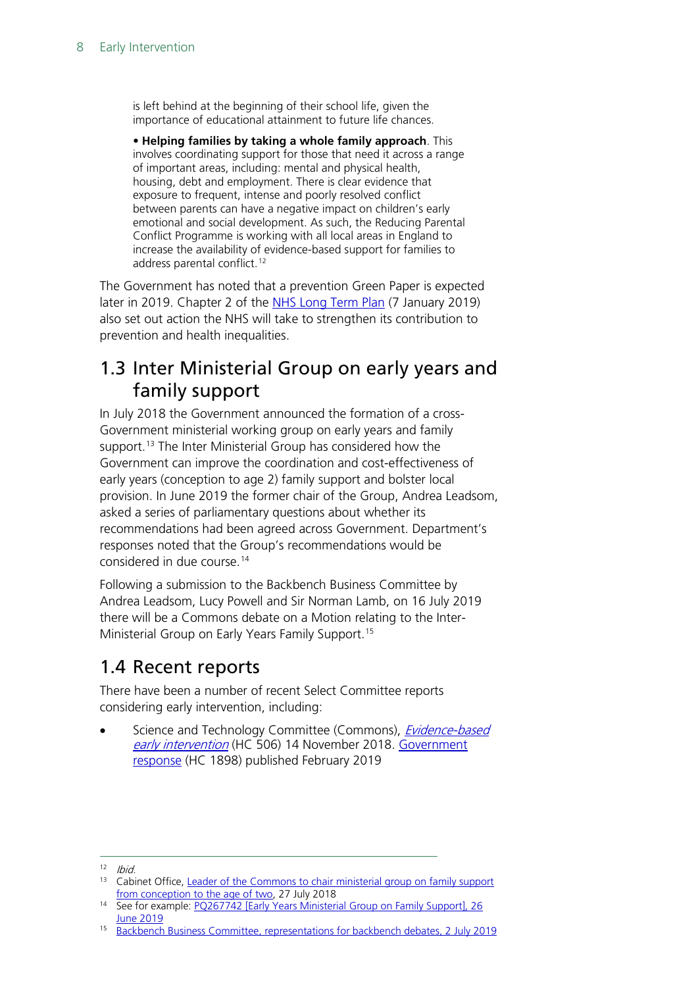is left behind at the beginning of their school life, given the importance of educational attainment to future life chances.

• **Helping families by taking a whole family approach**. This involves coordinating support for those that need it across a range of important areas, including: mental and physical health, housing, debt and employment. There is clear evidence that exposure to frequent, intense and poorly resolved conflict between parents can have a negative impact on children's early emotional and social development. As such, the Reducing Parental Conflict Programme is working with all local areas in England to increase the availability of evidence-based support for families to address parental conflict.<sup>[12](#page-7-2)</sup>

The Government has noted that a prevention Green Paper is expected later in 2019. Chapter 2 of the [NHS Long Term Plan](https://www.longtermplan.nhs.uk/) (7 January 2019) also set out action the NHS will take to strengthen its contribution to prevention and health inequalities.

## <span id="page-7-0"></span>1.3 Inter Ministerial Group on early years and family support

In July 2018 the Government announced the formation of a cross-Government ministerial working group on early years and family support. [13](#page-7-3) The Inter Ministerial Group has considered how the Government can improve the coordination and cost-effectiveness of early years (conception to age 2) family support and bolster local provision. In June 2019 the former chair of the Group, Andrea Leadsom, asked a series of parliamentary questions about whether its recommendations had been agreed across Government. Department's responses noted that the Group's recommendations would be considered in due course.[14](#page-7-4)

Following a submission to the Backbench Business Committee by Andrea Leadsom, Lucy Powell and Sir Norman Lamb, on 16 July 2019 there will be a Commons debate on a Motion relating to the Inter-Ministerial Group on Early Years Family Support. [15](#page-7-5)

## <span id="page-7-1"></span>1.4 Recent reports

There have been a number of recent Select Committee reports considering early intervention, including:

Science and Technology Committee (Commons), *Evidence-based* [early intervention](https://publications.parliament.uk/pa/cm201719/cmselect/cmsctech/506/506.pdf) (HC 506) 14 November 2018. Government [response](https://publications.parliament.uk/pa/cm201719/cmselect/cmsctech/1898/1898.pdf) (HC 1898) published February 2019

<span id="page-7-2"></span> $12$  Ibid.

<span id="page-7-3"></span><sup>&</sup>lt;sup>13</sup> Cabinet Office, Leader of the Commons to chair ministerial group on family support [from conception to the age of two,](https://www.gov.uk/government/news/leader-of-the-commons-to-chair-ministerial-group-on-family-support-from-conception-to-the-age-of-two) 27 July 2018

<span id="page-7-4"></span><sup>&</sup>lt;sup>14</sup> See for example: PQ267742 [Early Years Ministerial Group on Family Support], 26 [June 2019](https://www.parliament.uk/written-questions-answers-statements/written-question/commons/2019-06-21/267742)

<span id="page-7-5"></span><sup>&</sup>lt;sup>15</sup> [Backbench Business Committee, representations for backbench debates, 2](http://data.parliament.uk/writtenevidence/committeeevidence.svc/evidencedocument/backbench-business-committee/proposals-for-backbench-debates/oral/103443.html) July 2019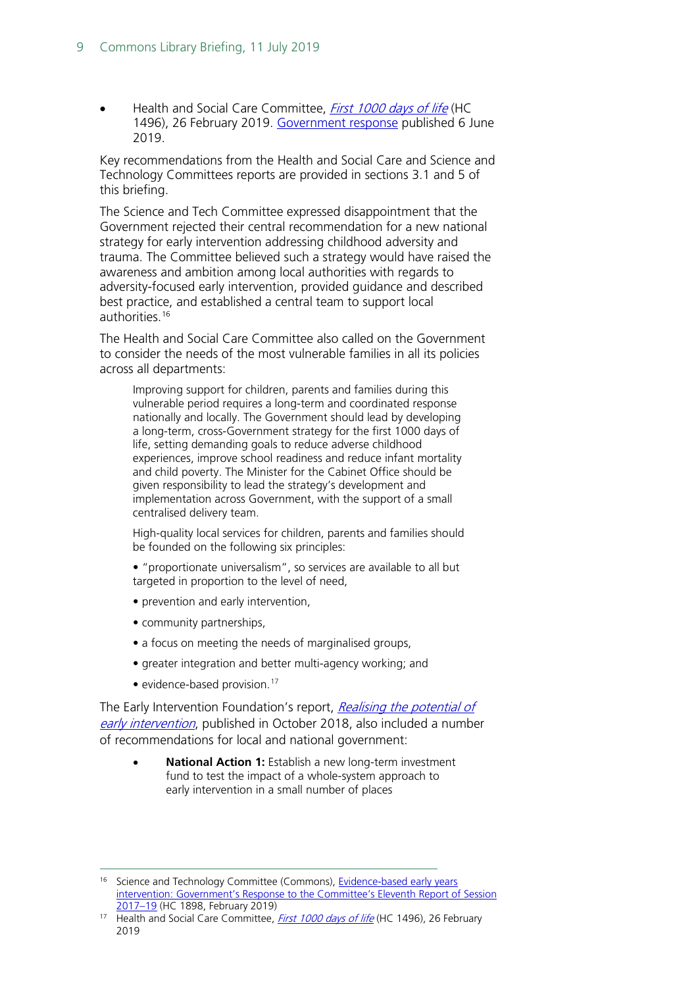Health and Social Care Committee, [First 1000 days of life](https://publications.parliament.uk/pa/cm201719/cmselect/cmhealth/1496/1496.pdf) (HC 1496), 26 February 2019. [Government response](https://www.gov.uk/government/publications/government-response-to-the-first-1000-days-of-life-report) published 6 June 2019.

Key recommendations from the Health and Social Care and Science and Technology Committees reports are provided in sections 3.1 and 5 of this briefing.

The Science and Tech Committee expressed disappointment that the Government rejected their central recommendation for a new national strategy for early intervention addressing childhood adversity and trauma. The Committee believed such a strategy would have raised the awareness and ambition among local authorities with regards to adversity-focused early intervention, provided guidance and described best practice, and established a central team to support local authorities.<sup>[16](#page-8-0)</sup>

The Health and Social Care Committee also called on the Government to consider the needs of the most vulnerable families in all its policies across all departments:

Improving support for children, parents and families during this vulnerable period requires a long-term and coordinated response nationally and locally. The Government should lead by developing a long-term, cross-Government strategy for the first 1000 days of life, setting demanding goals to reduce adverse childhood experiences, improve school readiness and reduce infant mortality and child poverty. The Minister for the Cabinet Office should be given responsibility to lead the strategy's development and implementation across Government, with the support of a small centralised delivery team.

High-quality local services for children, parents and families should be founded on the following six principles:

- "proportionate universalism", so services are available to all but targeted in proportion to the level of need,
- prevention and early intervention,
- community partnerships,
- a focus on meeting the needs of marginalised groups,
- greater integration and better multi-agency working; and
- evidence-based provision. $17$

The Early Intervention Foundation's report, Realising the potential of [early intervention](https://www.eif.org.uk/report/realising-the-potential-of-early-intervention), published in October 2018, also included a number of recommendations for local and national government:

• **National Action 1:** Establish a new long-term investment fund to test the impact of a whole-system approach to early intervention in a small number of places

<span id="page-8-0"></span><sup>&</sup>lt;sup>16</sup> Science and Technology Committee (Commons), Evidence-based early years intervention: Government's Response to the Committee's Eleventh Report of Session [2017–19](https://publications.parliament.uk/pa/cm201719/cmselect/cmsctech/1898/1898.pdf) (HC 1898, February 2019)

<span id="page-8-1"></span><sup>&</sup>lt;sup>17</sup> Health and Social Care Committee, *[First 1000 days of life](https://publications.parliament.uk/pa/cm201719/cmselect/cmhealth/1496/1496.pdf)* (HC 1496), 26 February 2019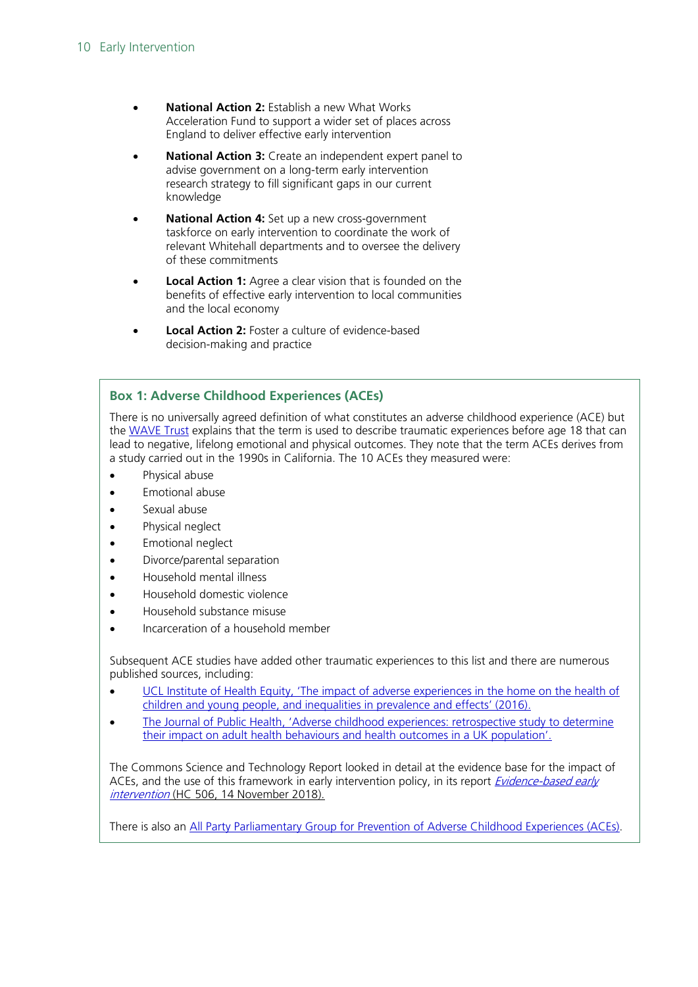- **National Action 2:** Establish a new What Works Acceleration Fund to support a wider set of places across England to deliver effective early intervention
- **National Action 3:** Create an independent expert panel to advise government on a long-term early intervention research strategy to fill significant gaps in our current knowledge
- **National Action 4:** Set up a new cross-government taskforce on early intervention to coordinate the work of relevant Whitehall departments and to oversee the delivery of these commitments
- **Local Action 1:** Agree a clear vision that is founded on the benefits of effective early intervention to local communities and the local economy
- **Local Action 2:** Foster a culture of evidence-based decision-making and practice

#### **Box 1: Adverse Childhood Experiences (ACEs)**

There is no universally agreed definition of what constitutes an adverse childhood experience (ACE) but the [WAVE](https://www.wavetrust.org/what-are-adverse-childhood-experiences) Trust explains that the term is used to describe traumatic experiences before age 18 that can lead to negative, lifelong emotional and physical outcomes. They note that the term ACEs derives from a study carried out in the 1990s in California. The 10 ACEs they measured were:

- Physical abuse
- Emotional abuse
- Sexual abuse
- Physical neglect
- Emotional neglect
- Divorce/parental separation
- Household mental illness
- Household domestic violence
- Household substance misuse
- Incarceration of a household member

Subsequent ACE studies have added other traumatic experiences to this list and there are numerous published sources, including:

- UCL Institute of Health Equity, 'The impact of adverse experiences in the home on the health of [children and young people, and inequalities in prevalence and effects' \(2016\).](http://www.instituteofhealthequity.org/resources-reports/the-impact-of-adverse-experiences-in-the-home-on-children-and-young-people/impact-of-adverse-experiences-in-the-home.pdf)
- [The Journal of Public Health, 'Adverse childhood experiences: retrospective study to determine](https://academic.oup.com/jpubhealth/article/36/1/81/1571104?searchresult=1)  [their impact on adult health behaviours and health outcomes in a UK population'.](https://academic.oup.com/jpubhealth/article/36/1/81/1571104?searchresult=1)

The Commons Science and Technology Report looked in detail at the evidence base for the impact of ACEs, and the use of this framework in early intervention policy, in its report Evidence-based early [intervention](https://publications.parliament.uk/pa/cm201719/cmselect/cmsctech/506/506.pdf) (HC 506, 14 November 2018).

There is also an [All Party Parliamentary Group for Prevention of Adverse Childhood Experiences](https://www.wavetrust.org/all-party-parliamentary-group-for-prevention-of-adverse-childhood-experiences) (ACEs).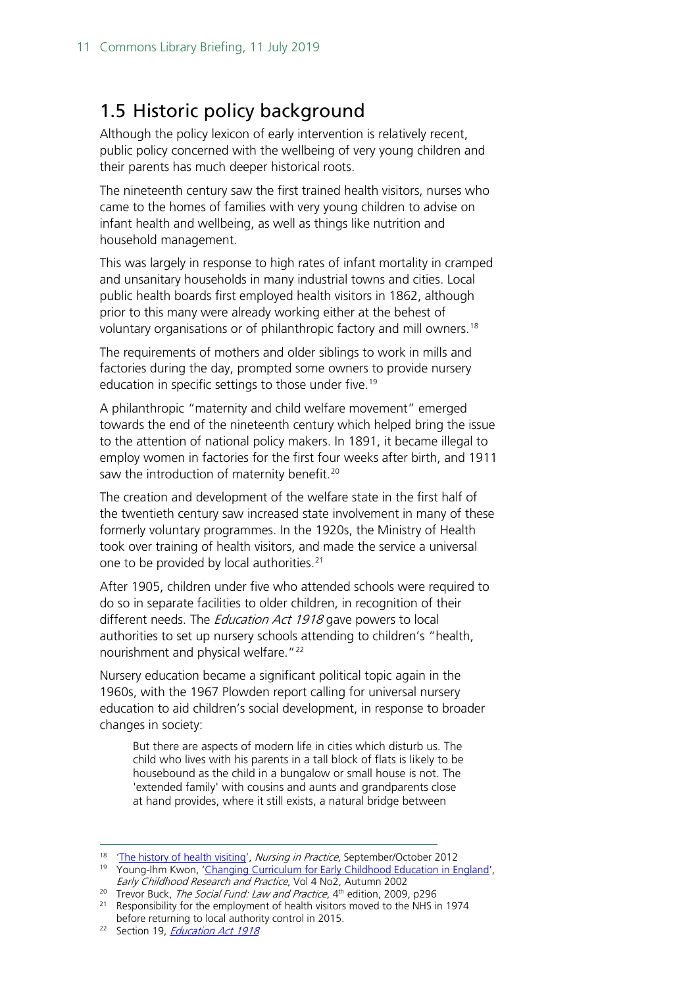## <span id="page-10-0"></span>1.5 Historic policy background

Although the policy lexicon of early intervention is relatively recent, public policy concerned with the wellbeing of very young children and their parents has much deeper historical roots.

The nineteenth century saw the first trained health visitors, nurses who came to the homes of families with very young children to advise on infant health and wellbeing, as well as things like nutrition and household management.

This was largely in response to high rates of infant mortality in cramped and unsanitary households in many industrial towns and cities. Local public health boards first employed health visitors in 1862, although prior to this many were already working either at the behest of voluntary organisations or of philanthropic factory and mill owners.<sup>[18](#page-10-1)</sup>

The requirements of mothers and older siblings to work in mills and factories during the day, prompted some owners to provide nursery education in specific settings to those under five.<sup>[19](#page-10-2)</sup>

A philanthropic "maternity and child welfare movement" emerged towards the end of the nineteenth century which helped bring the issue to the attention of national policy makers. In 1891, it became illegal to employ women in factories for the first four weeks after birth, and 1911 saw the introduction of maternity benefit.<sup>[20](#page-10-3)</sup>

The creation and development of the welfare state in the first half of the twentieth century saw increased state involvement in many of these formerly voluntary programmes. In the 1920s, the Ministry of Health took over training of health visitors, and made the service a universal one to be provided by local authorities. [21](#page-10-4)

After 1905, children under five who attended schools were required to do so in separate facilities to older children, in recognition of their different needs. The *Education Act 1918* gave powers to local authorities to set up nursery schools attending to children's "health, nourishment and physical welfare."<sup>22</sup>

Nursery education became a significant political topic again in the 1960s, with the 1967 Plowden report calling for universal nursery education to aid children's social development, in response to broader changes in society:

But there are aspects of modern life in cities which disturb us. The child who lives with his parents in a tall block of flats is likely to be housebound as the child in a bungalow or small house is not. The 'extended family' with cousins and aunts and grandparents close at hand provides, where it still exists, a natural bridge between

<span id="page-10-1"></span><sup>&</sup>lt;sup>18</sup> ['The history of health visiting'](http://www.nursinginpractice.com/article/history-health-visiting), Nursing in Practice, September/October 2012

<span id="page-10-2"></span><sup>&</sup>lt;sup>19</sup> Young-Ihm Kwon, ['Changing Curriculum for Early Childhood Education in England',](http://ecrp.uiuc.edu/v4n2/kwon.html) Early Childhood Research and Practice, Vol 4 No2, Autumn 2002

<span id="page-10-3"></span><sup>&</sup>lt;sup>20</sup> Trevor Buck, *The Social Fund: Law and Practice*,  $4<sup>th</sup>$  edition, 2009, p296

<span id="page-10-4"></span><sup>&</sup>lt;sup>21</sup> Responsibility for the employment of health visitors moved to the NHS in 1974 before returning to local authority control in 2015.

<span id="page-10-5"></span><sup>&</sup>lt;sup>22</sup> Section 19, *[Education Act 1918](http://www.legislation.gov.uk/ukpga/1918/39/pdfs/ukpga_19180039_en.pdf)*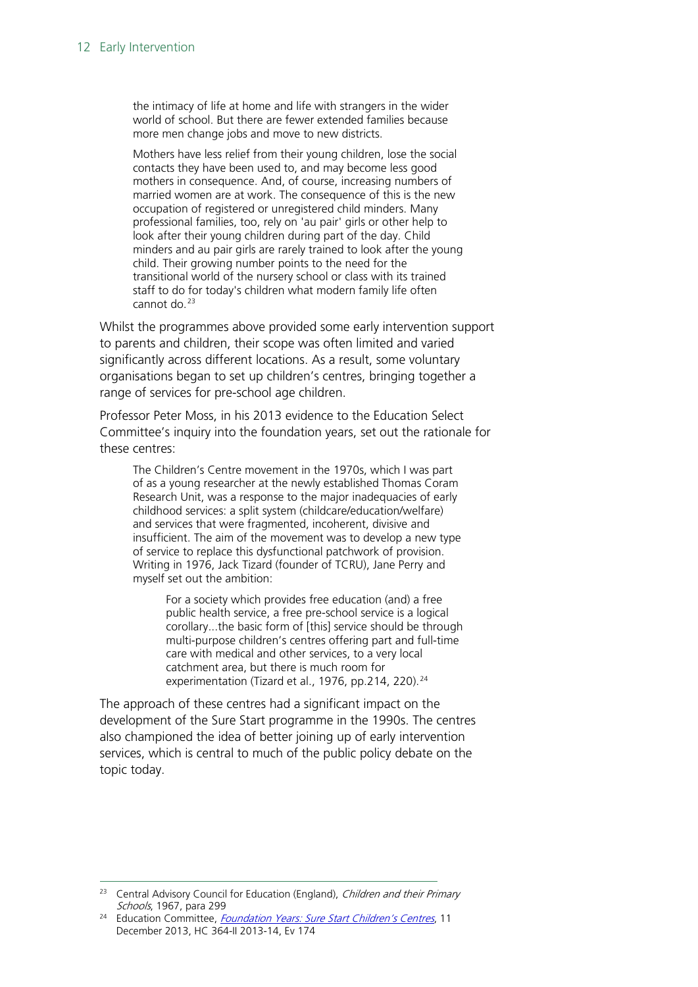the intimacy of life at home and life with strangers in the wider world of school. But there are fewer extended families because more men change jobs and move to new districts.

Mothers have less relief from their young children, lose the social contacts they have been used to, and may become less good mothers in consequence. And, of course, increasing numbers of married women are at work. The consequence of this is the new occupation of registered or unregistered child minders. Many professional families, too, rely on 'au pair' girls or other help to look after their young children during part of the day. Child minders and au pair girls are rarely trained to look after the young child. Their growing number points to the need for the transitional world of the nursery school or class with its trained staff to do for today's children what modern family life often cannot do.<sup>[23](#page-11-0)</sup>

Whilst the programmes above provided some early intervention support to parents and children, their scope was often limited and varied significantly across different locations. As a result, some voluntary organisations began to set up children's centres, bringing together a range of services for pre-school age children.

Professor Peter Moss, in his 2013 evidence to the Education Select Committee's inquiry into the foundation years, set out the rationale for these centres:

The Children's Centre movement in the 1970s, which I was part of as a young researcher at the newly established Thomas Coram Research Unit, was a response to the major inadequacies of early childhood services: a split system (childcare/education/welfare) and services that were fragmented, incoherent, divisive and insufficient. The aim of the movement was to develop a new type of service to replace this dysfunctional patchwork of provision. Writing in 1976, Jack Tizard (founder of TCRU), Jane Perry and myself set out the ambition:

For a society which provides free education (and) a free public health service, a free pre-school service is a logical corollary...the basic form of [this] service should be through multi-purpose children's centres offering part and full-time care with medical and other services, to a very local catchment area, but there is much room for experimentation (Tizard et al., 1976, pp.214, 220).<sup>[24](#page-11-1)</sup>

The approach of these centres had a significant impact on the development of the Sure Start programme in the 1990s. The centres also championed the idea of better joining up of early intervention services, which is central to much of the public policy debate on the topic today.

<span id="page-11-0"></span><sup>&</sup>lt;sup>23</sup> Central Advisory Council for Education (England), Children and their Primary Schools, 1967, para 299

<span id="page-11-1"></span><sup>&</sup>lt;sup>24</sup> Education Committee, *[Foundation Years: Sure Start Children's Centres](http://www.publications.parliament.uk/pa/cm201314/cmselect/cmeduc/364/364ii.pdf)*, 11 December 2013, HC 364-II 2013-14, Ev 174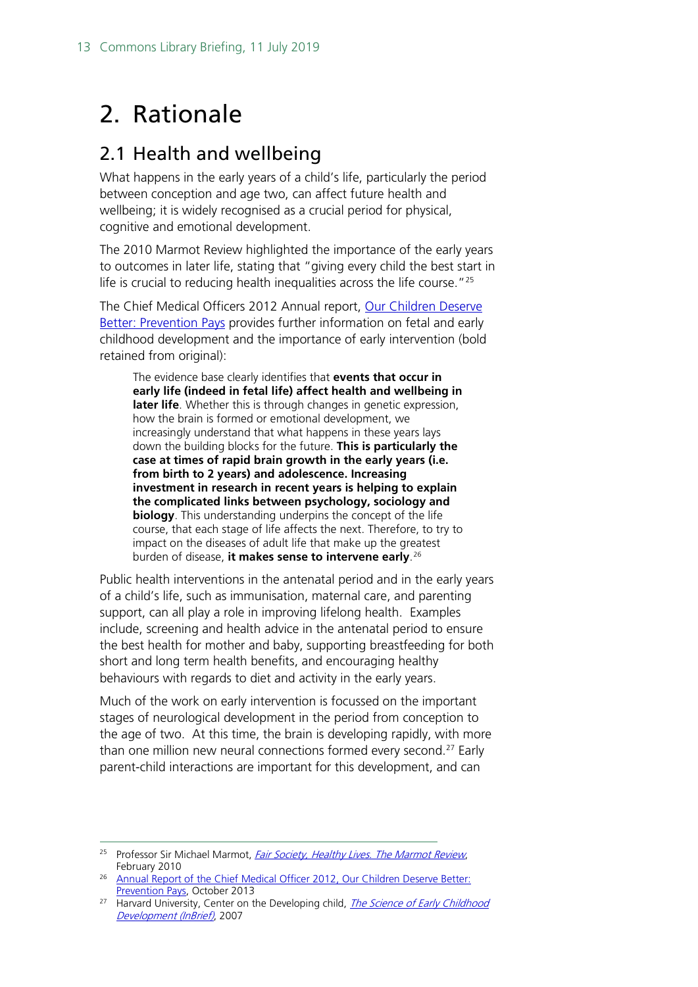## <span id="page-12-0"></span>2. Rationale

### <span id="page-12-1"></span>2.1 Health and wellbeing

What happens in the early years of a child's life, particularly the period between conception and age two, can affect future health and wellbeing; it is widely recognised as a crucial period for physical, cognitive and emotional development.

The 2010 Marmot Review highlighted the importance of the early years to outcomes in later life, stating that "giving every child the best start in life is crucial to reducing health inequalities across the life course."[25](#page-12-2)

The Chief Medical Officers 2012 Annual report, Our Children Deserve [Better: Prevention Pays](https://assets.publishing.service.gov.uk/government/uploads/system/uploads/attachment_data/file/255237/2901304_CMO_complete_low_res_accessible.pdf) provides further information on fetal and early childhood development and the importance of early intervention (bold retained from original):

The evidence base clearly identifies that **events that occur in early life (indeed in fetal life) affect health and wellbeing in later life**. Whether this is through changes in genetic expression, how the brain is formed or emotional development, we increasingly understand that what happens in these years lays down the building blocks for the future. **This is particularly the case at times of rapid brain growth in the early years (i.e. from birth to 2 years) and adolescence. Increasing investment in research in recent years is helping to explain the complicated links between psychology, sociology and biology**. This understanding underpins the concept of the life course, that each stage of life affects the next. Therefore, to try to impact on the diseases of adult life that make up the greatest burden of disease, **it makes sense to intervene early**. [26](#page-12-3)

Public health interventions in the antenatal period and in the early years of a child's life, such as immunisation, maternal care, and parenting support, can all play a role in improving lifelong health. Examples include, screening and health advice in the antenatal period to ensure the best health for mother and baby, supporting breastfeeding for both short and long term health benefits, and encouraging healthy behaviours with regards to diet and activity in the early years.

Much of the work on early intervention is focussed on the important stages of neurological development in the period from conception to the age of two. At this time, the brain is developing rapidly, with more than one million new neural connections formed every second.<sup>[27](#page-12-4)</sup> Early parent-child interactions are important for this development, and can

<span id="page-12-2"></span><sup>&</sup>lt;sup>25</sup> Professor Sir Michael Marmot, *[Fair Society, Healthy Lives. The Marmot Review](http://www.instituteofhealthequity.org/resources-reports/fair-society-healthy-lives-the-marmot-review)*, February 2010

<span id="page-12-3"></span><sup>&</sup>lt;sup>26</sup> Annual Report of the Chief Medical Officer 2012, Our Children Deserve Better: [Prevention Pays,](https://assets.publishing.service.gov.uk/government/uploads/system/uploads/attachment_data/file/255237/2901304_CMO_complete_low_res_accessible.pdf) October 2013

<span id="page-12-4"></span><sup>&</sup>lt;sup>27</sup> Harvard University, Center on the Developing child, *The Science of Early Childhood* [Development \(InBrief\)](http://developingchild.harvard.edu/resources/inbrief-science-of-ecd/), 2007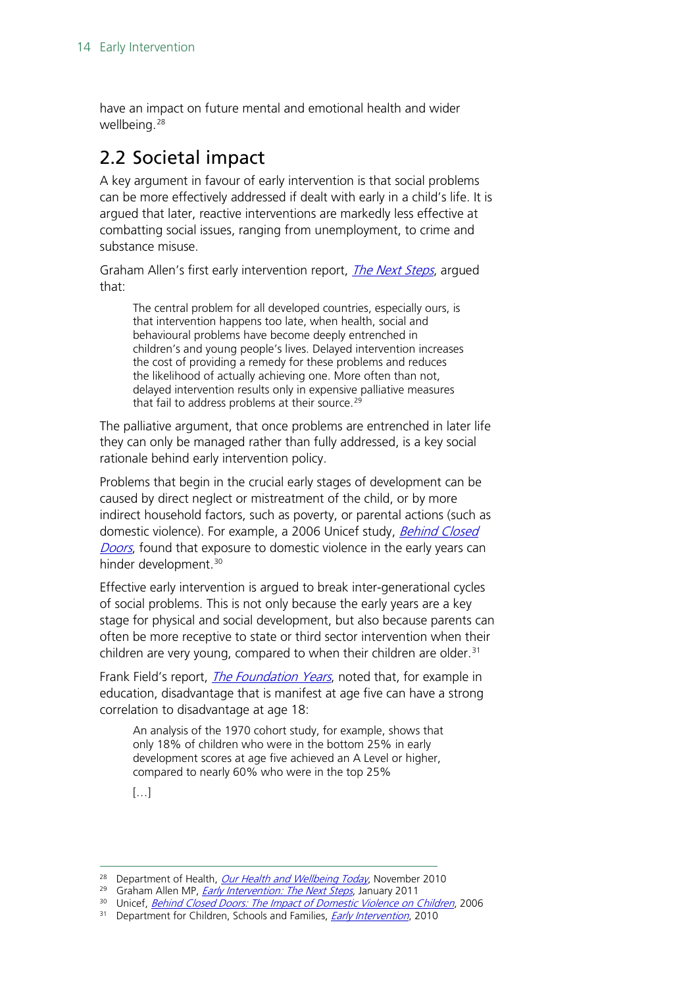have an impact on future mental and emotional health and wider wellbeing.[28](#page-13-1)

## <span id="page-13-0"></span>2.2 Societal impact

A key argument in favour of early intervention is that social problems can be more effectively addressed if dealt with early in a child's life. It is argued that later, reactive interventions are markedly less effective at combatting social issues, ranging from unemployment, to crime and substance misuse.

Graham Allen's first early intervention report, *[The Next Steps](https://www.gov.uk/government/uploads/system/uploads/attachment_data/file/284086/early-intervention-next-steps2.pdf)*, arqued that:

The central problem for all developed countries, especially ours, is that intervention happens too late, when health, social and behavioural problems have become deeply entrenched in children's and young people's lives. Delayed intervention increases the cost of providing a remedy for these problems and reduces the likelihood of actually achieving one. More often than not, delayed intervention results only in expensive palliative measures that fail to address problems at their source.<sup>[29](#page-13-2)</sup>

The palliative argument, that once problems are entrenched in later life they can only be managed rather than fully addressed, is a key social rationale behind early intervention policy.

Problems that begin in the crucial early stages of development can be caused by direct neglect or mistreatment of the child, or by more indirect household factors, such as poverty, or parental actions (such as domestic violence). For example, a 2006 Unicef study, Behind Closed [Doors](http://www.unicef.org/media/files/BehindClosedDoors.pdf), found that exposure to domestic violence in the early years can hinder development.<sup>[30](#page-13-3)</sup>

Effective early intervention is argued to break inter-generational cycles of social problems. This is not only because the early years are a key stage for physical and social development, but also because parents can often be more receptive to state or third sector intervention when their children are very young, compared to when their children are older. $31$ 

Frank Field's report, *[The Foundation Years](http://webarchive.nationalarchives.gov.uk/20110120090128/http:/povertyreview.independent.gov.uk/media/20254/poverty-report.pdf)*, noted that, for example in education, disadvantage that is manifest at age five can have a strong correlation to disadvantage at age 18:

An analysis of the 1970 cohort study, for example, shows that only 18% of children who were in the bottom 25% in early development scores at age five achieved an A Level or higher, compared to nearly 60% who were in the top 25%

 $[...]$ 

<span id="page-13-1"></span><sup>&</sup>lt;sup>28</sup> Department of Health, [Our Health and Wellbeing Today](https://www.gov.uk/government/uploads/system/uploads/attachment_data/file/215911/dh_122238.pdf), November 2010

<span id="page-13-2"></span><sup>&</sup>lt;sup>29</sup> Graham Allen MP, *[Early Intervention: The Next Steps](https://www.gov.uk/government/uploads/system/uploads/attachment_data/file/284086/early-intervention-next-steps2.pdf)*, January 2011

<span id="page-13-3"></span><sup>&</sup>lt;sup>30</sup> Unicef, *[Behind Closed Doors: The Impact of Domestic Violence on Children](http://www.unicef.org/media/files/BehindClosedDoors.pdf)*, 2006

<span id="page-13-4"></span><sup>&</sup>lt;sup>31</sup> Department for Children, Schools and Families, *[Early Intervention](http://webarchive.nationalarchives.gov.uk/20130401151715/http:/www.education.gov.uk/publications/eOrderingDownload/DCSF-00349-2010.pdf)*, 2010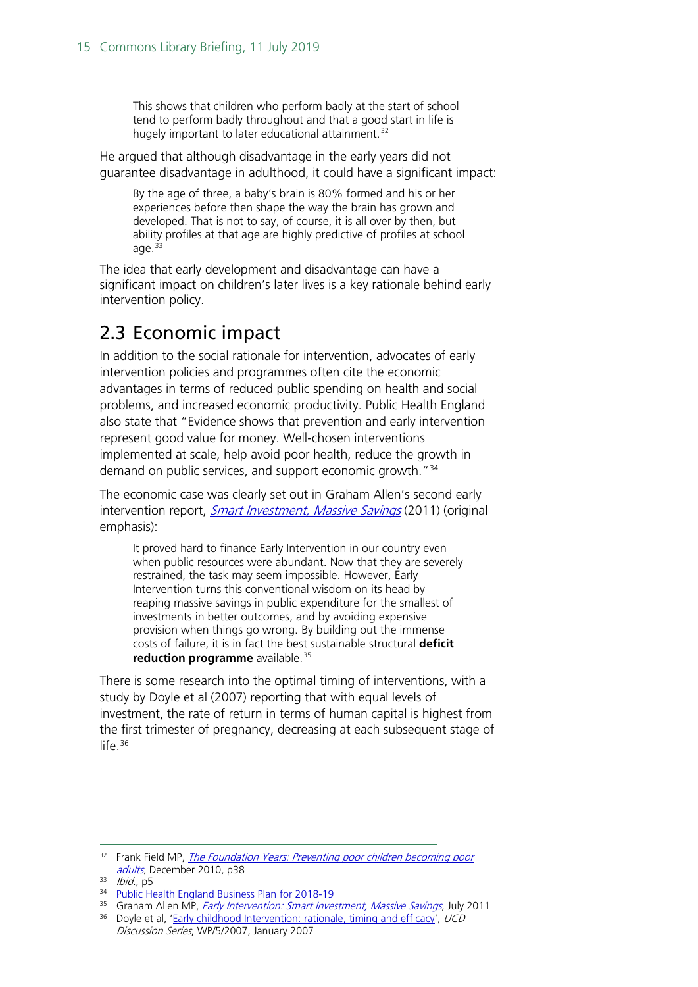This shows that children who perform badly at the start of school tend to perform badly throughout and that a good start in life is hugely important to later educational attainment.<sup>[32](#page-14-1)</sup>

He argued that although disadvantage in the early years did not guarantee disadvantage in adulthood, it could have a significant impact:

By the age of three, a baby's brain is 80% formed and his or her experiences before then shape the way the brain has grown and developed. That is not to say, of course, it is all over by then, but ability profiles at that age are highly predictive of profiles at school age. $33$ 

The idea that early development and disadvantage can have a significant impact on children's later lives is a key rationale behind early intervention policy.

### <span id="page-14-0"></span>2.3 Economic impact

In addition to the social rationale for intervention, advocates of early intervention policies and programmes often cite the economic advantages in terms of reduced public spending on health and social problems, and increased economic productivity. Public Health England also state that "Evidence shows that prevention and early intervention represent good value for money. Well-chosen interventions implemented at scale, help avoid poor health, reduce the growth in demand on public services, and support economic growth.<sup>"[34](#page-14-3)</sup>

The economic case was clearly set out in Graham Allen's second early intervention report, *[Smart Investment, Massive Savings](https://www.gov.uk/government/uploads/system/uploads/attachment_data/file/61012/earlyintervention-smartinvestment.pdf)* (2011) (original emphasis):

It proved hard to finance Early Intervention in our country even when public resources were abundant. Now that they are severely restrained, the task may seem impossible. However, Early Intervention turns this conventional wisdom on its head by reaping massive savings in public expenditure for the smallest of investments in better outcomes, and by avoiding expensive provision when things go wrong. By building out the immense costs of failure, it is in fact the best sustainable structural **deficit reduction programme** available. [35](#page-14-4)

There is some research into the optimal timing of interventions, with a study by Doyle et al (2007) reporting that with equal levels of investment, the rate of return in terms of human capital is highest from the first trimester of pregnancy, decreasing at each subsequent stage of life.<sup>[36](#page-14-5)</sup>

<span id="page-14-1"></span><sup>&</sup>lt;sup>32</sup> Frank Field MP, *The Foundation Years: Preventing poor children becoming poor* [adults](http://webarchive.nationalarchives.gov.uk/20110120090128/http:/povertyreview.independent.gov.uk/media/20254/poverty-report.pdf), December 2010, p38

<span id="page-14-2"></span> $33$  *Ibid.*, p5

<span id="page-14-3"></span><sup>34</sup> [Public Health England Business Plan for 2018-19](https://assets.publishing.service.gov.uk/government/uploads/system/uploads/attachment_data/file/696145/PHE_Business_plan_2018.pdf)

<span id="page-14-4"></span><sup>&</sup>lt;sup>35</sup> Graham Allen MP, *[Early Intervention: Smart Investment, Massive Savings](https://www.gov.uk/government/uploads/system/uploads/attachment_data/file/61012/earlyintervention-smartinvestment.pdf)*, July 2011

<span id="page-14-5"></span> $36$  Doyle et al, ['Early childhood Intervention: rationale, timing and efficacy'](http://www.ucd.ie/geary/static/publications/workingpapers/GearyWp200705.pdf), UCD Discussion Series, WP/5/2007, January 2007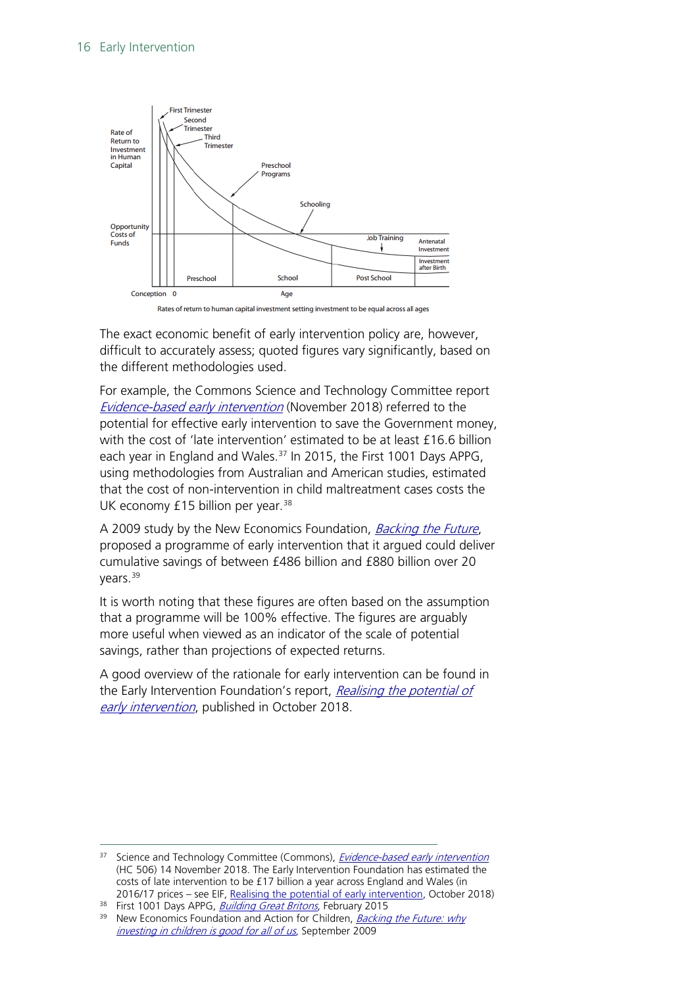

Rates of return to human capital investment setting investment to be equal across all ages

The exact economic benefit of early intervention policy are, however, difficult to accurately assess; quoted figures vary significantly, based on the different methodologies used.

For example, the Commons Science and Technology Committee report [Evidence-based early intervention](https://publications.parliament.uk/pa/cm201719/cmselect/cmsctech/506/506.pdf) (November 2018) referred to the potential for effective early intervention to save the Government money, with the cost of 'late intervention' estimated to be at least £16.6 billion each year in England and Wales.<sup>[37](#page-15-0)</sup> In 2015, the First 1001 Days APPG, using methodologies from Australian and American studies, estimated that the cost of non-intervention in child maltreatment cases costs the UK economy £15 billion per year.<sup>[38](#page-15-1)</sup>

A 2009 study by the New Economics Foundation, *[Backing the Future](http://b.3cdn.net/nefoundation/e15acdab95a4f18989_j8m6vrt0j.pdf)*, proposed a programme of early intervention that it argued could deliver cumulative savings of between £486 billion and £880 billion over 20 years.<sup>39</sup>

It is worth noting that these figures are often based on the assumption that a programme will be 100% effective. The figures are arguably more useful when viewed as an indicator of the scale of potential savings, rather than projections of expected returns.

A good overview of the rationale for early intervention can be found in the Early Intervention Foundation's report, Realising the potential of [early intervention](https://www.eif.org.uk/report/realising-the-potential-of-early-intervention), published in October 2018.

<span id="page-15-0"></span><sup>&</sup>lt;sup>37</sup> Science and Technology Committee (Commons), *[Evidence-based early intervention](https://publications.parliament.uk/pa/cm201719/cmselect/cmsctech/506/506.pdf)* (HC 506) 14 November 2018. The Early Intervention Foundation has estimated the costs of late intervention to be £17 billion a year across England and Wales (in 2016/17 prices – see EIF, [Realising the potential of early intervention,](https://www.eif.org.uk/report/realising-the-potential-of-early-intervention) October 2018)

<span id="page-15-1"></span><sup>&</sup>lt;sup>38</sup> First 1001 Days APPG, *[Building Great Britons](https://plct.files.wordpress.com/2012/11/building-great-britons-report-conception-to-age-2-feb-2015.pdf)*, February 2015

<span id="page-15-2"></span><sup>&</sup>lt;sup>39</sup> New Economics Foundation and Action for Children, *Backing the Future: why* [investing in children is good for all of us](http://b.3cdn.net/nefoundation/e15acdab95a4f18989_j8m6vrt0j.pdf), September 2009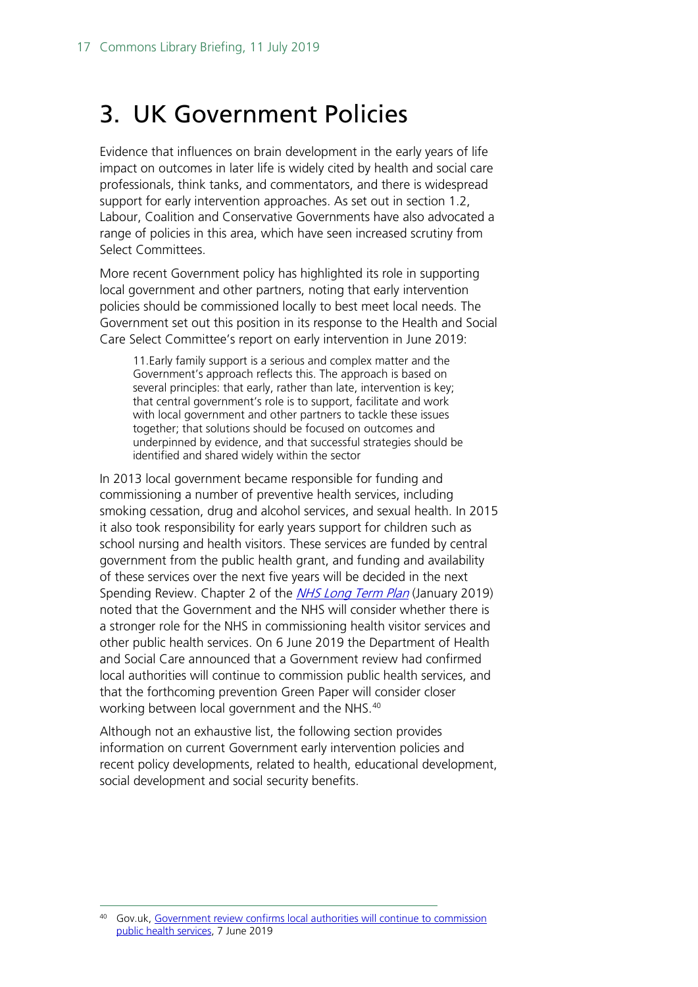## <span id="page-16-0"></span>3. UK Government Policies

Evidence that influences on brain development in the early years of life impact on outcomes in later life is widely cited by health and social care professionals, think tanks, and commentators, and there is widespread support for early intervention approaches. As set out in section 1.2, Labour, Coalition and Conservative Governments have also advocated a range of policies in this area, which have seen increased scrutiny from Select Committees.

More recent Government policy has highlighted its role in supporting local government and other partners, noting that early intervention policies should be commissioned locally to best meet local needs. The Government set out this position in its response to the Health and Social Care Select Committee's report on early intervention in June 2019:

11.Early family support is a serious and complex matter and the Government's approach reflects this. The approach is based on several principles: that early, rather than late, intervention is key; that central government's role is to support, facilitate and work with local government and other partners to tackle these issues together; that solutions should be focused on outcomes and underpinned by evidence, and that successful strategies should be identified and shared widely within the sector

In 2013 local government became responsible for funding and commissioning a number of preventive health services, including smoking cessation, drug and alcohol services, and sexual health. In 2015 it also took responsibility for early years support for children such as school nursing and health visitors. These services are funded by central government from the public health grant, and funding and availability of these services over the next five years will be decided in the next Spending Review. Chapter 2 of the *[NHS Long Term Plan](https://www.longtermplan.nhs.uk/)* (January 2019) noted that the Government and the NHS will consider whether there is a stronger role for the NHS in commissioning health visitor services and other public health services. On 6 June 2019 the Department of Health and Social Care announced that a Government review had confirmed local authorities will continue to commission public health services, and that the forthcoming prevention Green Paper will consider closer working between local government and the NHS.<sup>[40](#page-16-1)</sup>

Although not an exhaustive list, the following section provides information on current Government early intervention policies and recent policy developments, related to health, educational development, social development and social security benefits.

<span id="page-16-1"></span><sup>40</sup> Gov.uk, Government review confirms local authorities will continue to commission [public health services,](https://www.gov.uk/government/news/government-review-confirms-local-authorities-will-continue-to-commission-public-health-services) 7 June 2019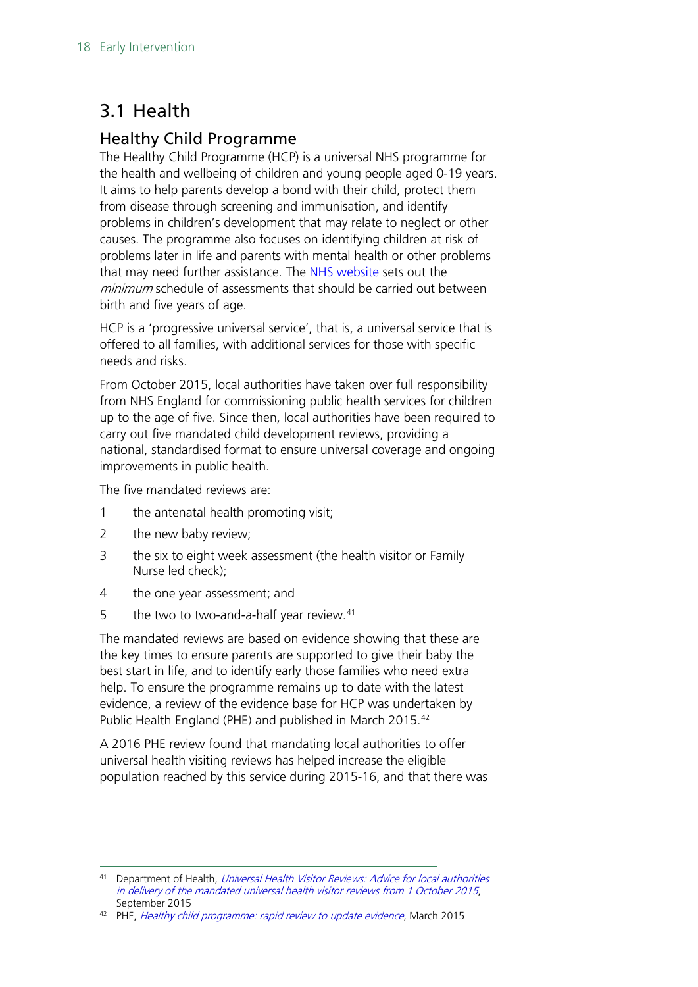## <span id="page-17-0"></span>3.1 Health

### <span id="page-17-1"></span>Healthy Child Programme

The Healthy Child Programme (HCP) is a universal NHS programme for the health and wellbeing of children and young people aged 0-19 years. It aims to help parents develop a bond with their child, protect them from disease through screening and immunisation, and identify problems in children's development that may relate to neglect or other causes. The programme also focuses on identifying children at risk of problems later in life and parents with mental health or other problems that may need further assistance. The [NHS website](http://www.nhs.uk/Planners/birthtofive/Pages/Yourchildsreviewschedule.aspx) sets out the minimum schedule of assessments that should be carried out between birth and five years of age.

HCP is a 'progressive universal service', that is, a universal service that is offered to all families, with additional services for those with specific needs and risks.

From October 2015, local authorities have taken over full responsibility from NHS England for commissioning public health services for children up to the age of five. Since then, local authorities have been required to carry out five mandated child development reviews, providing a national, standardised format to ensure universal coverage and ongoing improvements in public health.

The five mandated reviews are:

- 1 the antenatal health promoting visit;
- 2 the new baby review;
- 3 the six to eight week assessment (the health visitor or Family Nurse led check);
- 4 the one year assessment; and
- 5 the two to two-and-a-half year review. $41$

The mandated reviews are based on evidence showing that these are the key times to ensure parents are supported to give their baby the best start in life, and to identify early those families who need extra help. To ensure the programme remains up to date with the latest evidence, a review of the evidence base for HCP was undertaken by Public Health England (PHE) and published in March 2015.<sup>[42](#page-17-3)</sup>

A 2016 PHE review found that mandating local authorities to offer universal health visiting reviews has helped increase the eligible population reached by this service during 2015-16, and that there was

<span id="page-17-2"></span><sup>&</sup>lt;sup>41</sup> Department of Health, Universal Health Visitor Reviews: Advice for local authorities [in delivery of the mandated universal health visitor reviews from 1 October 2015](https://www.gov.uk/government/uploads/system/uploads/attachment_data/file/464880/Universal_health_visitor_reviews_toolkit.pdf), September 2015

<span id="page-17-3"></span><sup>&</sup>lt;sup>42</sup> PHE, *[Healthy child programme: rapid review to update evidence](https://www.gov.uk/government/publications/healthy-child-programme-rapid-review-to-update-evidence)*, March 2015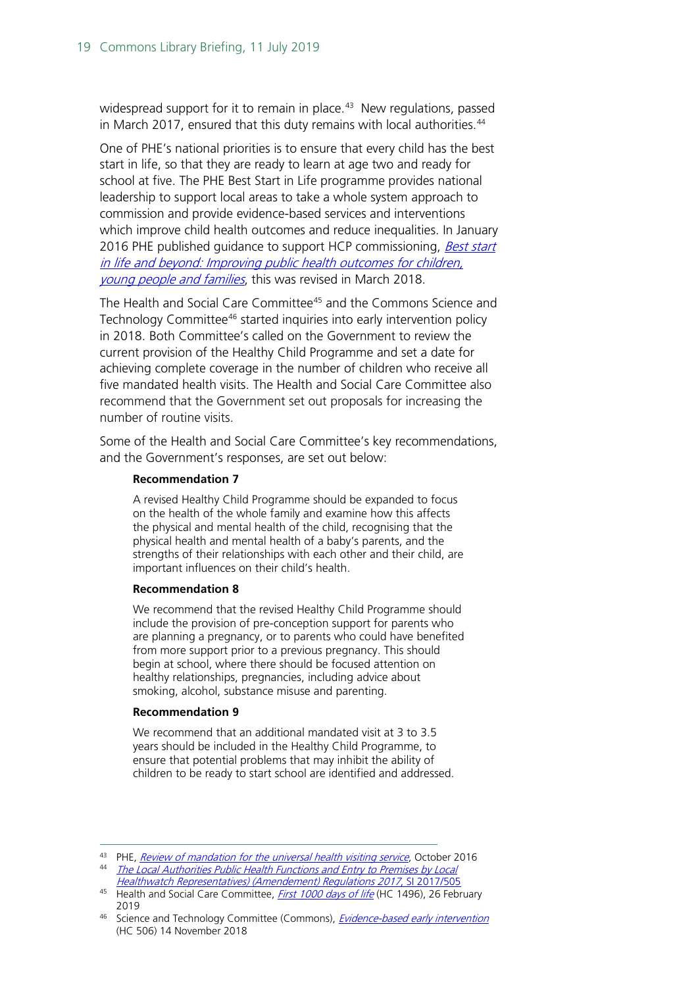widespread support for it to remain in place. $43$  New regulations, passed in March 2017, ensured that this duty remains with local authorities.<sup>[44](#page-18-1)</sup>

One of PHE's national priorities is to ensure that every child has the best start in life, so that they are ready to learn at age two and ready for school at five. The PHE Best Start in Life programme provides national leadership to support local areas to take a whole system approach to commission and provide evidence-based services and interventions which improve child health outcomes and reduce inequalities. In January 2016 PHE published quidance to support HCP commissioning, Best start [in life and beyond: Improving public health outcomes for children,](https://www.gov.uk/government/uploads/system/uploads/attachment_data/file/493617/Service_specification_0_to_19_CG1_19Jan2016.pdf)  [young people and families](https://www.gov.uk/government/uploads/system/uploads/attachment_data/file/493617/Service_specification_0_to_19_CG1_19Jan2016.pdf), this was revised in March 2018.

The Health and Social Care Committee<sup>[45](#page-18-2)</sup> and the Commons Science and Technology Committee<sup>[46](#page-18-3)</sup> started inquiries into early intervention policy in 2018. Both Committee's called on the Government to review the current provision of the Healthy Child Programme and set a date for achieving complete coverage in the number of children who receive all five mandated health visits. The Health and Social Care Committee also recommend that the Government set out proposals for increasing the number of routine visits.

Some of the Health and Social Care Committee's key recommendations, and the Government's responses, are set out below:

#### **Recommendation 7**

A revised Healthy Child Programme should be expanded to focus on the health of the whole family and examine how this affects the physical and mental health of the child, recognising that the physical health and mental health of a baby's parents, and the strengths of their relationships with each other and their child, are important influences on their child's health.

#### **Recommendation 8**

We recommend that the revised Healthy Child Programme should include the provision of pre-conception support for parents who are planning a pregnancy, or to parents who could have benefited from more support prior to a previous pregnancy. This should begin at school, where there should be focused attention on healthy relationships, pregnancies, including advice about smoking, alcohol, substance misuse and parenting.

#### **Recommendation 9**

We recommend that an additional mandated visit at 3 to 3.5 years should be included in the Healthy Child Programme, to ensure that potential problems that may inhibit the ability of children to be ready to start school are identified and addressed.

<sup>43</sup> PHE, [Review of mandation for the universal health visiting service](https://www.gov.uk/government/uploads/system/uploads/attachment_data/file/592893/Review_of_mandation_universal_health_visiting_service.pdf), October 2016

<span id="page-18-1"></span><span id="page-18-0"></span><sup>&</sup>lt;sup>44</sup> The Local Authorities Public Health Functions and Entry to Premises by Local [Healthwatch Representatives\) \(Amendement\) Regulations 2017](http://www.legislation.gov.uk/uksi/2017/505/pdfs/uksi_20170505_en.pdf), SI 2017/505

<span id="page-18-2"></span><sup>&</sup>lt;sup>45</sup> Health and Social Care Committee, *[First 1000 days of life](https://publications.parliament.uk/pa/cm201719/cmselect/cmhealth/1496/1496.pdf)* (HC 1496), 26 February 2019

<span id="page-18-3"></span><sup>&</sup>lt;sup>46</sup> Science and Technology Committee (Commons), *[Evidence-based early intervention](https://publications.parliament.uk/pa/cm201719/cmselect/cmsctech/506/506.pdf)* (HC 506) 14 November 2018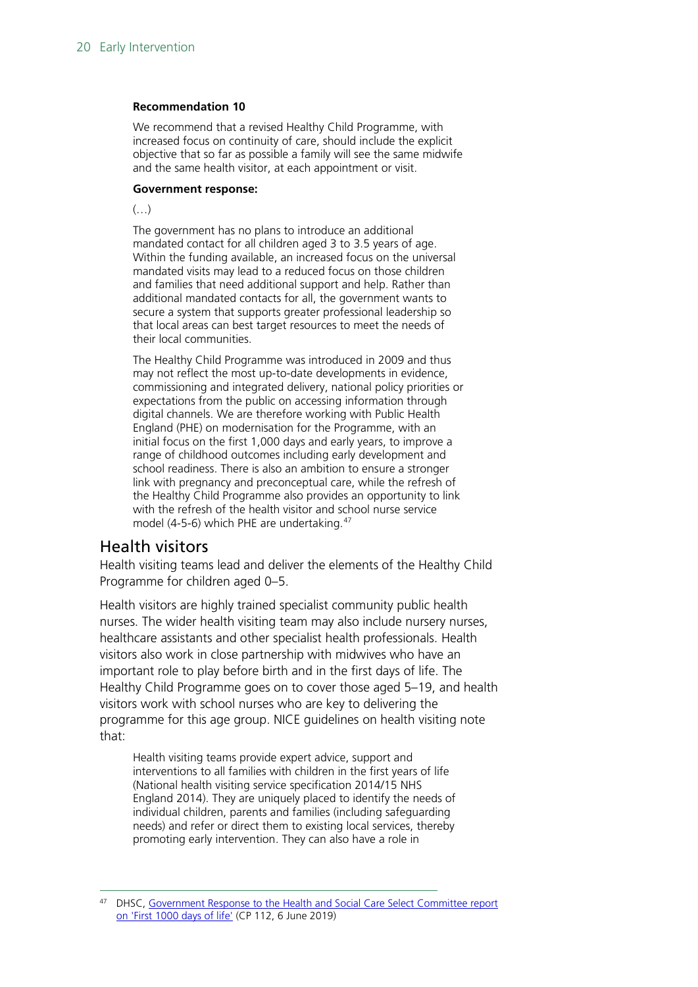#### **Recommendation 10**

We recommend that a revised Healthy Child Programme, with increased focus on continuity of care, should include the explicit objective that so far as possible a family will see the same midwife and the same health visitor, at each appointment or visit.

#### **Government response:**

 $\left(\ldots\right)$ 

The government has no plans to introduce an additional mandated contact for all children aged 3 to 3.5 years of age. Within the funding available, an increased focus on the universal mandated visits may lead to a reduced focus on those children and families that need additional support and help. Rather than additional mandated contacts for all, the government wants to secure a system that supports greater professional leadership so that local areas can best target resources to meet the needs of their local communities.

The Healthy Child Programme was introduced in 2009 and thus may not reflect the most up-to-date developments in evidence, commissioning and integrated delivery, national policy priorities or expectations from the public on accessing information through digital channels. We are therefore working with Public Health England (PHE) on modernisation for the Programme, with an initial focus on the first 1,000 days and early years, to improve a range of childhood outcomes including early development and school readiness. There is also an ambition to ensure a stronger link with pregnancy and preconceptual care, while the refresh of the Healthy Child Programme also provides an opportunity to link with the refresh of the health visitor and school nurse service model (4-5-6) which PHE are undertaking.<sup>[47](#page-19-1)</sup>

#### <span id="page-19-0"></span>Health visitors

Health visiting teams lead and deliver the elements of the Healthy Child Programme for children aged 0–5.

Health visitors are highly trained specialist community public health nurses. The wider health visiting team may also include nursery nurses, healthcare assistants and other specialist health professionals. Health visitors also work in close partnership with midwives who have an important role to play before birth and in the first days of life. The Healthy Child Programme goes on to cover those aged 5–19, and health visitors work with school nurses who are key to delivering the programme for this age group. NICE guidelines on health visiting note that:

Health visiting teams provide expert advice, support and interventions to all families with children in the first years of life (National health visiting service specification 2014/15 NHS England 2014). They are uniquely placed to identify the needs of individual children, parents and families (including safeguarding needs) and refer or direct them to existing local services, thereby promoting early intervention. They can also have a role in

<span id="page-19-1"></span>DHSC, Government Response to the Health and Social Care Select Committee report [on 'First 1000 days of life'](https://assets.publishing.service.gov.uk/government/uploads/system/uploads/attachment_data/file/806829/Government_response_to_the_Health_and_Social_Care_Select_Committee_report_on__First_1000_days_of_life__print_version.pdf) (CP 112, 6 June 2019)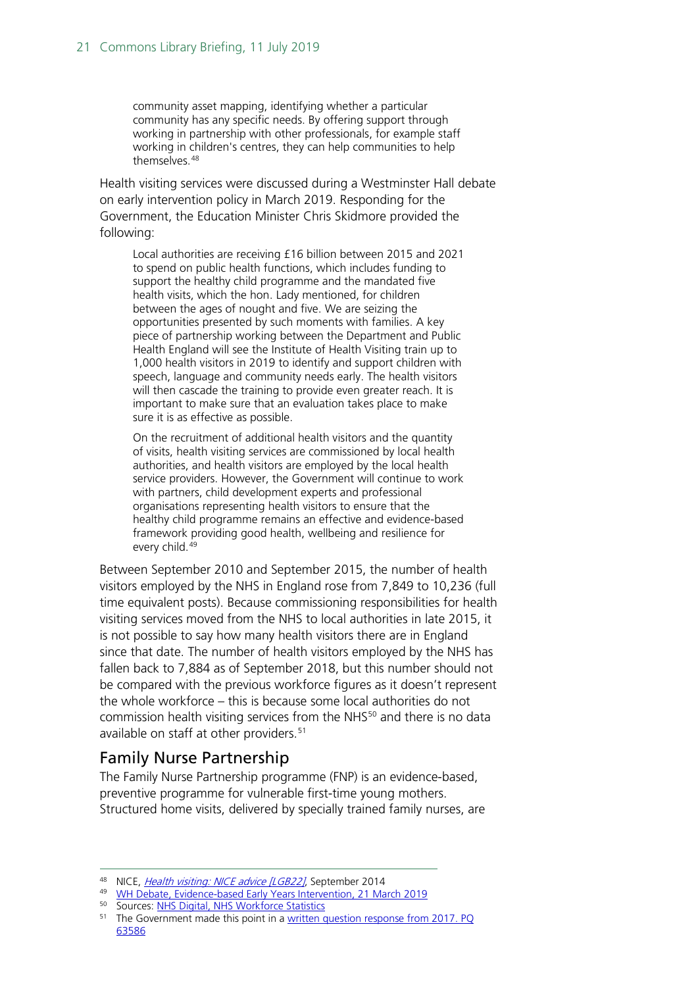community asset mapping, identifying whether a particular community has any specific needs. By offering support through working in partnership with other professionals, for example staff working in children's centres, they can help communities to help themselves.<sup>[48](#page-20-1)</sup>

Health visiting services were discussed during a Westminster Hall debate on early intervention policy in March 2019. Responding for the Government, the Education Minister Chris Skidmore provided the following:

Local authorities are receiving £16 billion between 2015 and 2021 to spend on public health functions, which includes funding to support the healthy child programme and the mandated five health visits, which the hon. Lady mentioned, for children between the ages of nought and five. We are seizing the opportunities presented by such moments with families. A key piece of partnership working between the Department and Public Health England will see the Institute of Health Visiting train up to 1,000 health visitors in 2019 to identify and support children with speech, language and community needs early. The health visitors will then cascade the training to provide even greater reach. It is important to make sure that an evaluation takes place to make sure it is as effective as possible.

On the recruitment of additional health visitors and the quantity of visits, health visiting services are commissioned by local health authorities, and health visitors are employed by the local health service providers. However, the Government will continue to work with partners, child development experts and professional organisations representing health visitors to ensure that the healthy child programme remains an effective and evidence-based framework providing good health, wellbeing and resilience for every child.<sup>[49](#page-20-2)</sup>

Between September 2010 and September 2015, the number of health visitors employed by the NHS in England rose from 7,849 to 10,236 (full time equivalent posts). Because commissioning responsibilities for health visiting services moved from the NHS to local authorities in late 2015, it is not possible to say how many health visitors there are in England since that date. The number of health visitors employed by the NHS has fallen back to 7,884 as of September 2018, but this number should not be compared with the previous workforce figures as it doesn't represent the whole workforce – this is because some local authorities do not commission health visiting services from the NHS<sup>[50](#page-20-3)</sup> and there is no data available on staff at other providers.<sup>[51](#page-20-4)</sup>

#### <span id="page-20-0"></span>Family Nurse Partnership

The Family Nurse Partnership programme (FNP) is an evidence-based, preventive programme for vulnerable first-time young mothers. Structured home visits, delivered by specially trained family nurses, are

<sup>50</sup> Sources: [NHS Digital, NHS Workforce Statistics](https://digital.nhs.uk/data-and-information/publications/statistical/nhs-workforce-statistics/january-2019)

<span id="page-20-1"></span><sup>48</sup> NICE, *[Health visiting: NICE advice \[LGB22\]](https://www.nice.org.uk/advice/lgb22/chapter/introduction)*, September 2014

<span id="page-20-3"></span><span id="page-20-2"></span><sup>49</sup> [WH Debate, Evidence-based Early Years Intervention, 21 March 2019](https://hansard.parliament.uk/Commons/2019-03-21/debates/10B3F8E0-174D-49E5-A711-FAADD7D1106A/Evidence-BasedEarlyYearsIntervention#contribution-8EC54C9A-8CB6-4B53-BB01-16E4CD3F600B)

<span id="page-20-4"></span><sup>&</sup>lt;sup>51</sup> The Government made this point in a [written question response from 2017.](https://www.parliament.uk/business/publications/written-questions-answers-statements/written-question/Commons/2017-02-08/63586) PQ 63586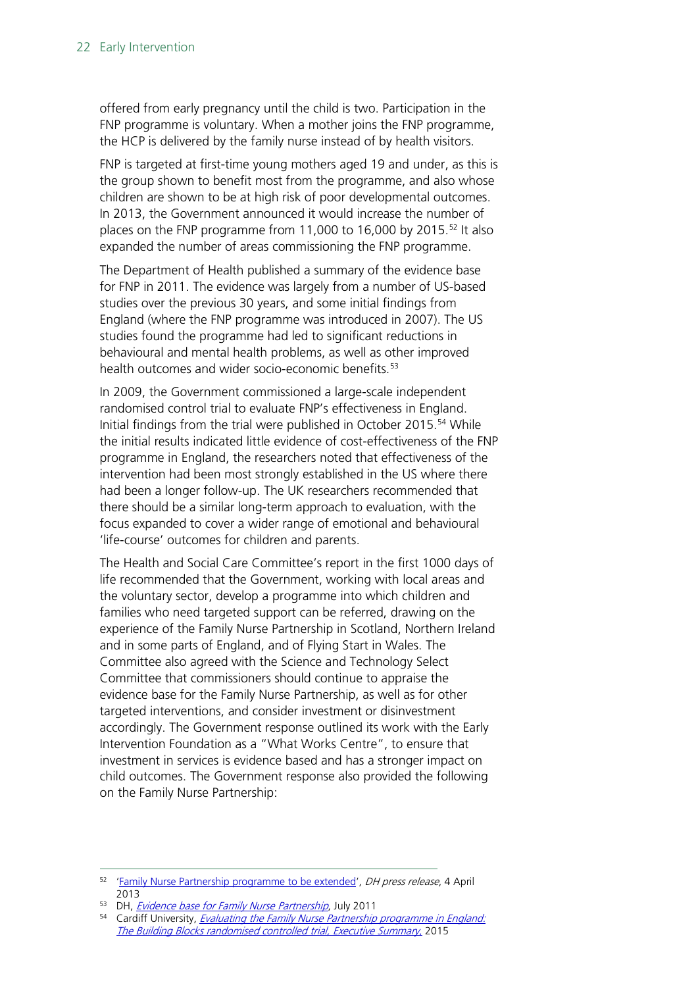offered from early pregnancy until the child is two. Participation in the FNP programme is voluntary. When a mother joins the FNP programme, the HCP is delivered by the family nurse instead of by health visitors.

FNP is targeted at first-time young mothers aged 19 and under, as this is the group shown to benefit most from the programme, and also whose children are shown to be at high risk of poor developmental outcomes. In 2013, the Government announced it would increase the number of places on the FNP programme from 11,000 to 16,000 by 2015.<sup>[52](#page-21-0)</sup> It also expanded the number of areas commissioning the FNP programme.

The Department of Health published a summary of the evidence base for FNP in 2011. The evidence was largely from a number of US-based studies over the previous 30 years, and some initial findings from England (where the FNP programme was introduced in 2007). The US studies found the programme had led to significant reductions in behavioural and mental health problems, as well as other improved health outcomes and wider socio-economic benefits.<sup>[53](#page-21-1)</sup>

In 2009, the Government commissioned a large-scale independent randomised control trial to evaluate FNP's effectiveness in England. Initial findings from the trial were published in October 2015.<sup>54</sup> While the initial results indicated little evidence of cost-effectiveness of the FNP programme in England, the researchers noted that effectiveness of the intervention had been most strongly established in the US where there had been a longer follow-up. The UK researchers recommended that there should be a similar long-term approach to evaluation, with the focus expanded to cover a wider range of emotional and behavioural 'life-course' outcomes for children and parents.

The Health and Social Care Committee's report in the first 1000 days of life recommended that the Government, working with local areas and the voluntary sector, develop a programme into which children and families who need targeted support can be referred, drawing on the experience of the Family Nurse Partnership in Scotland, Northern Ireland and in some parts of England, and of Flying Start in Wales. The Committee also agreed with the Science and Technology Select Committee that commissioners should continue to appraise the evidence base for the Family Nurse Partnership, as well as for other targeted interventions, and consider investment or disinvestment accordingly. The Government response outlined its work with the Early Intervention Foundation as a "What Works Centre", to ensure that investment in services is evidence based and has a stronger impact on child outcomes. The Government response also provided the following on the Family Nurse Partnership:

<span id="page-21-1"></span><sup>53</sup> DH, *[Evidence base for Family Nurse Partnership](https://www.gov.uk/government/publications/evidence-base-for-family-nurse-partnership-fnp)*, July 2011

<span id="page-21-0"></span><sup>&</sup>lt;sup>52</sup> ['Family Nurse Partnership programme to be extended'](https://www.gov.uk/government/news/family-nurse-partnership-programme-to-be-extended), DH press release, 4 April 2013

<span id="page-21-2"></span><sup>&</sup>lt;sup>54</sup> Cardiff University, *Evaluating the Family Nurse Partnership programme in England:* [The Building Blocks randomised controlled trial, Executive Summary](https://www.cardiff.ac.uk/__data/assets/pdf_file/0009/504729/Building-Blocks-Full-Study-Report.pdf), 2015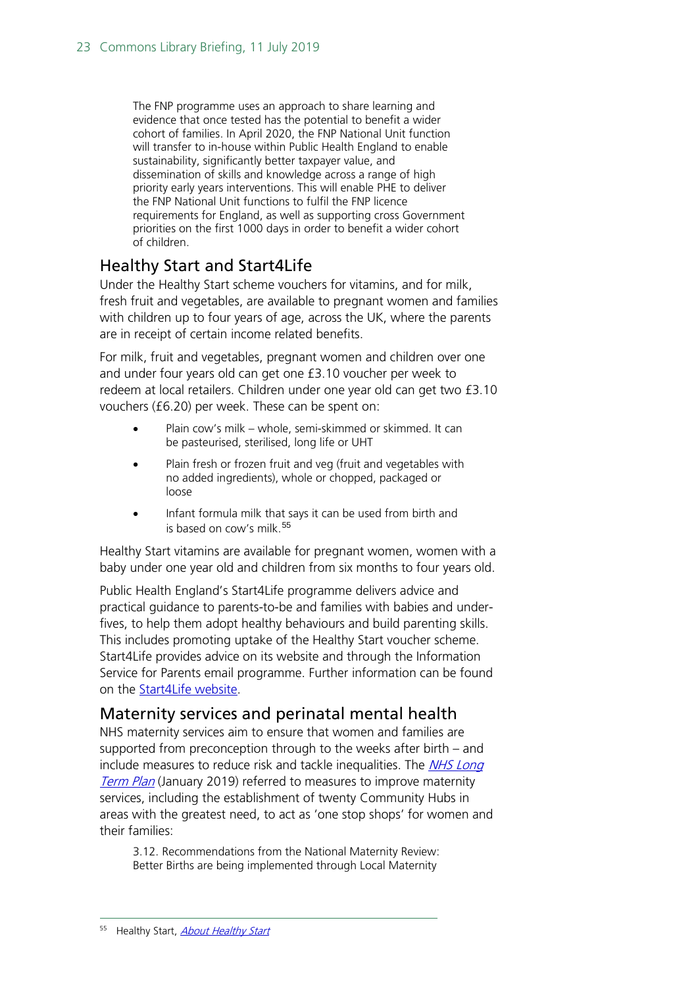The FNP programme uses an approach to share learning and evidence that once tested has the potential to benefit a wider cohort of families. In April 2020, the FNP National Unit function will transfer to in-house within Public Health England to enable sustainability, significantly better taxpayer value, and dissemination of skills and knowledge across a range of high priority early years interventions. This will enable PHE to deliver the FNP National Unit functions to fulfil the FNP licence requirements for England, as well as supporting cross Government priorities on the first 1000 days in order to benefit a wider cohort of children.

#### <span id="page-22-0"></span>Healthy Start and Start4Life

Under the Healthy Start scheme vouchers for vitamins, and for milk, fresh fruit and vegetables, are available to pregnant women and families with children up to four years of age, across the UK, where the parents are in receipt of certain income related benefits.

For milk, fruit and vegetables, pregnant women and children over one and under four years old can get one £3.10 voucher per week to redeem at local retailers. Children under one year old can get two £3.10 vouchers (£6.20) per week. These can be spent on:

- Plain cow's milk whole, semi-skimmed or skimmed. It can be pasteurised, sterilised, long life or UHT
- Plain fresh or frozen fruit and veg (fruit and vegetables with no added ingredients), whole or chopped, packaged or loose
- Infant formula milk that says it can be used from birth and is based on cow's milk.<sup>[55](#page-22-2)</sup>

Healthy Start vitamins are available for pregnant women, women with a baby under one year old and children from six months to four years old.

Public Health England's Start4Life programme delivers advice and practical guidance to parents-to-be and families with babies and underfives, to help them adopt healthy behaviours and build parenting skills. This includes promoting uptake of the Healthy Start voucher scheme. Start4Life provides advice on its website and through the Information Service for Parents email programme. Further information can be found on the [Start4Life](http://www.nhs.uk/start4life) website.

#### <span id="page-22-1"></span>Maternity services and perinatal mental health

NHS maternity services aim to ensure that women and families are supported from preconception through to the weeks after birth – and include measures to reduce risk and tackle inequalities. The *NHS Long* **[Term Plan](https://www.longtermplan.nhs.uk/)** (January 2019) referred to measures to improve maternity services, including the establishment of twenty Community Hubs in areas with the greatest need, to act as 'one stop shops' for women and their families:

<span id="page-22-2"></span>3.12. Recommendations from the National Maternity Review: Better Births are being implemented through Local Maternity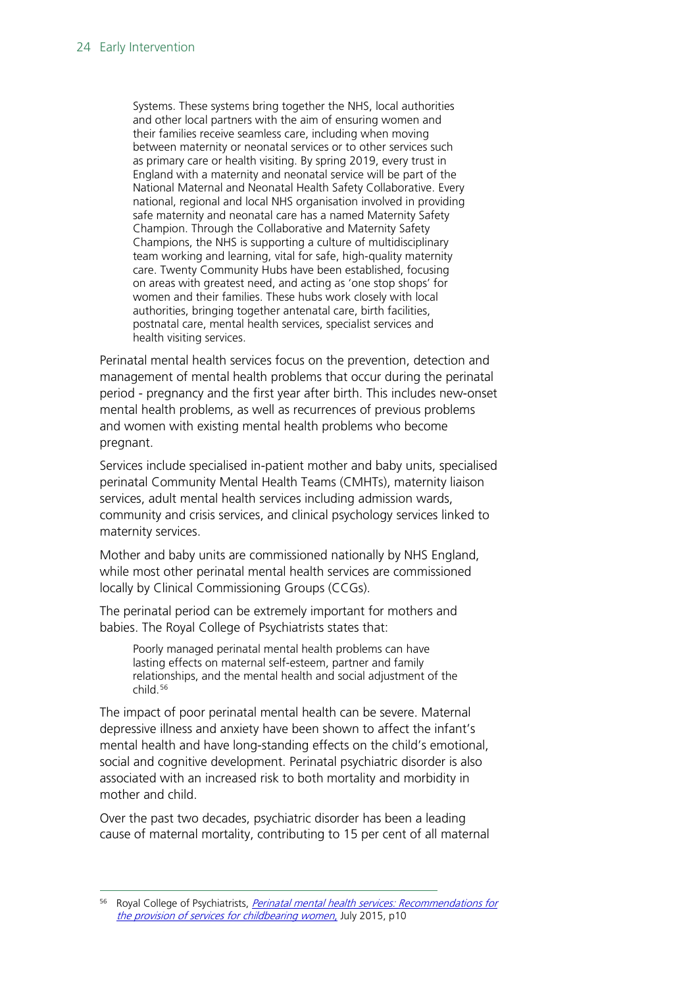Systems. These systems bring together the NHS, local authorities and other local partners with the aim of ensuring women and their families receive seamless care, including when moving between maternity or neonatal services or to other services such as primary care or health visiting. By spring 2019, every trust in England with a maternity and neonatal service will be part of the National Maternal and Neonatal Health Safety Collaborative. Every national, regional and local NHS organisation involved in providing safe maternity and neonatal care has a named Maternity Safety Champion. Through the Collaborative and Maternity Safety Champions, the NHS is supporting a culture of multidisciplinary team working and learning, vital for safe, high-quality maternity care. Twenty Community Hubs have been established, focusing on areas with greatest need, and acting as 'one stop shops' for women and their families. These hubs work closely with local authorities, bringing together antenatal care, birth facilities, postnatal care, mental health services, specialist services and health visiting services.

Perinatal mental health services focus on the prevention, detection and management of mental health problems that occur during the perinatal period - pregnancy and the first year after birth. This includes new-onset mental health problems, as well as recurrences of previous problems and women with existing mental health problems who become pregnant.

Services include specialised in-patient mother and baby units, specialised perinatal Community Mental Health Teams (CMHTs), maternity liaison services, adult mental health services including admission wards, community and crisis services, and clinical psychology services linked to maternity services.

Mother and baby units are commissioned nationally by NHS England, while most other perinatal mental health services are commissioned locally by Clinical Commissioning Groups (CCGs).

The perinatal period can be extremely important for mothers and babies. The Royal College of Psychiatrists states that:

Poorly managed perinatal mental health problems can have lasting effects on maternal self-esteem, partner and family relationships, and the mental health and social adjustment of the child. [56](#page-23-0)

The impact of poor perinatal mental health can be severe. Maternal depressive illness and anxiety have been shown to affect the infant's mental health and have long-standing effects on the child's emotional, social and cognitive development. Perinatal psychiatric disorder is also associated with an increased risk to both mortality and morbidity in mother and child.

Over the past two decades, psychiatric disorder has been a leading cause of maternal mortality, contributing to 15 per cent of all maternal

<span id="page-23-0"></span>Royal College of Psychiatrists, *Perinatal mental health services: Recommendations for* [the provision of services for childbearing women](https://www.rcpsych.ac.uk/docs/default-source/improving-care/better-mh-policy/college-reports/college-report-cr197.pdf?sfvrsn=57766e79_2), July 2015, p10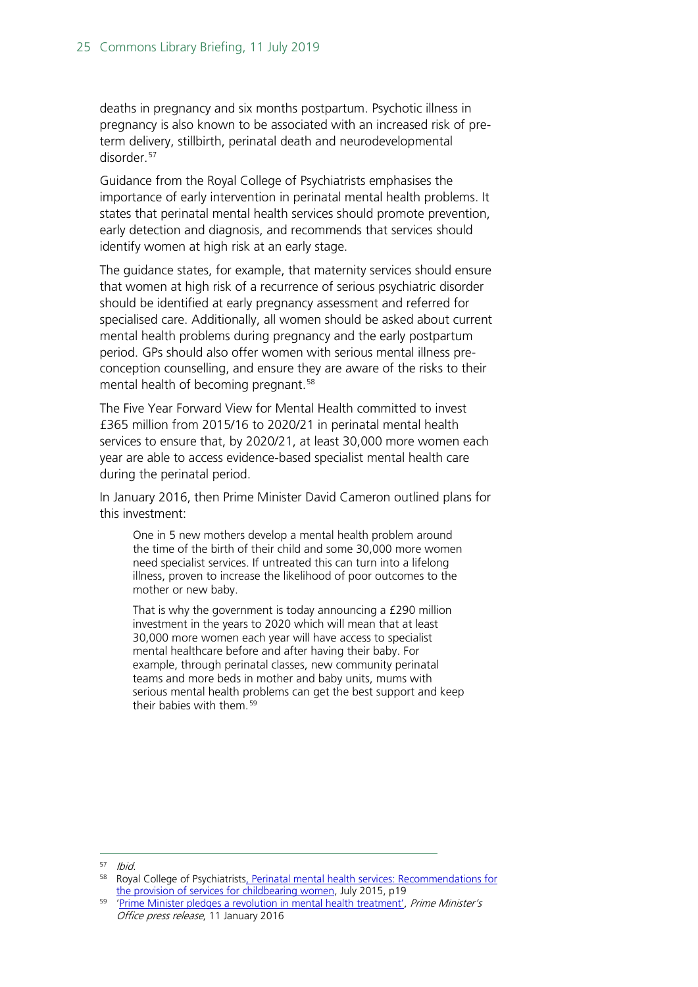deaths in pregnancy and six months postpartum. Psychotic illness in pregnancy is also known to be associated with an increased risk of preterm delivery, stillbirth, perinatal death and neurodevelopmental disorder. [57](#page-24-0)

Guidance from the Royal College of Psychiatrists emphasises the importance of early intervention in perinatal mental health problems. It states that perinatal mental health services should promote prevention, early detection and diagnosis, and recommends that services should identify women at high risk at an early stage.

The guidance states, for example, that maternity services should ensure that women at high risk of a recurrence of serious psychiatric disorder should be identified at early pregnancy assessment and referred for specialised care. Additionally, all women should be asked about current mental health problems during pregnancy and the early postpartum period. GPs should also offer women with serious mental illness preconception counselling, and ensure they are aware of the risks to their mental health of becoming pregnant.<sup>[58](#page-24-1)</sup>

The Five Year Forward View for Mental Health committed to invest £365 million from 2015/16 to 2020/21 in perinatal mental health services to ensure that, by 2020/21, at least 30,000 more women each year are able to access evidence-based specialist mental health care during the perinatal period.

In January 2016, then Prime Minister David Cameron outlined plans for this investment:

One in 5 new mothers develop a mental health problem around the time of the birth of their child and some 30,000 more women need specialist services. If untreated this can turn into a lifelong illness, proven to increase the likelihood of poor outcomes to the mother or new baby.

That is why the government is today announcing a £290 million investment in the years to 2020 which will mean that at least 30,000 more women each year will have access to specialist mental healthcare before and after having their baby. For example, through perinatal classes, new community perinatal teams and more beds in mother and baby units, mums with serious mental health problems can get the best support and keep their babies with them.<sup>[59](#page-24-2)</sup>

<span id="page-24-0"></span> $57$  Ibid.

<span id="page-24-1"></span><sup>58</sup> Royal College of Psychiatrist[s, Perinatal mental health services: Recommendations for](https://www.rcpsych.ac.uk/docs/default-source/improving-care/better-mh-policy/college-reports/college-report-cr197.pdf?sfvrsn=57766e79_2)  [the provision of services for childbearing women,](https://www.rcpsych.ac.uk/docs/default-source/improving-care/better-mh-policy/college-reports/college-report-cr197.pdf?sfvrsn=57766e79_2) July 2015, p19

<span id="page-24-2"></span><sup>&</sup>lt;sup>59</sup> ['Prime Minister pledges a revolution in mental health treatment',](https://www.gov.uk/government/news/prime-minister-pledges-a-revolution-in-mental-health-treatment) Prime Minister's Office press release, 11 January 2016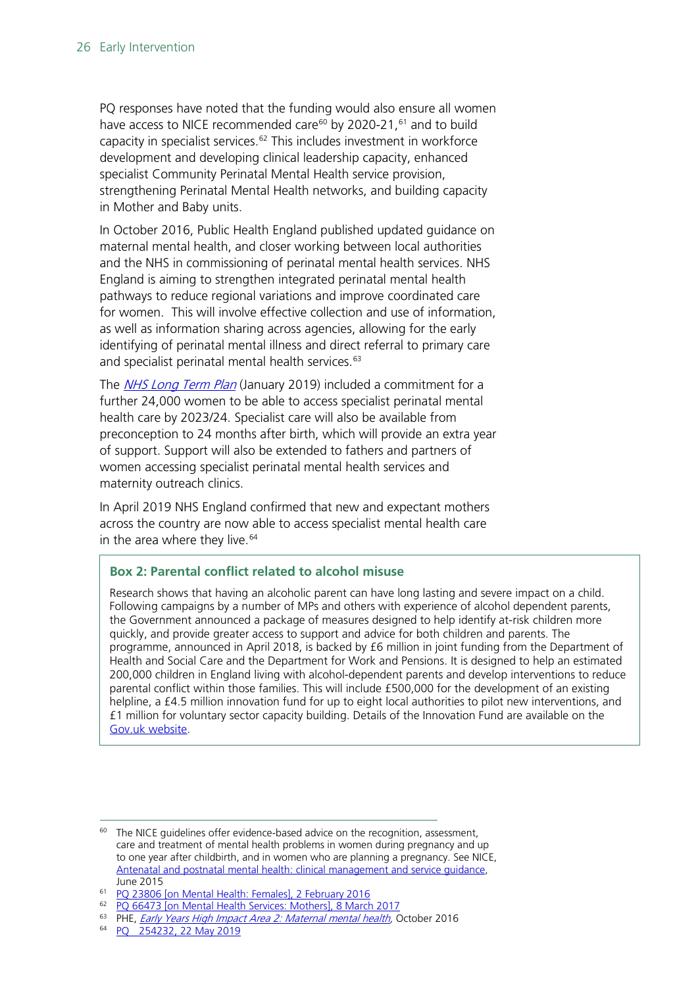PQ responses have noted that the funding would also ensure all women have access to NICE recommended care<sup>[60](#page-25-0)</sup> by 2020-21,<sup>[61](#page-25-1)</sup> and to build capacity in specialist services. [62](#page-25-2) This includes investment in workforce development and developing clinical leadership capacity, enhanced specialist Community Perinatal Mental Health service provision, strengthening Perinatal Mental Health networks, and building capacity in Mother and Baby units.

In October 2016, Public Health England published updated guidance on maternal mental health, and closer working between local authorities and the NHS in commissioning of perinatal mental health services. NHS England is aiming to strengthen integrated perinatal mental health pathways to reduce regional variations and improve coordinated care for women. This will involve effective collection and use of information, as well as information sharing across agencies, allowing for the early identifying of perinatal mental illness and direct referral to primary care and specialist perinatal mental health services.<sup>[63](#page-25-3)</sup>

The *[NHS Long Term Plan](https://www.longtermplan.nhs.uk/)* (January 2019) included a commitment for a further 24,000 women to be able to access specialist perinatal mental health care by 2023/24. Specialist care will also be available from preconception to 24 months after birth, which will provide an extra year of support. Support will also be extended to fathers and partners of women accessing specialist perinatal mental health services and maternity outreach clinics.

In April 2019 NHS England confirmed that new and expectant mothers across the country are now able to access specialist mental health care in the area where they live.<sup>[64](#page-25-4)</sup>

#### **Box 2: Parental conflict related to alcohol misuse**

Research shows that having an alcoholic parent can have long lasting and severe impact on a child. Following campaigns by a number of MPs and others with experience of alcohol dependent parents, the Government announced a package of measures designed to help identify at-risk children more quickly, and provide greater access to support and advice for both children and parents. The programme, announced in April 2018, is backed by £6 million in joint funding from the Department of Health and Social Care and the Department for Work and Pensions. It is designed to help an estimated 200,000 children in England living with alcohol-dependent parents and develop interventions to reduce parental conflict within those families. This will include £500,000 for the development of an existing helpline, a £4.5 million innovation fund for up to eight local authorities to pilot new interventions, and £1 million for voluntary sector capacity building. Details of the Innovation Fund are available on the [Gov.uk website.](http://www.gov.uk/government/news/innovation-fund-open-to-help-children-of-dependent-drinkers)

<span id="page-25-0"></span> $60$  The NICE quidelines offer evidence-based advice on the recognition, assessment, care and treatment of mental health problems in women during pregnancy and up to one year after childbirth, and in women who are planning a pregnancy. See NICE, [Antenatal and postnatal mental health: clinical management and service guidance,](https://www.nice.org.uk/guidance/cg192) June 2015

<span id="page-25-1"></span><sup>61</sup> [PQ 23806 \[on Mental Health: Females\], 2 February 2016](http://www.parliament.uk/written-questions-answers-statements/written-question/commons/2016-01-25/23806)

<span id="page-25-2"></span><sup>62</sup> [PQ 66473 \[on Mental Health Services: Mothers\], 8 March 2017](http://www.parliament.uk/written-questions-answers-statements/written-question/commons/2017-03-03/66473)

<span id="page-25-4"></span><span id="page-25-3"></span><sup>&</sup>lt;sup>63</sup> PHE, *Early Years High Impact Area 2: Maternal mental health*, October 2016<br><sup>64</sup> PO 254232. 22 May 2019

<sup>254 232, 22</sup> May 2019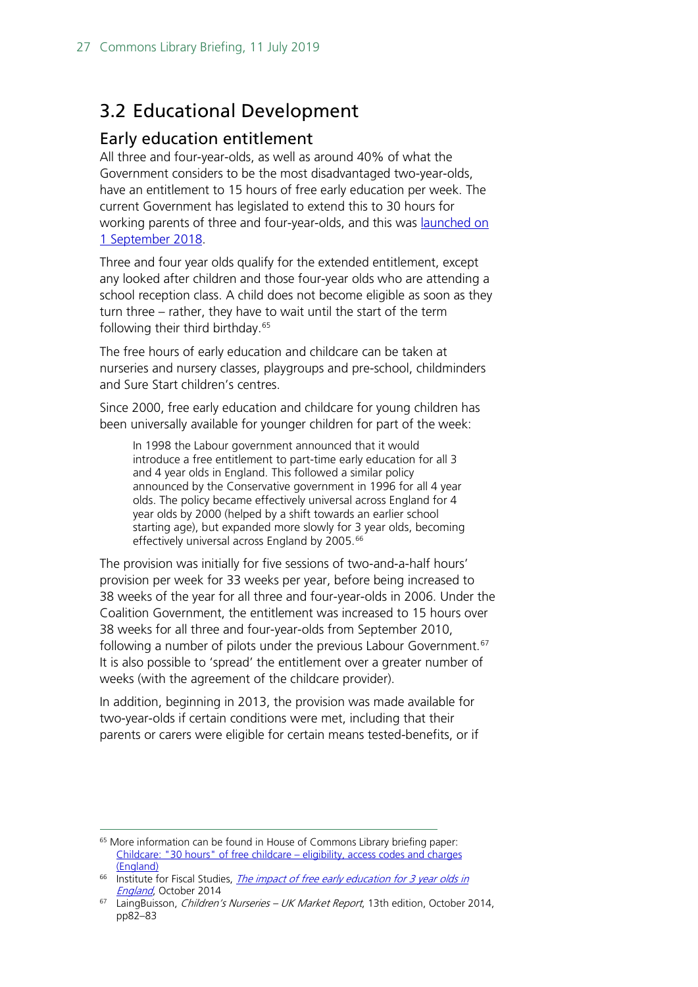## <span id="page-26-0"></span>3.2 Educational Development

#### <span id="page-26-1"></span>Early education entitlement

All three and four-year-olds, as well as around 40% of what the Government considers to be the most disadvantaged two-year-olds, have an entitlement to 15 hours of free early education per week. The current Government has legislated to extend this to 30 hours for working parents of three and four-year-olds, and this was **launched on** [1 September 2018.](https://www.gov.uk/government/news/30-hours-free-childcare-launches)

Three and four year olds qualify for the extended entitlement, except any looked after children and those four-year olds who are attending a school reception class. A child does not become eligible as soon as they turn three – rather, they have to wait until the start of the term following their third birthday.<sup>[65](#page-26-2)</sup>

The free hours of early education and childcare can be taken at nurseries and nursery classes, playgroups and pre-school, childminders and Sure Start children's centres.

Since 2000, free early education and childcare for young children has been universally available for younger children for part of the week:

In 1998 the Labour government announced that it would introduce a free entitlement to part-time early education for all 3 and 4 year olds in England. This followed a similar policy announced by the Conservative government in 1996 for all 4 year olds. The policy became effectively universal across England for 4 year olds by 2000 (helped by a shift towards an earlier school starting age), but expanded more slowly for 3 year olds, becoming effectively universal across England by 2005.<sup>[66](#page-26-3)</sup>

The provision was initially for five sessions of two-and-a-half hours' provision per week for 33 weeks per year, before being increased to 38 weeks of the year for all three and four-year-olds in 2006. Under the Coalition Government, the entitlement was increased to 15 hours over 38 weeks for all three and four-year-olds from September 2010, following a number of pilots under the previous Labour Government.<sup>[67](#page-26-4)</sup> It is also possible to 'spread' the entitlement over a greater number of weeks (with the agreement of the childcare provider).

In addition, beginning in 2013, the provision was made available for two-year-olds if certain conditions were met, including that their parents or carers were eligible for certain means tested-benefits, or if

<span id="page-26-2"></span> <sup>65</sup> More information can be found in House of Commons Library briefing paper: [Childcare: "30 hours" of free childcare –](https://researchbriefings.parliament.uk/ResearchBriefing/Summary/CBP-8051) eligibility, access codes and charges [\(England\)](https://researchbriefings.parliament.uk/ResearchBriefing/Summary/CBP-8051)

<span id="page-26-3"></span> $66$  Institute for Fiscal Studies, *The impact of free early education for 3 year olds in* [England](http://www.ifs.org.uk/uploads/publications/docs/MISOC%20Childcare%20briefing%20paper.pdf), October 2014

<span id="page-26-4"></span> $67$  LaingBuisson, *Children's Nurseries – UK Market Report*, 13th edition, October 2014, pp82–83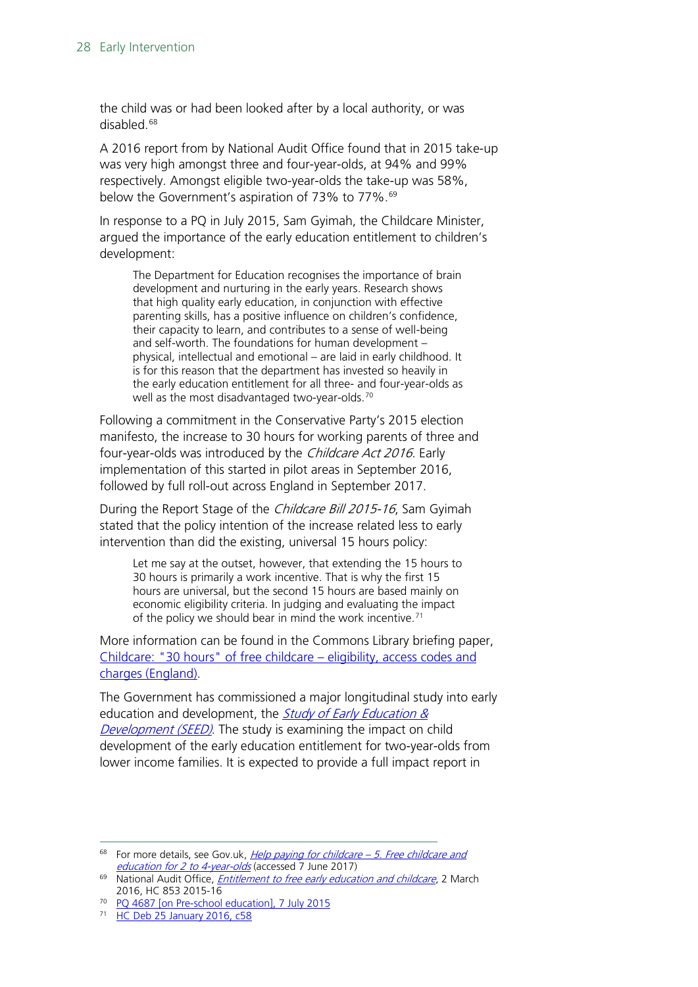the child was or had been looked after by a local authority, or was disabled. [68](#page-27-0)

A 2016 report from by National Audit Office found that in 2015 take-up was very high amongst three and four-year-olds, at 94% and 99% respectively. Amongst eligible two-year-olds the take-up was 58%, below the Government's aspiration of 73% to 77%.<sup>[69](#page-27-1)</sup>

In response to a PQ in July 2015, Sam Gyimah, the Childcare Minister, argued the importance of the early education entitlement to children's development:

The Department for Education recognises the importance of brain development and nurturing in the early years. Research shows that high quality early education, in conjunction with effective parenting skills, has a positive influence on children's confidence, their capacity to learn, and contributes to a sense of well-being and self-worth. The foundations for human development – physical, intellectual and emotional – are laid in early childhood. It is for this reason that the department has invested so heavily in the early education entitlement for all three- and four-year-olds as well as the most disadvantaged two-year-olds.<sup>[70](#page-27-2)</sup>

Following a commitment in the Conservative Party's 2015 election manifesto, the increase to 30 hours for working parents of three and four-year-olds was introduced by the Childcare Act 2016. Early implementation of this started in pilot areas in September 2016, followed by full roll-out across England in September 2017.

During the Report Stage of the Childcare Bill 2015-16, Sam Gyimah stated that the policy intention of the increase related less to early intervention than did the existing, universal 15 hours policy:

Let me say at the outset, however, that extending the 15 hours to 30 hours is primarily a work incentive. That is why the first 15 hours are universal, but the second 15 hours are based mainly on economic eligibility criteria. In judging and evaluating the impact of the policy we should bear in mind the work incentive.<sup>[71](#page-27-3)</sup>

More information can be found in the Commons Library briefing paper, [Childcare: "30 hours" of free childcare –](https://researchbriefings.parliament.uk/ResearchBriefing/Summary/CBP-8051) eligibility, access codes and [charges \(England\).](https://researchbriefings.parliament.uk/ResearchBriefing/Summary/CBP-8051)

The Government has commissioned a major longitudinal study into early education and development, the *Study of Early Education &* [Development \(SEED\)](http://www.seed.natcen.ac.uk/). The study is examining the impact on child development of the early education entitlement for two-year-olds from lower income families. It is expected to provide a full impact report in

<span id="page-27-0"></span> $68$  For more details, see Gov.uk, *[Help paying for childcare –](https://www.gov.uk/help-with-childcare-costs/free-childcare-and-education-for-2-to-4-year-olds) 5. Free childcare and* [education for 2 to 4-year-olds](https://www.gov.uk/help-with-childcare-costs/free-childcare-and-education-for-2-to-4-year-olds) (accessed 7 June 2017)

<span id="page-27-1"></span><sup>&</sup>lt;sup>69</sup> National Audit Office, *[Entitlement to free early education and childcare](https://www.nao.org.uk/wp-content/uploads/2016/03/Entitlement-to-free-early-education-and-childcare.pdf)*, 2 March 2016, HC 853 2015-16

<span id="page-27-2"></span><sup>&</sup>lt;sup>70</sup> [PQ 4687 \[on Pre-school education\], 7 July 2015](http://www.parliament.uk/written-questions-answers-statements/written-question/commons/2015-06-29/4687)

<span id="page-27-3"></span><sup>71</sup> [HC Deb 25 January 2016, c58](http://www.publications.parliament.uk/pa/cm201516/cmhansrd/cm160125/debtext/160125-0002.htm#1601259000059)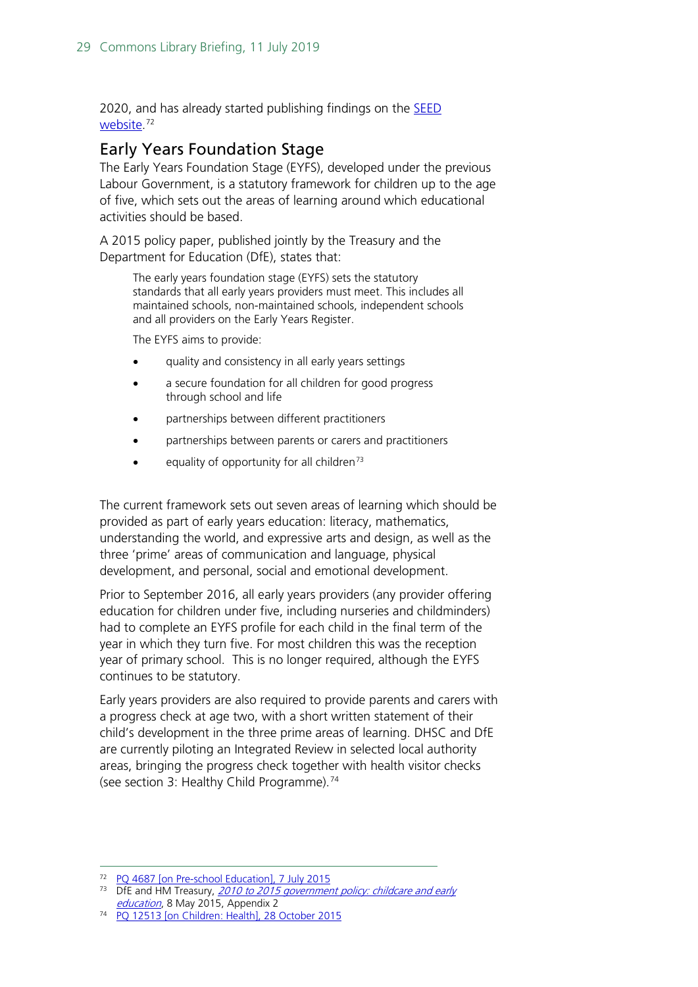2020, and has already started publishing findings on the **SEED** <u>website</u>.<sup>[72](#page-28-1)</sup>

#### <span id="page-28-0"></span>Early Years Foundation Stage

The Early Years Foundation Stage (EYFS), developed under the previous Labour Government, is a statutory framework for children up to the age of five, which sets out the areas of learning around which educational activities should be based.

A 2015 policy paper, published jointly by the Treasury and the Department for Education (DfE), states that:

The early years foundation stage (EYFS) sets the statutory standards that all early years providers must meet. This includes all maintained schools, non-maintained schools, independent schools and all providers on the Early Years Register.

The EYFS aims to provide:

- quality and consistency in all early years settings
- a secure foundation for all children for good progress through school and life
- partnerships between different practitioners
- partnerships between parents or carers and practitioners
- equality of opportunity for all children<sup>[73](#page-28-2)</sup>

The current framework sets out seven areas of learning which should be provided as part of early years education: literacy, mathematics, understanding the world, and expressive arts and design, as well as the three 'prime' areas of communication and language, physical development, and personal, social and emotional development.

Prior to September 2016, all early years providers (any provider offering education for children under five, including nurseries and childminders) had to complete an EYFS profile for each child in the final term of the year in which they turn five. For most children this was the reception year of primary school. This is no longer required, although the EYFS continues to be statutory.

Early years providers are also required to provide parents and carers with a progress check at age two, with a short written statement of their child's development in the three prime areas of learning. DHSC and DfE are currently piloting an Integrated Review in selected local authority areas, bringing the progress check together with health visitor checks (see section 3: Healthy Child Programme).<sup>[74](#page-28-3)</sup>

<span id="page-28-1"></span> <sup>72</sup> [PQ 4687 \[on Pre-school Education\], 7 July 2015](http://www.parliament.uk/written-questions-answers-statements/written-question/commons/2015-06-29/4687)

<span id="page-28-2"></span><sup>&</sup>lt;sup>73</sup> DfE and HM Treasury, 2010 to 2015 government policy: childcare and early [education](https://www.gov.uk/government/publications/2010-to-2015-government-policy-childcare-and-early-education/2010-to-2015-government-policy-childcare-and-early-education#appendix-2-early-years-foundation-stage), 8 May 2015, Appendix 2

<span id="page-28-3"></span>[PQ 12513 \[on Children: Health\], 28 October 2015](http://www.parliament.uk/written-questions-answers-statements/written-question/commons/2015-10-20/12513)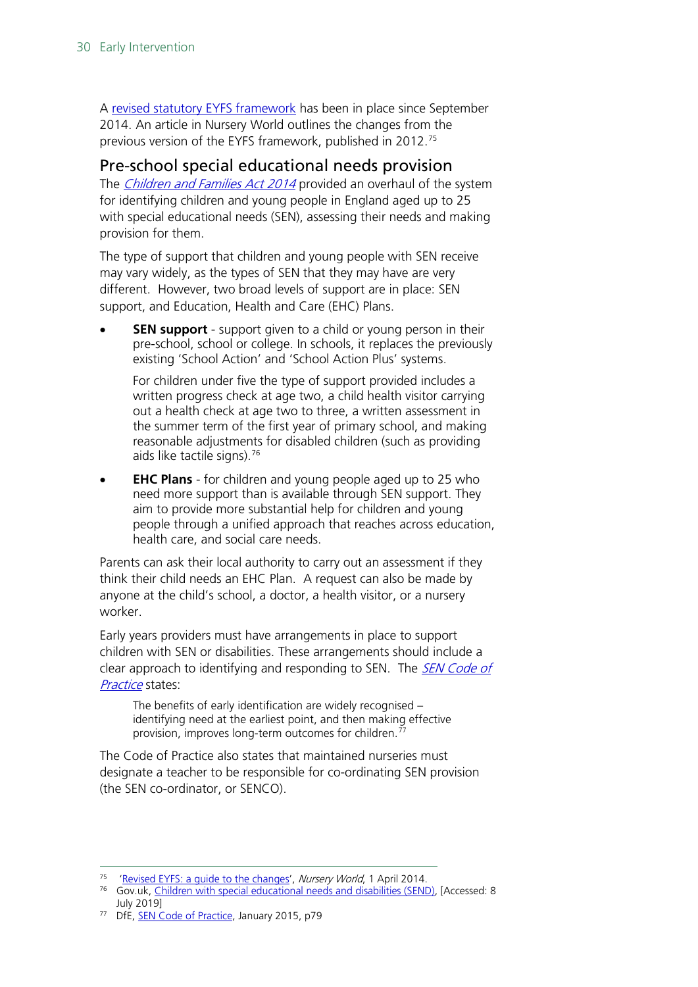A [revised statutory EYFS framework](https://www.gov.uk/government/publications/early-years-foundation-stage-framework--2#history) has been in place since September 2014. An article in Nursery World outlines the changes from the previous version of the EYFS framework, published in 2012. [75](#page-29-1)

#### <span id="page-29-0"></span>Pre-school special educational needs provision

The *[Children and Families Act 2014](http://www.legislation.gov.uk/ukpga/2014/6/contents/enacted)* provided an overhaul of the system for identifying children and young people in England aged up to 25 with special educational needs (SEN), assessing their needs and making provision for them.

The type of support that children and young people with SEN receive may vary widely, as the types of SEN that they may have are very different. However, two broad levels of support are in place: SEN support, and Education, Health and Care (EHC) Plans.

**SEN support** - support given to a child or young person in their pre-school, school or college. In schools, it replaces the previously existing 'School Action' and 'School Action Plus' systems.

For children under five the type of support provided includes a written progress check at age two, a child health visitor carrying out a health check at age two to three, a written assessment in the summer term of the first year of primary school, and making reasonable adjustments for disabled children (such as providing aids like tactile signs).<sup>[76](#page-29-2)</sup>

• **EHC Plans** - for children and young people aged up to 25 who need more support than is available through SEN support. They aim to provide more substantial help for children and young people through a unified approach that reaches across education, health care, and social care needs.

Parents can ask their local authority to carry out an assessment if they think their child needs an EHC Plan. A request can also be made by anyone at the child's school, a doctor, a health visitor, or a nursery worker.

Early years providers must have arrangements in place to support children with SEN or disabilities. These arrangements should include a clear approach to identifying and responding to SEN. The *SEN Code of* [Practice](https://www.gov.uk/government/uploads/system/uploads/attachment_data/file/398815/SEND_Code_of_Practice_January_2015.pdf) states:

The benefits of early identification are widely recognised – identifying need at the earliest point, and then making effective provision, improves long-term outcomes for children.[77](#page-29-3)

The Code of Practice also states that maintained nurseries must designate a teacher to be responsible for co-ordinating SEN provision (the SEN co-ordinator, or SENCO).

<span id="page-29-2"></span><span id="page-29-1"></span><sup>&</sup>lt;sup>75</sup> 'Revised EYFS: a guide to the changes', Nursery World, 1 April 2014.<br><sup>76</sup> Gov.uk, [Children with special educational needs and disabilities \(SEND\),](https://www.gov.uk/children-with-special-educational-needs/special-educational-needs-support) [Accessed: 8 July 2019]

<span id="page-29-3"></span><sup>&</sup>lt;sup>77</sup> DfE, **SEN Code of Practice**, January 2015, p79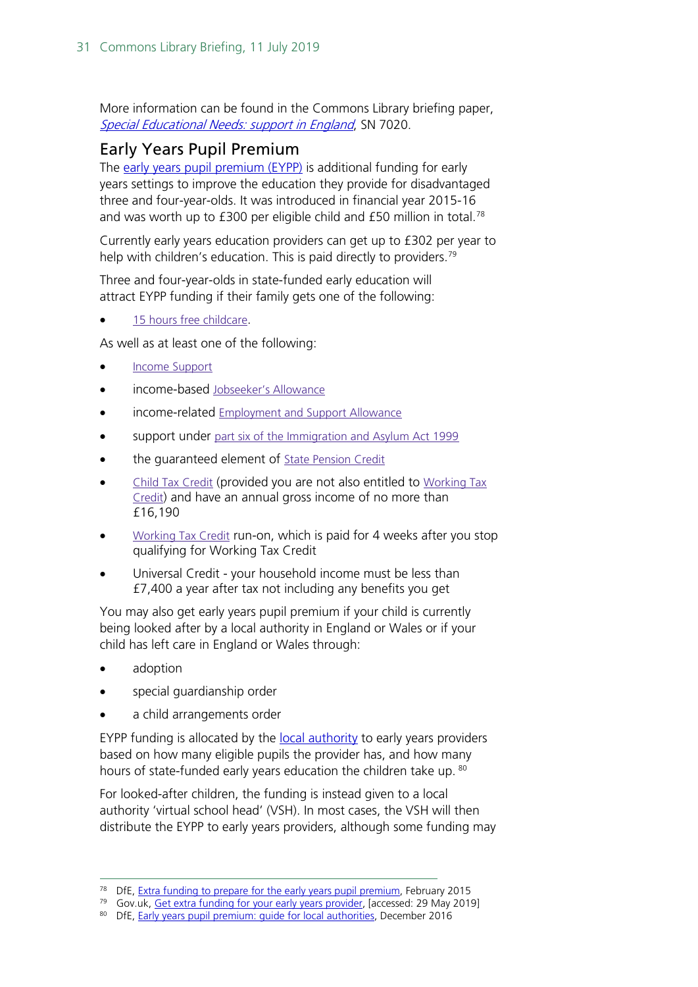More information can be found in the Commons Library briefing paper, [Special Educational Needs: support in England](http://researchbriefings.parliament.uk/ResearchBriefing/Summary/SN07020), SN 7020.

#### <span id="page-30-0"></span>Early Years Pupil Premium

The [early years pupil premium \(EYPP\)](https://www.gov.uk/get-extra-early-years-funding) is additional funding for early years settings to improve the education they provide for disadvantaged three and four-year-olds. It was introduced in financial year 2015-16 and was worth up to  $£300$  per eligible child and  $£50$  million in total.<sup>[78](#page-30-1)</sup>

Currently early years education providers can get up to £302 per year to help with children's education. This is paid directly to providers.<sup>[79](#page-30-2)</sup>

Three and four-year-olds in state-funded early education will attract EYPP funding if their family gets one of the following:

15 hours free [childcare.](https://www.gov.uk/help-with-childcare-costs/free-childcare-and-education-for-2-to-4-year-olds)

As well as at least one of the following:

- Income [Support](https://www.gov.uk/income-support)
- income-based [Jobseeker's](https://www.gov.uk/jobseekers-allowance) Allowance
- income-related **[Employment](https://www.gov.uk/employment-support-allowance) and Support Allowance**
- support under part six of the [Immigration](http://www.legislation.gov.uk/ukpga/1999/33/part/VI) and Asylum Act 1999
- the guaranteed element of State [Pension](https://www.gov.uk/pension-credit) Credit
- Child Tax [Credit](https://www.gov.uk/child-tax-credit) (provided you are not also entitled to [Working](https://www.gov.uk/working-tax-credit) Tax [Credit\)](https://www.gov.uk/working-tax-credit) and have an annual gross income of no more than £16,190
- [Working](https://www.gov.uk/working-tax-credit) Tax Credit run-on, which is paid for 4 weeks after you stop qualifying for Working Tax Credit
- Universal Credit your household income must be less than £7,400 a year after tax not including any benefits you get

You may also get early years pupil premium if your child is currently being looked after by a local authority in England or Wales or if your child has left care in England or Wales through:

- adoption
- special guardianship order
- a child arrangements order

EYPP funding is allocated by the [local authority](https://www.gov.uk/find-local-council) to early years providers based on how many eligible pupils the provider has, and how many hours of state-funded early years education the children take up. [80](#page-30-3)

For looked-after children, the funding is instead given to a local authority 'virtual school head' (VSH). In most cases, the VSH will then distribute the EYPP to early years providers, although some funding may

<span id="page-30-1"></span><sup>&</sup>lt;sup>78</sup> DfE, [Extra funding to prepare for the](https://www.gov.uk/government/news/extra-funding-to-prepare-for-the-early-years-pupil-premium) early years pupil premium, February 2015

<span id="page-30-2"></span><sup>&</sup>lt;sup>79</sup> Gov.uk, [Get extra funding for your early years provider,](https://www.gov.uk/get-extra-early-years-funding) [accessed: 29 May 2019]

<span id="page-30-3"></span><sup>80</sup> DfE, Early years pupil premium: quide for local authorities, December 2016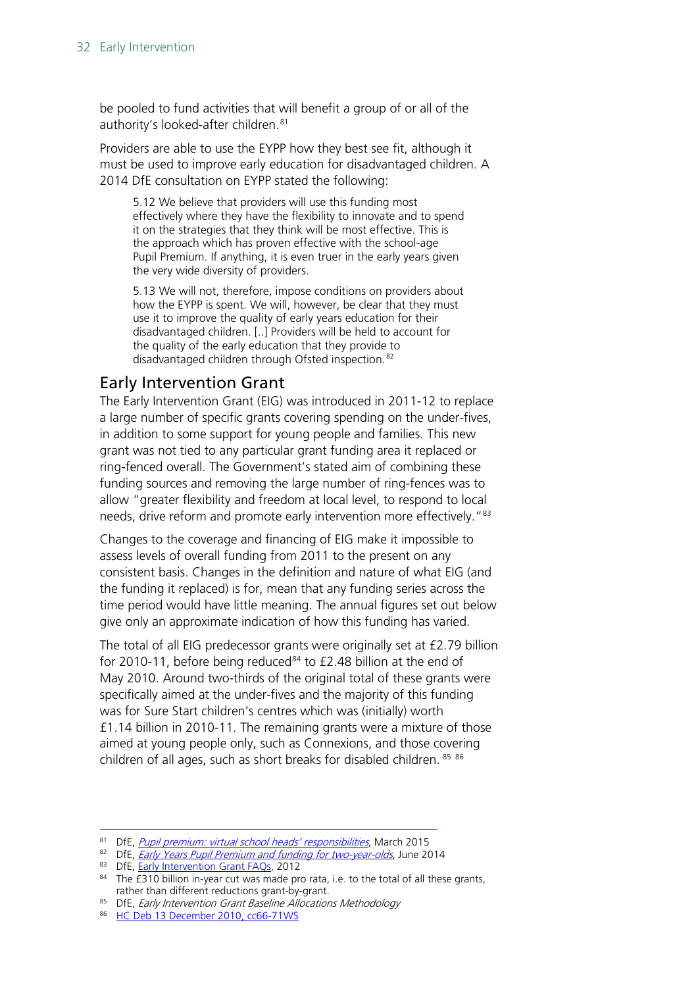be pooled to fund activities that will benefit a group of or all of the authority's looked-after children.<sup>[81](#page-31-1)</sup>

Providers are able to use the EYPP how they best see fit, although it must be used to improve early education for disadvantaged children. A 2014 DfE consultation on EYPP stated the following:

5.12 We believe that providers will use this funding most effectively where they have the flexibility to innovate and to spend it on the strategies that they think will be most effective. This is the approach which has proven effective with the school-age Pupil Premium. If anything, it is even truer in the early years given the very wide diversity of providers.

5.13 We will not, therefore, impose conditions on providers about how the EYPP is spent. We will, however, be clear that they must use it to improve the quality of early years education for their disadvantaged children. [..] Providers will be held to account for the quality of the early education that they provide to disadvantaged children through Ofsted inspection.<sup>[82](#page-31-2)</sup>

#### <span id="page-31-0"></span>Early Intervention Grant

The Early Intervention Grant (EIG) was introduced in 2011-12 to replace a large number of specific grants covering spending on the under-fives, in addition to some support for young people and families. This new grant was not tied to any particular grant funding area it replaced or ring-fenced overall. The Government's stated aim of combining these funding sources and removing the large number of ring-fences was to allow "greater flexibility and freedom at local level, to respond to local needs, drive reform and promote early intervention more effectively."<sup>[83](#page-31-3)</sup>

Changes to the coverage and financing of EIG make it impossible to assess levels of overall funding from 2011 to the present on any consistent basis. Changes in the definition and nature of what EIG (and the funding it replaced) is for, mean that any funding series across the time period would have little meaning. The annual figures set out below give only an approximate indication of how this funding has varied.

The total of all EIG predecessor grants were originally set at £2.79 billion for 2010-11, before being reduced $84$  to £2.48 billion at the end of May 2010. Around two-thirds of the original total of these grants were specifically aimed at the under-fives and the majority of this funding was for Sure Start children's centres which was (initially) worth £1.14 billion in 2010-11. The remaining grants were a mixture of those aimed at young people only, such as Connexions, and those covering children of all ages, such as short breaks for disabled children. [85](#page-31-5) [86](#page-31-6)

<span id="page-31-1"></span><sup>81</sup> DfE, [Pupil premium: virtual school heads' responsibilities](https://www.gov.uk/guidance/pupil-premium-virtual-school-heads-responsibilities), March 2015

<span id="page-31-2"></span><sup>82</sup> DfE, *[Early Years Pupil Premium and funding for two-year-olds](https://www.gov.uk/government/uploads/system/uploads/attachment_data/file/323495/EY_Funding_ConDoc_-Branded_final_with_foreword.pdf)*, June 2014

<sup>83</sup> DfE, [Early Intervention Grant FAQs,](http://webarchive.nationalarchives.gov.uk/20130123124929/http:/www.education.gov.uk/childrenandyoungpeople/earlylearningandchildcare/delivery/funding/a0070357/eig-faqs) 2012

<span id="page-31-4"></span><span id="page-31-3"></span><sup>&</sup>lt;sup>84</sup> The £310 billion in-year cut was made pro rata, i.e. to the total of all these grants, rather than different reductions grant-by-grant.

<span id="page-31-5"></span><sup>85</sup> DfE, Early Intervention Grant Baseline Allocations Methodology

<span id="page-31-6"></span><sup>86</sup> [HC Deb 13 December 2010, cc66-71WS](http://www.publications.parliament.uk/pa/cm201011/cmhansrd/cm101213/wmstext/101213m0001.htm#10121320000016)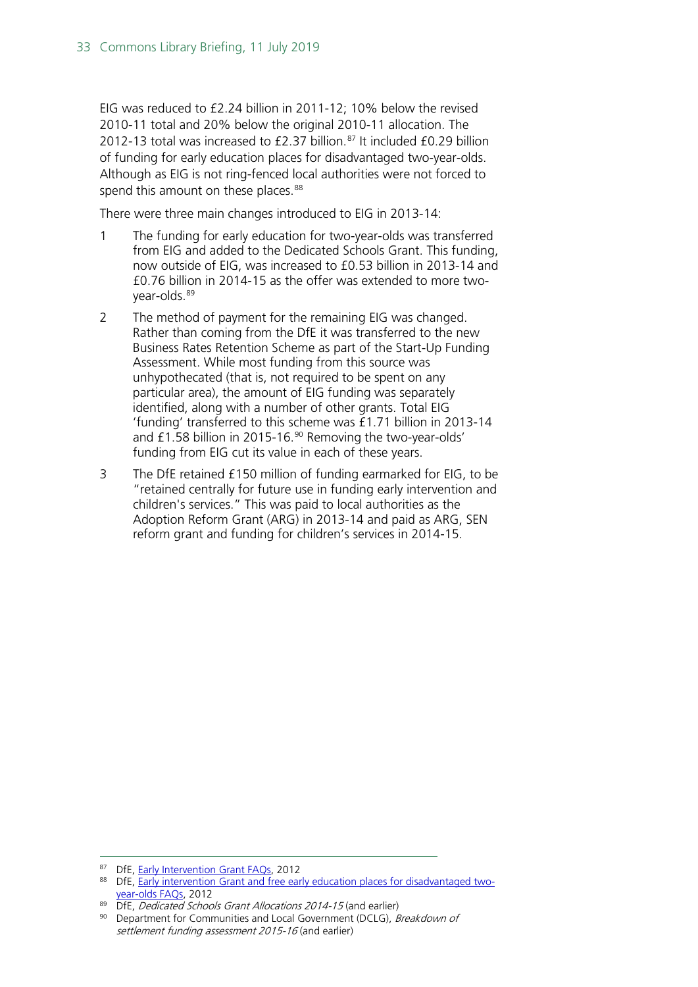EIG was reduced to £2.24 billion in 2011-12; 10% below the revised 2010-11 total and 20% below the original 2010-11 allocation. The 2012-13 total was increased to  $£2.37$  billion.<sup>[87](#page-32-0)</sup> It included £0.29 billion of funding for early education places for disadvantaged two-year-olds. Although as EIG is not ring-fenced local authorities were not forced to spend this amount on these places.<sup>[88](#page-32-1)</sup>

There were three main changes introduced to EIG in 2013-14:

- 1 The funding for early education for two-year-olds was transferred from EIG and added to the Dedicated Schools Grant. This funding, now outside of EIG, was increased to £0.53 billion in 2013-14 and £0.76 billion in 2014-15 as the offer was extended to more twoyear-olds.[89](#page-32-2)
- 2 The method of payment for the remaining EIG was changed. Rather than coming from the DfE it was transferred to the new Business Rates Retention Scheme as part of the Start-Up Funding Assessment. While most funding from this source was unhypothecated (that is, not required to be spent on any particular area), the amount of EIG funding was separately identified, along with a number of other grants. Total EIG 'funding' transferred to this scheme was £1.71 billion in 2013-14 and £1.58 billion in 2015-16. [90](#page-32-3) Removing the two-year-olds' funding from EIG cut its value in each of these years.
- 3 The DfE retained £150 million of funding earmarked for EIG, to be "retained centrally for future use in funding early intervention and children's services." This was paid to local authorities as the Adoption Reform Grant (ARG) in 2013-14 and paid as ARG, SEN reform grant and funding for children's services in 2014-15.

<span id="page-32-0"></span><sup>87</sup> DfE, [Early Intervention Grant FAQs,](http://webarchive.nationalarchives.gov.uk/20130123124929/http:/www.education.gov.uk/childrenandyoungpeople/earlylearningandchildcare/delivery/funding/a0070357/eig-faqs) 2012

<span id="page-32-1"></span><sup>88</sup> DfE, [Early intervention Grant and free early education places for disadvantaged two](http://webarchive.nationalarchives.gov.uk/20130123124929/http:/www.education.gov.uk/childrenandyoungpeople/earlylearningandchildcare/delivery/free%20entitlement%20to%20early%20education/a0070230/eigel)[year-olds FAQs,](http://webarchive.nationalarchives.gov.uk/20130123124929/http:/www.education.gov.uk/childrenandyoungpeople/earlylearningandchildcare/delivery/free%20entitlement%20to%20early%20education/a0070230/eigel) 2012

 $89$  DfE, *Dedicated Schools Grant Allocations 2014-15* (and earlier)

<span id="page-32-3"></span><span id="page-32-2"></span><sup>&</sup>lt;sup>90</sup> Department for Communities and Local Government (DCLG), Breakdown of settlement funding assessment 2015-16 (and earlier)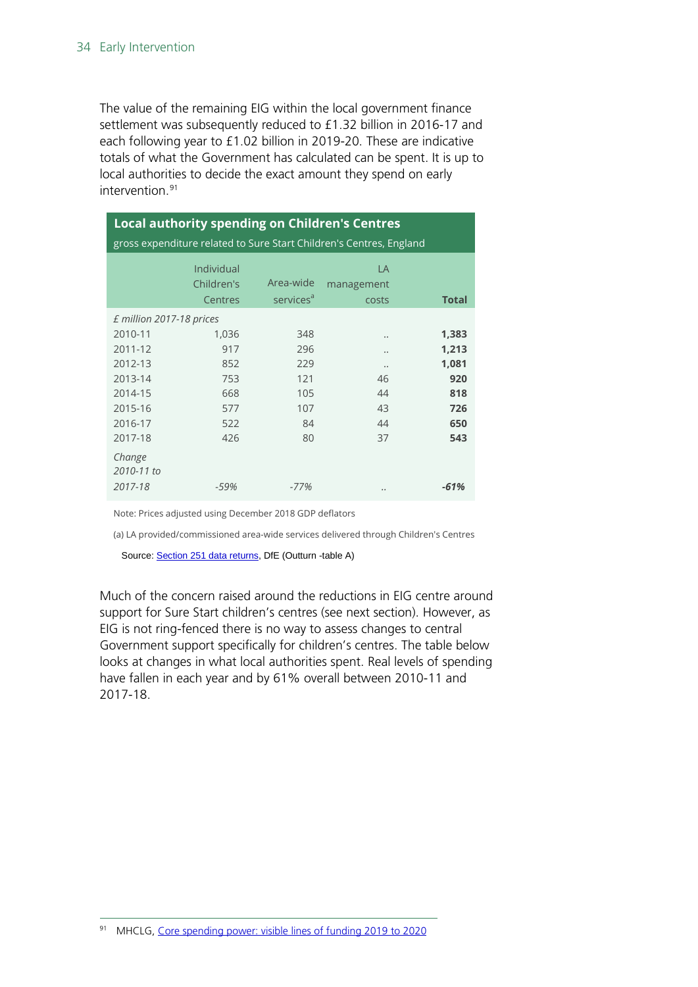The value of the remaining EIG within the local government finance settlement was subsequently reduced to £1.32 billion in 2016-17 and each following year to £1.02 billion in 2019-20. These are indicative totals of what the Government has calculated can be spent. It is up to local authorities to decide the exact amount they spend on early intervention.<sup>[91](#page-33-0)</sup>

| <b>Local authority spending on Children's Centres</b><br>gross expenditure related to Sure Start Children's Centres, England |                                                        |                                                    |                                        |                                                            |  |  |
|------------------------------------------------------------------------------------------------------------------------------|--------------------------------------------------------|----------------------------------------------------|----------------------------------------|------------------------------------------------------------|--|--|
|                                                                                                                              | Individual<br>Children's<br><b>Centres</b>             | Area-wide<br>services <sup>a</sup>                 | LA<br>management<br>costs              | <b>Total</b>                                               |  |  |
| £ million 2017-18 prices<br>2010-11<br>2011-12<br>2012-13<br>2013-14<br>2014-15<br>2015-16<br>2016-17<br>2017-18             | 1,036<br>917<br>852<br>753<br>668<br>577<br>522<br>426 | 348<br>296<br>229<br>121<br>105<br>107<br>84<br>80 | <br><br><br>46<br>44<br>43<br>44<br>37 | 1,383<br>1,213<br>1,081<br>920<br>818<br>726<br>650<br>543 |  |  |
| Change<br>2010-11 to<br>2017-18                                                                                              | -59%                                                   | $-77%$                                             |                                        | $-61%$                                                     |  |  |

Note: Prices adjusted using December 2018 GDP deflators

(a) LA provided/commissioned area-wide services delivered through Children's Centres

Source[: Section 251 data returns,](https://www.gov.uk/guidance/section-251-2017-to-2018#section-251-outturn-data) DfE (Outturn -table A)

<span id="page-33-0"></span>Much of the concern raised around the reductions in EIG centre around support for Sure Start children's centres (see next section). However, as EIG is not ring-fenced there is no way to assess changes to central Government support specifically for children's centres. The table below looks at changes in what local authorities spent. Real levels of spending have fallen in each year and by 61% overall between 2010-11 and 2017-18.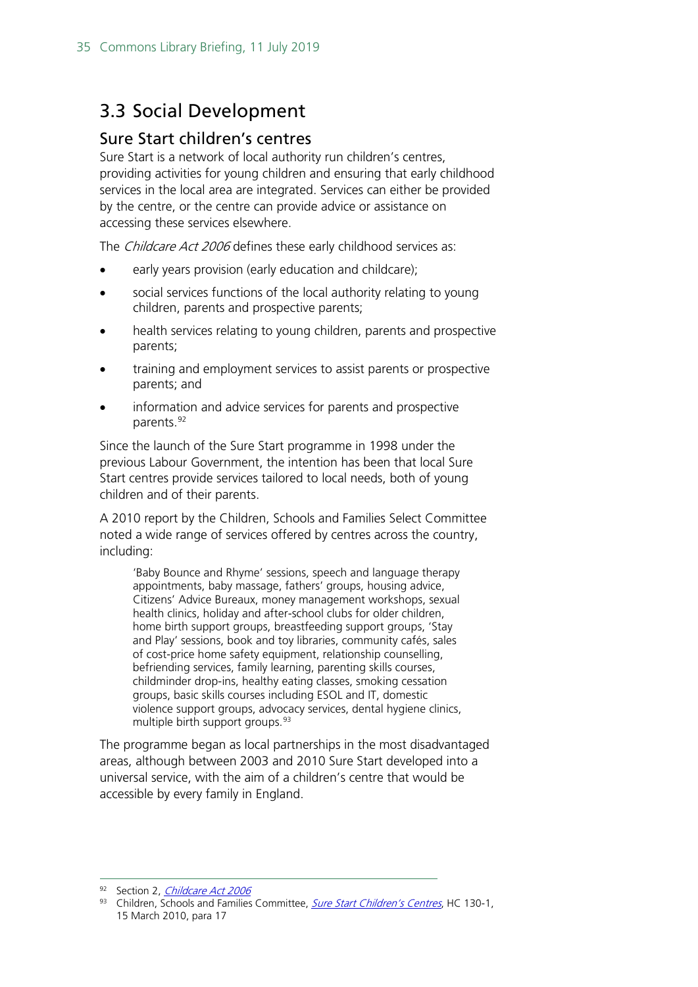## <span id="page-34-0"></span>3.3 Social Development

#### <span id="page-34-1"></span>Sure Start children's centres

Sure Start is a network of local authority run children's centres, providing activities for young children and ensuring that early childhood services in the local area are integrated. Services can either be provided by the centre, or the centre can provide advice or assistance on accessing these services elsewhere.

The *Childcare Act 2006* defines these early childhood services as:

- early years provision (early education and childcare);
- social services functions of the local authority relating to young children, parents and prospective parents;
- health services relating to young children, parents and prospective parents;
- training and employment services to assist parents or prospective parents; and
- information and advice services for parents and prospective parents.<sup>[92](#page-34-2)</sup>

Since the launch of the Sure Start programme in 1998 under the previous Labour Government, the intention has been that local Sure Start centres provide services tailored to local needs, both of young children and of their parents.

A 2010 report by the Children, Schools and Families Select Committee noted a wide range of services offered by centres across the country, including:

'Baby Bounce and Rhyme' sessions, speech and language therapy appointments, baby massage, fathers' groups, housing advice, Citizens' Advice Bureaux, money management workshops, sexual health clinics, holiday and after-school clubs for older children, home birth support groups, breastfeeding support groups, 'Stay and Play' sessions, book and toy libraries, community cafés, sales of cost-price home safety equipment, relationship counselling, befriending services, family learning, parenting skills courses, childminder drop-ins, healthy eating classes, smoking cessation groups, basic skills courses including ESOL and IT, domestic violence support groups, advocacy services, dental hygiene clinics, multiple birth support groups.<sup>[93](#page-34-3)</sup>

The programme began as local partnerships in the most disadvantaged areas, although between 2003 and 2010 Sure Start developed into a universal service, with the aim of a children's centre that would be accessible by every family in England.

<sup>92</sup> Section 2, *[Childcare Act 2006](http://www.legislation.gov.uk/ukpga/2006/21/section/2)* 

<span id="page-34-3"></span><span id="page-34-2"></span><sup>93</sup> Children, Schools and Families Committee, [Sure Start Children's Centres](http://www.publications.parliament.uk/pa/cm200910/cmselect/cmchilsch/130/130i.pdf), HC 130-1, 15 March 2010, para 17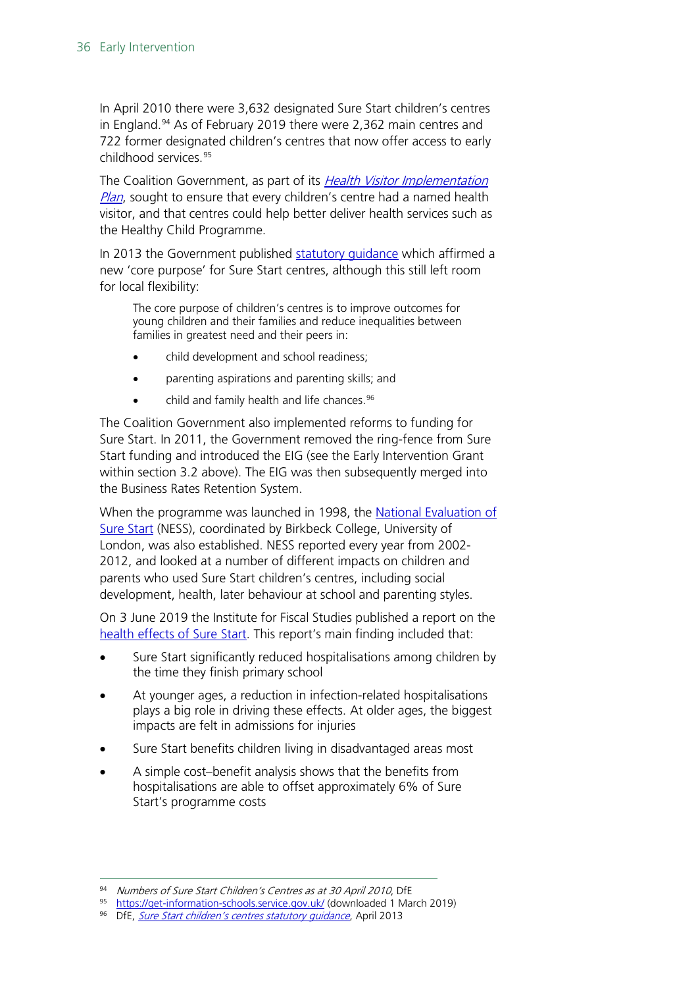In April 2010 there were 3,632 designated Sure Start children's centres in England. [94](#page-35-0) As of February 2019 there were 2,362 main centres and 722 former designated children's centres that now offer access to early childhood services.[95](#page-35-1)

The Coalition Government, as part of its *Health Visitor Implementation* [Plan](https://www.gov.uk/government/uploads/system/uploads/attachment_data/file/213110/Health-visitor-implementation-plan.pdf), sought to ensure that every children's centre had a named health visitor, and that centres could help better deliver health services such as the Healthy Child Programme.

In 2013 the Government published [statutory guidance](https://www.gov.uk/government/uploads/system/uploads/attachment_data/file/273768/childrens_centre_stat_guidance_april_2013.pdf) which affirmed a new 'core purpose' for Sure Start centres, although this still left room for local flexibility:

The core purpose of children's centres is to improve outcomes for young children and their families and reduce inequalities between families in greatest need and their peers in:

- child development and school readiness;
- parenting aspirations and parenting skills; and
- $\bullet$  child and family health and life chances.  $96$

The Coalition Government also implemented reforms to funding for Sure Start. In 2011, the Government removed the ring-fence from Sure Start funding and introduced the EIG (see the Early Intervention Grant within section 3.2 above). The EIG was then subsequently merged into the Business Rates Retention System.

When the programme was launched in 1998, the [National Evaluation of](http://www.ness.bbk.ac.uk/)  [Sure Start](http://www.ness.bbk.ac.uk/) (NESS), coordinated by Birkbeck College, University of London, was also established. NESS reported every year from 2002- 2012, and looked at a number of different impacts on children and parents who used Sure Start children's centres, including social development, health, later behaviour at school and parenting styles.

On 3 June 2019 the Institute for Fiscal Studies published a report on the [health effects of Sure Start.](https://www.ifs.org.uk/publications/14139) This report's main finding included that:

- Sure Start significantly reduced hospitalisations among children by the time they finish primary school
- At younger ages, a reduction in infection-related hospitalisations plays a big role in driving these effects. At older ages, the biggest impacts are felt in admissions for injuries
- Sure Start benefits children living in disadvantaged areas most
- A simple cost–benefit analysis shows that the benefits from hospitalisations are able to offset approximately 6% of Sure Start's programme costs

<span id="page-35-0"></span><sup>94</sup> Numbers of Sure Start Children's Centres as at 30 April 2010, DfE

<span id="page-35-1"></span><sup>95</sup> <https://get-information-schools.service.gov.uk/> (downloaded 1 March 2019)

<span id="page-35-2"></span>DfE, Sure Start children's centres statutory quidance, April 2013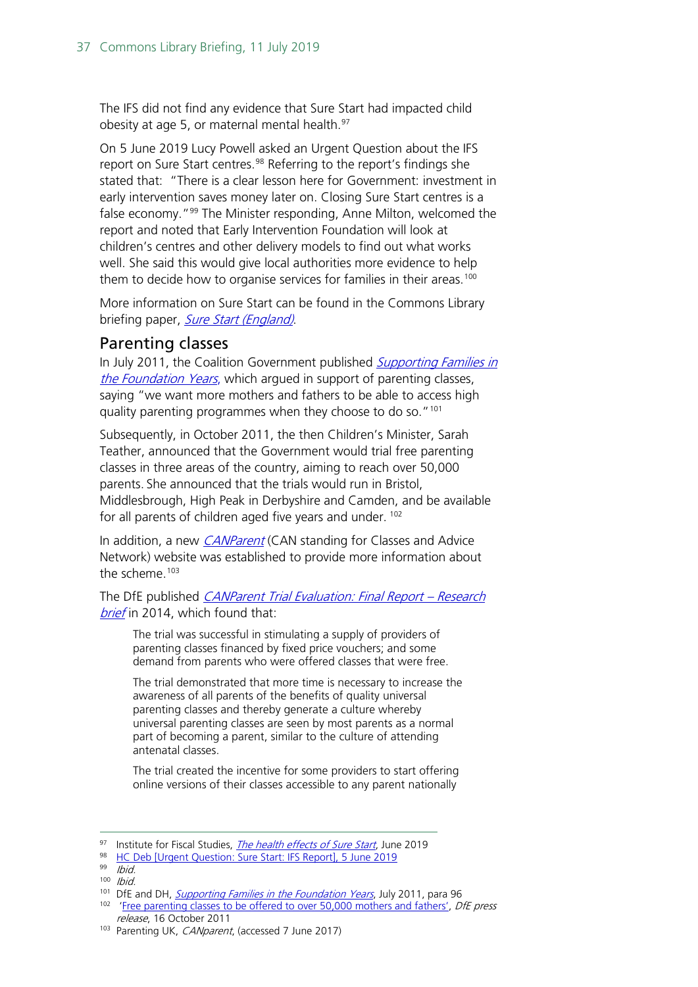The IFS did not find any evidence that Sure Start had impacted child obesity at age 5, or maternal mental health. [97](#page-36-1)

On 5 June 2019 Lucy Powell asked an Urgent Question about the IFS report on Sure Start centres. [98](#page-36-2) Referring to the report's findings she stated that: "There is a clear lesson here for Government: investment in early intervention saves money later on. Closing Sure Start centres is a false economy."[99](#page-36-3) The Minister responding, Anne Milton, welcomed the report and noted that Early Intervention Foundation will look at children's centres and other delivery models to find out what works well. She said this would give local authorities more evidence to help them to decide how to organise services for families in their areas.<sup>[100](#page-36-4)</sup>

More information on Sure Start can be found in the Commons Library briefing paper, [Sure Start \(England\)](http://researchbriefings.parliament.uk/ResearchBriefing/Summary/CBP-7257).

#### <span id="page-36-0"></span>Parenting classes

In July 2011, the Coalition Government published Supporting Families in [the Foundation Years](http://media.education.gov.uk/assets/files/pdf/s/supporting%20families%20in%20the%20foundation%20years.pdf), which argued in support of parenting classes, saying "we want more mothers and fathers to be able to access high quality parenting programmes when they choose to do so."[101](#page-36-5)

Subsequently, in October 2011, the then Children's Minister, Sarah Teather, announced that the Government would trial free parenting classes in three areas of the country, aiming to reach over 50,000 parents. She announced that the trials would run in Bristol, Middlesbrough, High Peak in Derbyshire and Camden, and be available for all parents of children aged five years and under. <sup>[102](#page-36-6)</sup>

In addition, a new *[CANParent](http://www.parentinguk.org/canparent)* (CAN standing for Classes and Advice Network) website was established to provide more information about the scheme. [103](#page-36-7)

The DfE published *CANParent Trial Evaluation: Final Report - Research* [brief](https://www.gov.uk/government/uploads/system/uploads/attachment_data/file/332184/RB357_-_CANparent_trial_evaluation_final_report__Research_Brief_08_07_14.pdf) in 2014, which found that:

The trial was successful in stimulating a supply of providers of parenting classes financed by fixed price vouchers; and some demand from parents who were offered classes that were free.

The trial demonstrated that more time is necessary to increase the awareness of all parents of the benefits of quality universal parenting classes and thereby generate a culture whereby universal parenting classes are seen by most parents as a normal part of becoming a parent, similar to the culture of attending antenatal classes.

The trial created the incentive for some providers to start offering online versions of their classes accessible to any parent nationally

<span id="page-36-2"></span><span id="page-36-1"></span><sup>97</sup> Institute for Fiscal Studies, *[The health effects of Sure Start](https://www.ifs.org.uk/publications/14139)*, June 2019

<sup>98</sup> [HC Deb \[Urgent Question: Sure Start: IFS Report\], 5 June 2019](https://hansard.parliament.uk/Commons/2019-06-05/debates/2123CB61-2F08-41ED-99BC-76A3CF929F52/SureStartIFSReport)

<span id="page-36-3"></span><sup>99</sup> Ibid.

<span id="page-36-4"></span> $100$  Ibid.

<span id="page-36-5"></span><sup>&</sup>lt;sup>101</sup> DfE and DH, *[Supporting Families in the Foundation Years](http://media.education.gov.uk/assets/files/pdf/s/supporting%20families%20in%20the%20foundation%20years.pdf)*, July 2011, para 96

<span id="page-36-6"></span><sup>&</sup>lt;sup>102</sup> ['Free parenting classes to be offered to over 50,000 mothers and fathers',](http://www.education.gov.uk/inthenews/inthenews/a00199302/free-parenting-classes-to-be-offered-to-over-50000-mothers-and-fathers) *DfE press* release, 16 October 2011

<span id="page-36-7"></span><sup>103</sup> Parenting UK, CANparent, (accessed 7 June 2017)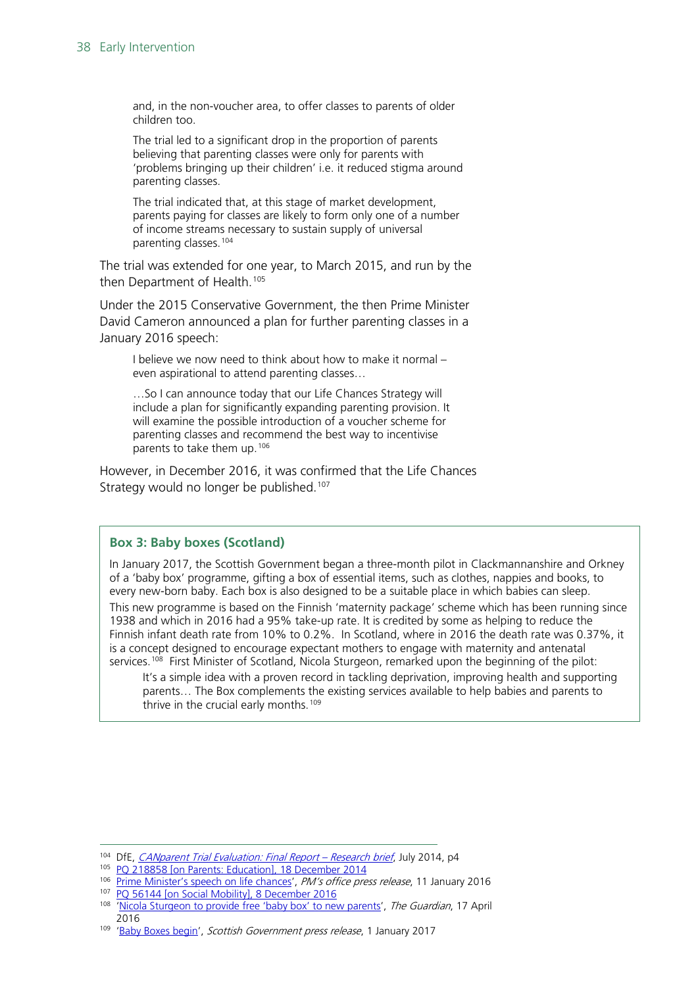and, in the non-voucher area, to offer classes to parents of older children too.

The trial led to a significant drop in the proportion of parents believing that parenting classes were only for parents with 'problems bringing up their children' i.e. it reduced stigma around parenting classes.

The trial indicated that, at this stage of market development, parents paying for classes are likely to form only one of a number of income streams necessary to sustain supply of universal parenting classes. [104](#page-37-0)

The trial was extended for one year, to March 2015, and run by the then Department of Health.<sup>[105](#page-37-1)</sup>

Under the 2015 Conservative Government, the then Prime Minister David Cameron announced a plan for further parenting classes in a January 2016 speech:

I believe we now need to think about how to make it normal – even aspirational to attend parenting classes…

…So I can announce today that our Life Chances Strategy will include a plan for significantly expanding parenting provision. It will examine the possible introduction of a voucher scheme for parenting classes and recommend the best way to incentivise parents to take them up.[106](#page-37-2)

However, in December 2016, it was confirmed that the Life Chances Strategy would no longer be published.<sup>[107](#page-37-3)</sup>

#### **Box 3: Baby boxes (Scotland)**

In January 2017, the Scottish Government began a three-month pilot in Clackmannanshire and Orkney of a 'baby box' programme, gifting a box of essential items, such as clothes, nappies and books, to every new-born baby. Each box is also designed to be a suitable place in which babies can sleep.

This new programme is based on the Finnish 'maternity package' scheme which has been running since 1938 and which in 2016 had a 95% take-up rate. It is credited by some as helping to reduce the Finnish infant death rate from 10% to 0.2%. In Scotland, where in 2016 the death rate was 0.37%, it is a concept designed to encourage expectant mothers to engage with maternity and antenatal services.<sup>[108](#page-37-4)</sup> First Minister of Scotland, Nicola Sturgeon, remarked upon the beginning of the pilot:

It's a simple idea with a proven record in tackling deprivation, improving health and supporting parents… The Box complements the existing services available to help babies and parents to thrive in the crucial early months.<sup>[109](#page-37-5)</sup>

<span id="page-37-3"></span>107 PO 56144 [\[on Social Mobility\], 8 December 2016](http://www.parliament.uk/written-questions-answers-statements/written-question/commons/2016-12-05/56144)

<span id="page-37-1"></span><span id="page-37-0"></span><sup>&</sup>lt;sup>104</sup> DfE, *[CANparent Trial Evaluation:](https://www.gov.uk/government/uploads/system/uploads/attachment_data/file/332184/RB357_-_CANparent_trial_evaluation_final_report__Research_Brief_08_07_14.pdf) Final Report – Research brief*, July 2014, p4

<sup>&</sup>lt;sup>105</sup> PQ 218858 [\[on Parents: Education\],](http://www.parliament.uk/written-questions-answers-statements/written-question/commons/2014-12-15/218858) 18 December 2014

<span id="page-37-2"></span><sup>&</sup>lt;sup>106</sup> [Prime Minister's speech on life chances'](https://www.gov.uk/government/speeches/prime-ministers-speech-on-life-chances), PM's office press release, 11 January 2016

<span id="page-37-4"></span><sup>&</sup>lt;sup>108</sup> ['Nicola Sturgeon to provide free 'baby box' to new parents'](https://www.theguardian.com/politics/2016/apr/17/nicola-sturgeon-to-provide-free-baby-box-to-new-parents-scotland), The Guardian, 17 April 2016

<span id="page-37-5"></span><sup>&</sup>lt;sup>109</sup> ['Baby Boxes begin'](https://news.gov.scot/news/baby-boxes-begin), Scottish Government press release, 1 January 2017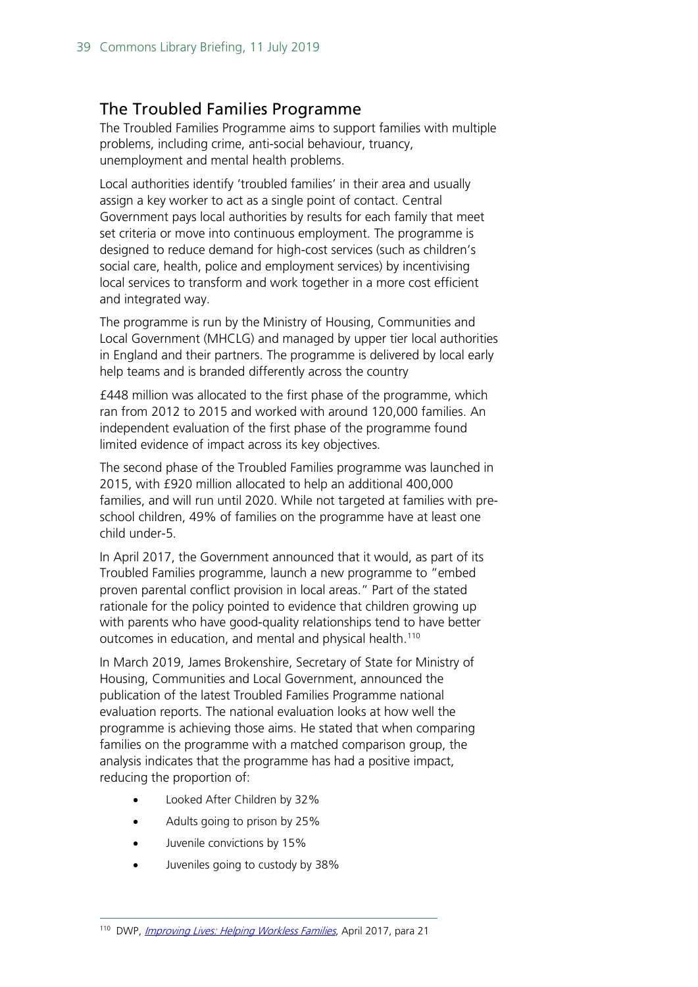#### <span id="page-38-0"></span>The Troubled Families Programme

The Troubled Families Programme aims to support families with multiple problems, including crime, anti-social behaviour, truancy, unemployment and mental health problems.

Local authorities identify 'troubled families' in their area and usually assign a key worker to act as a single point of contact. Central Government pays local authorities by results for each family that meet set criteria or move into continuous employment. The programme is designed to reduce demand for high-cost services (such as children's social care, health, police and employment services) by incentivising local services to transform and work together in a more cost efficient and integrated way.

The programme is run by the Ministry of Housing, Communities and Local Government (MHCLG) and managed by upper tier local authorities in England and their partners. The programme is delivered by local early help teams and is branded differently across the country

£448 million was allocated to the first phase of the programme, which ran from 2012 to 2015 and worked with around 120,000 families. An independent evaluation of the first phase of the programme found limited evidence of impact across its key objectives.

The second phase of the Troubled Families programme was launched in 2015, with £920 million allocated to help an additional 400,000 families, and will run until 2020. While not targeted at families with preschool children, 49% of families on the programme have at least one child under-5.

In April 2017, the Government announced that it would, as part of its Troubled Families programme, launch a new programme to "embed proven parental conflict provision in local areas." Part of the stated rationale for the policy pointed to evidence that children growing up with parents who have good-quality relationships tend to have better outcomes in education, and mental and physical health.<sup>[110](#page-38-1)</sup>

In March 2019, James Brokenshire, Secretary of State for Ministry of Housing, Communities and Local Government, announced the publication of the latest Troubled Families Programme national evaluation reports. The national evaluation looks at how well the programme is achieving those aims. He stated that when comparing families on the programme with a matched comparison group, the analysis indicates that the programme has had a positive impact, reducing the proportion of:

- Looked After Children by 32%
- Adults going to prison by 25%
- Juvenile convictions by 15%
- Juveniles going to custody by 38%

<span id="page-38-1"></span><sup>110</sup> DWP, *[Improving Lives: Helping Workless Families](https://www.gov.uk/government/uploads/system/uploads/attachment_data/file/605836/improving-lives-helping-workless-families-web-version.pdf)*, April 2017, para 21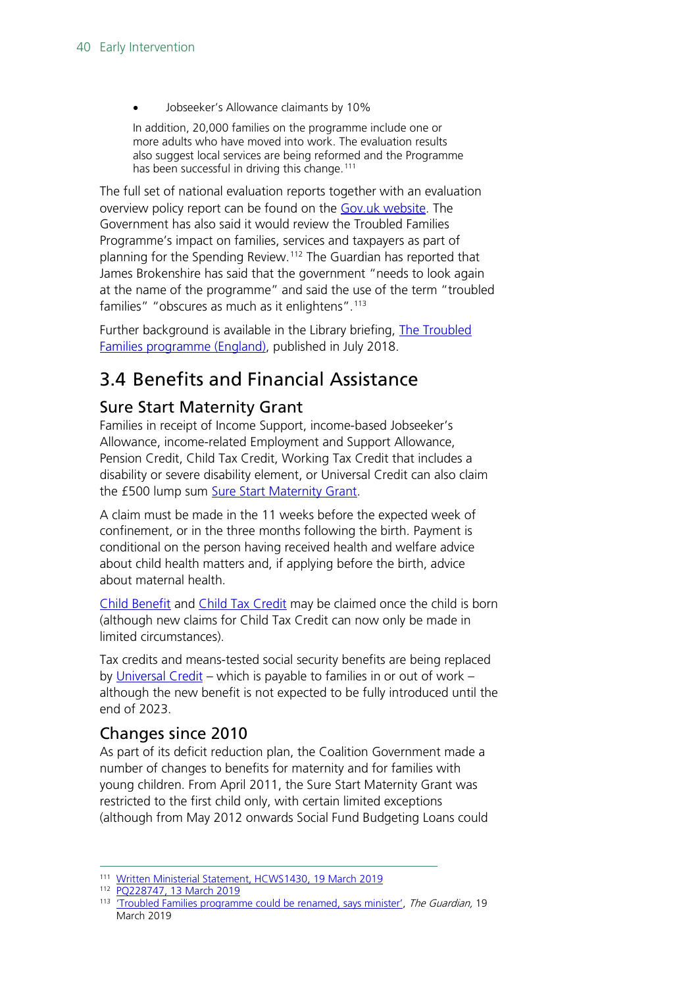• Jobseeker's Allowance claimants by 10%

In addition, 20,000 families on the programme include one or more adults who have moved into work. The evaluation results also suggest local services are being reformed and the Programme has been successful in driving this change.<sup>[111](#page-39-3)</sup>

The full set of national evaluation reports together with an evaluation overview policy report can be found on the [Gov.uk website.](https://www.gov.uk/government/publications/national-evaluation-of-the-troubled-families-programme-2015-to-2020-findings) The Government has also said it would review the Troubled Families Programme's impact on families, services and taxpayers as part of planning for the Spending Review.<sup>[112](#page-39-4)</sup> The Guardian has reported that James Brokenshire has said that the government "needs to look again at the name of the programme" and said the use of the term "troubled families" "obscures as much as it enlightens".<sup>[113](#page-39-5)</sup>

Further background is available in the Library briefing, [The Troubled](https://researchbriefings.parliament.uk/ResearchBriefing/Summary/CBP-7585)  [Families programme \(England\),](https://researchbriefings.parliament.uk/ResearchBriefing/Summary/CBP-7585) published in July 2018.

## <span id="page-39-0"></span>3.4 Benefits and Financial Assistance

### <span id="page-39-1"></span>Sure Start Maternity Grant

Families in receipt of Income Support, income-based Jobseeker's Allowance, income-related Employment and Support Allowance, Pension Credit, Child Tax Credit, Working Tax Credit that includes a disability or severe disability element, or Universal Credit can also claim the £500 lump sum [Sure Start Maternity Grant.](https://www.gov.uk/sure-start-maternity-grant/overview)

A claim must be made in the 11 weeks before the expected week of confinement, or in the three months following the birth. Payment is conditional on the person having received health and welfare advice about child health matters and, if applying before the birth, advice about maternal health.

[Child Benefit](https://www.gov.uk/child-benefit/overview) and [Child Tax Credit](https://www.gov.uk/child-tax-credit/overview) may be claimed once the child is born (although new claims for Child Tax Credit can now only be made in limited circumstances).

Tax credits and means-tested social security benefits are being replaced by [Universal Credit](https://www.gov.uk/universal-credit/overview) – which is payable to families in or out of work – although the new benefit is not expected to be fully introduced until the end of 2023.

### <span id="page-39-2"></span>Changes since 2010

As part of its deficit reduction plan, the Coalition Government made a number of changes to benefits for maternity and for families with young children. From April 2011, the Sure Start Maternity Grant was restricted to the first child only, with certain limited exceptions (although from May 2012 onwards Social Fund Budgeting Loans could

<span id="page-39-3"></span><sup>111</sup> [Written Ministerial Statement, HCWS1430, 19 March 2019](https://www.parliament.uk/business/publications/written-questions-answers-statements/written-statement/Commons/2019-03-19/HCWS1430/)

<span id="page-39-5"></span><span id="page-39-4"></span><sup>112</sup> [PQ228747, 13 March 2019](https://www.parliament.uk/written-questions-answers-statements/written-question/commons/2019-03-05/228747)

<sup>&</sup>lt;sup>113</sup> Troubled Families programme could be renamed, says minister', The Guardian, 19 March 2019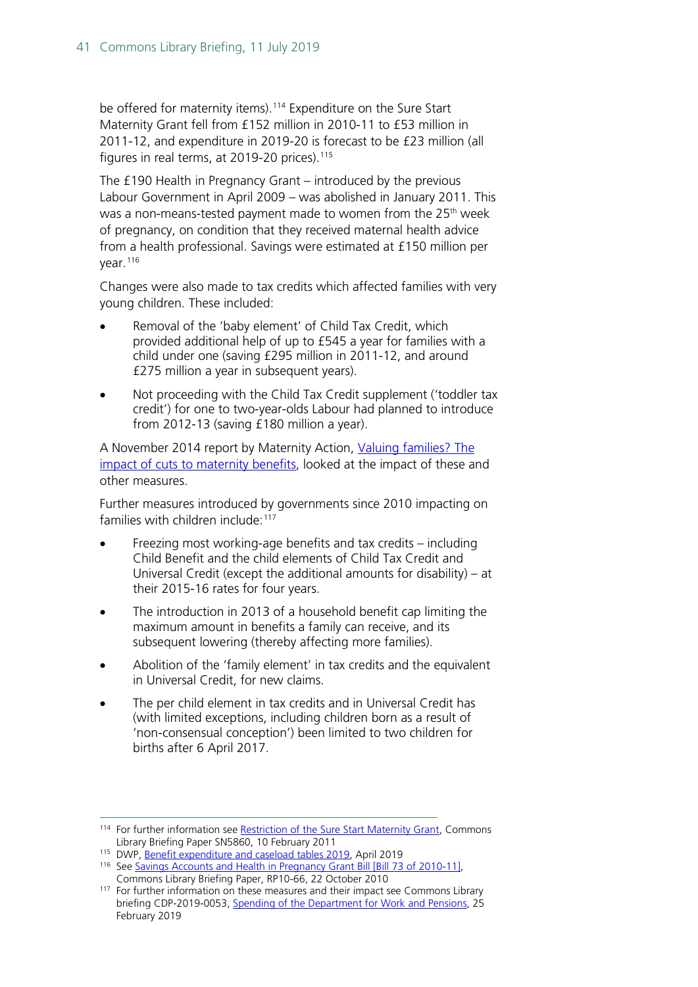be offered for maternity items).<sup>[114](#page-40-0)</sup> Expenditure on the Sure Start Maternity Grant fell from £152 million in 2010-11 to £53 million in 2011-12, and expenditure in 2019-20 is forecast to be £23 million (all figures in real terms, at 2019-20 prices).  $115$ 

The £190 Health in Pregnancy Grant – introduced by the previous Labour Government in April 2009 – was abolished in January 2011. This was a non-means-tested payment made to women from the 25<sup>th</sup> week of pregnancy, on condition that they received maternal health advice from a health professional. Savings were estimated at £150 million per year.<sup>[116](#page-40-2)</sup>

Changes were also made to tax credits which affected families with very young children. These included:

- Removal of the 'baby element' of Child Tax Credit, which provided additional help of up to £545 a year for families with a child under one (saving £295 million in 2011-12, and around £275 million a year in subsequent years).
- Not proceeding with the Child Tax Credit supplement ('toddler tax credit') for one to two-year-olds Labour had planned to introduce from 2012-13 (saving £180 million a year).

A November 2014 report by Maternity Action, Valuing families? The [impact of cuts to maternity benefits,](http://www.maternityaction.org.uk/wp-content/uploads/2014/11/Valuing-Families-report-for-website.pdf) looked at the impact of these and other measures.

Further measures introduced by governments since 2010 impacting on families with children include:[117](#page-40-3)

- Freezing most working-age benefits and tax credits including Child Benefit and the child elements of Child Tax Credit and Universal Credit (except the additional amounts for disability) – at their 2015-16 rates for four years.
- The introduction in 2013 of a household benefit cap limiting the maximum amount in benefits a family can receive, and its subsequent lowering (thereby affecting more families).
- Abolition of the 'family element' in tax credits and the equivalent in Universal Credit, for new claims.
- The per child element in tax credits and in Universal Credit has (with limited exceptions, including children born as a result of 'non-consensual conception') been limited to two children for births after 6 April 2017.

<span id="page-40-0"></span><sup>114</sup> For further information see [Restriction of the Sure Start Maternity Grant,](http://researchbriefings.parliament.uk/ResearchBriefing/Summary/SN05860) Commons Library Briefing Paper SN5860, 10 February 2011

<span id="page-40-1"></span><sup>115</sup> DWP, [Benefit expenditure and caseload tables 2019,](https://www.gov.uk/government/publications/benefit-expenditure-and-caseload-tables-2019) April 2019

<span id="page-40-2"></span><sup>&</sup>lt;sup>116</sup> See [Savings Accounts and Health in Pregnancy Grant Bill \[Bill 73 of 2010-11\],](http://researchbriefings.parliament.uk/ResearchBriefing/Summary/RP10-66) Commons Library Briefing Paper, RP10-66, 22 October 2010

<span id="page-40-3"></span><sup>&</sup>lt;sup>117</sup> For further information on these measures and their impact see Commons Library briefing CDP-2019-0053, [Spending of the Department for Work and Pensions,](https://researchbriefings.parliament.uk/ResearchBriefing/Summary/CDP-2019-0053) 25 February 2019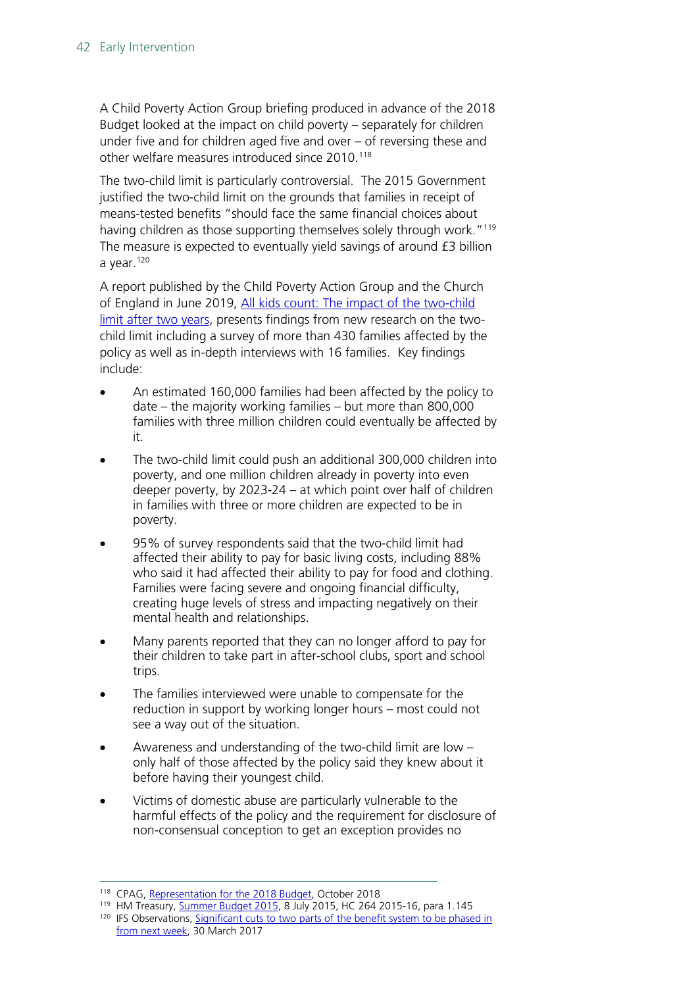A Child Poverty Action Group briefing produced in advance of the 2018 Budget looked at the impact on child poverty – separately for children under five and for children aged five and over – of reversing these and other welfare measures introduced since 2010.<sup>[118](#page-41-0)</sup>

The two-child limit is particularly controversial. The 2015 Government justified the two-child limit on the grounds that families in receipt of means-tested benefits "should face the same financial choices about having children as those supporting themselves solely through work."<sup>[119](#page-41-1)</sup> The measure is expected to eventually yield savings of around £3 billion a year.<sup>[120](#page-41-2)</sup>

A report published by the Child Poverty Action Group and the Church of England in June 2019, [All kids count: The impact of the two-child](http://www.cpag.org.uk/sites/default/files/uploads/All%20Kids%20Count%20report%20FINAL_0.pdf)  [limit after two years,](http://www.cpag.org.uk/sites/default/files/uploads/All%20Kids%20Count%20report%20FINAL_0.pdf) presents findings from new research on the twochild limit including a survey of more than 430 families affected by the policy as well as in-depth interviews with 16 families. Key findings include:

- An estimated 160,000 families had been affected by the policy to date – the majority working families – but more than 800,000 families with three million children could eventually be affected by it.
- The two-child limit could push an additional 300,000 children into poverty, and one million children already in poverty into even deeper poverty, by 2023-24 – at which point over half of children in families with three or more children are expected to be in poverty.
- 95% of survey respondents said that the two-child limit had affected their ability to pay for basic living costs, including 88% who said it had affected their ability to pay for food and clothing. Families were facing severe and ongoing financial difficulty, creating huge levels of stress and impacting negatively on their mental health and relationships.
- Many parents reported that they can no longer afford to pay for their children to take part in after-school clubs, sport and school trips.
- The families interviewed were unable to compensate for the reduction in support by working longer hours – most could not see a way out of the situation.
- Awareness and understanding of the two-child limit are low only half of those affected by the policy said they knew about it before having their youngest child.
- Victims of domestic abuse are particularly vulnerable to the harmful effects of the policy and the requirement for disclosure of non-consensual conception to get an exception provides no

<span id="page-41-0"></span><sup>118</sup> CPAG, [Representation for the 2018 Budget,](http://www.cpag.org.uk/content/representation-2018-budget) October 2018

<span id="page-41-1"></span><sup>119</sup> HM Treasury, **Summer Budget 2015, 8 July 2015, HC 264 2015-16, para 1.145** 

<span id="page-41-2"></span><sup>&</sup>lt;sup>120</sup> IFS Observations, Significant cuts to two parts of the benefit system to be phased in [from next week,](https://www.ifs.org.uk/publications/9117) 30 March 2017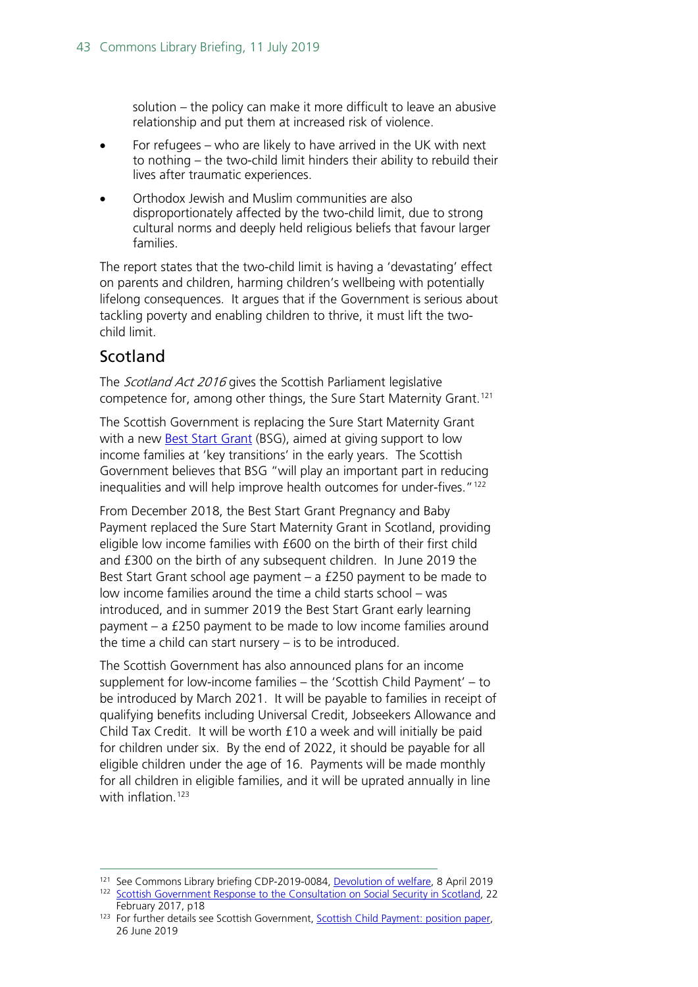solution – the policy can make it more difficult to leave an abusive relationship and put them at increased risk of violence.

- For refugees who are likely to have arrived in the UK with next to nothing – the two-child limit hinders their ability to rebuild their lives after traumatic experiences.
- Orthodox Jewish and Muslim communities are also disproportionately affected by the two-child limit, due to strong cultural norms and deeply held religious beliefs that favour larger families.

The report states that the two-child limit is having a 'devastating' effect on parents and children, harming children's wellbeing with potentially lifelong consequences. It argues that if the Government is serious about tackling poverty and enabling children to thrive, it must lift the twochild limit.

### Scotland

The *Scotland Act 2016* gives the Scottish Parliament legislative competence for, among other things, the Sure Start Maternity Grant. [121](#page-42-0)

The Scottish Government is replacing the Sure Start Maternity Grant with a new **Best Start Grant** (BSG), aimed at giving support to low income families at 'key transitions' in the early years. The Scottish Government believes that BSG "will play an important part in reducing inequalities and will help improve health outcomes for under-fives."[122](#page-42-1) 

From December 2018, the Best Start Grant Pregnancy and Baby Payment replaced the Sure Start Maternity Grant in Scotland, providing eligible low income families with £600 on the birth of their first child and £300 on the birth of any subsequent children. In June 2019 the Best Start Grant school age payment – a £250 payment to be made to low income families around the time a child starts school – was introduced, and in summer 2019 the Best Start Grant early learning payment – a £250 payment to be made to low income families around the time a child can start nursery – is to be introduced.

The Scottish Government has also announced plans for an income supplement for low-income families – the 'Scottish Child Payment' – to be introduced by March 2021. It will be payable to families in receipt of qualifying benefits including Universal Credit, Jobseekers Allowance and Child Tax Credit. It will be worth £10 a week and will initially be paid for children under six. By the end of 2022, it should be payable for all eligible children under the age of 16. Payments will be made monthly for all children in eligible families, and it will be uprated annually in line with inflation.<sup>[123](#page-42-2)</sup>

<span id="page-42-1"></span><span id="page-42-0"></span><sup>&</sup>lt;sup>121</sup> See Commons Library briefing CDP-2019-0084, [Devolution of welfare,](https://researchbriefings.parliament.uk/ResearchBriefing/Summary/CDP-2019-0084) 8 April 2019 <sup>122</sup> [Scottish Government Response to the Consultation on Social Security in Scotland,](http://www.gov.scot/Topics/People/fairerscotland/Social-Security/SG-Response) 22 February 2017, p18

<span id="page-42-2"></span><sup>&</sup>lt;sup>123</sup> For further details see Scottish Government, Scottish Child Payment: position paper, 26 June 2019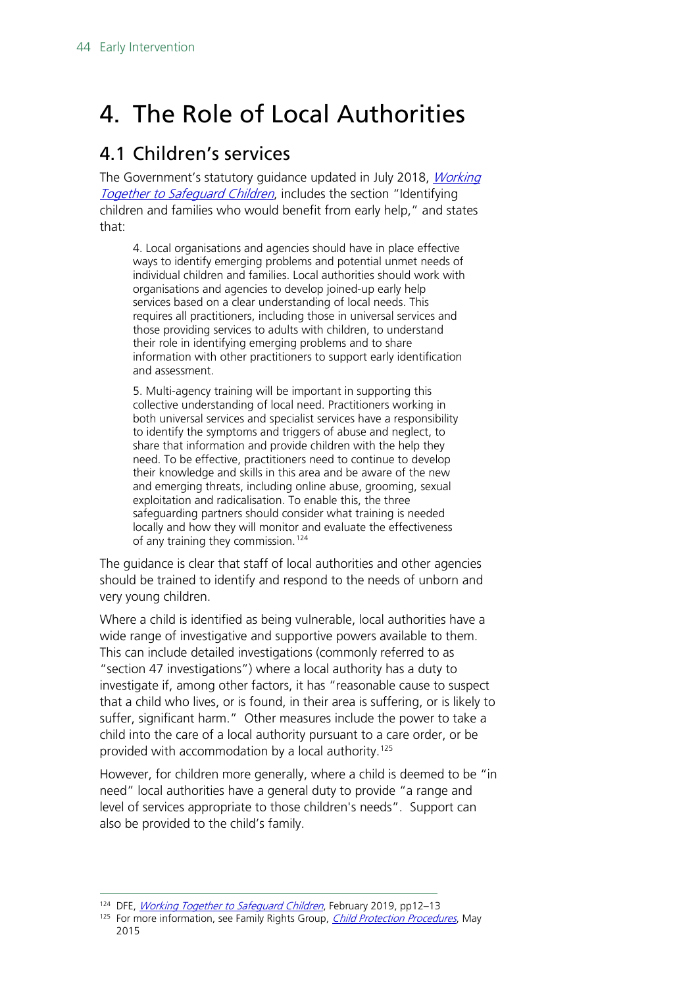## <span id="page-43-0"></span>4. The Role of Local Authorities

## <span id="page-43-1"></span>4.1 Children's services

The Government's statutory guidance updated in July 2018, [Working](https://www.gov.uk/government/publications/working-together-to-safeguard-children--2)  **[Together to Safeguard Children](https://www.gov.uk/government/publications/working-together-to-safeguard-children--2), includes the section "Identifying** children and families who would benefit from early help," and states that:

4. Local organisations and agencies should have in place effective ways to identify emerging problems and potential unmet needs of individual children and families. Local authorities should work with organisations and agencies to develop joined-up early help services based on a clear understanding of local needs. This requires all practitioners, including those in universal services and those providing services to adults with children, to understand their role in identifying emerging problems and to share information with other practitioners to support early identification and assessment.

5. Multi-agency training will be important in supporting this collective understanding of local need. Practitioners working in both universal services and specialist services have a responsibility to identify the symptoms and triggers of abuse and neglect, to share that information and provide children with the help they need. To be effective, practitioners need to continue to develop their knowledge and skills in this area and be aware of the new and emerging threats, including online abuse, grooming, sexual exploitation and radicalisation. To enable this, the three safeguarding partners should consider what training is needed locally and how they will monitor and evaluate the effectiveness of any training they commission.<sup>[124](#page-43-2)</sup>

The guidance is clear that staff of local authorities and other agencies should be trained to identify and respond to the needs of unborn and very young children.

Where a child is identified as being vulnerable, local authorities have a wide range of investigative and supportive powers available to them. This can include detailed investigations (commonly referred to as "section 47 investigations") where a local authority has a duty to investigate if, among other factors, it has "reasonable cause to suspect that a child who lives, or is found, in their area is suffering, or is likely to suffer, significant harm." Other measures include the power to take a child into the care of a local authority pursuant to a care order, or be provided with accommodation by a local authority.<sup>125</sup>

However, for children more generally, where a child is deemed to be "in need" local authorities have a general duty to provide "a range and level of services appropriate to those children's needs". Support can also be provided to the child's family.

<sup>&</sup>lt;sup>124</sup> DFE, *[Working Together to Safeguard Children](https://www.gov.uk/government/publications/working-together-to-safeguard-children--2)*, February 2019, pp12–13

<span id="page-43-3"></span><span id="page-43-2"></span><sup>&</sup>lt;sup>125</sup> For more information, see Family Rights Group, *[Child Protection Procedures](http://www.frg.org.uk/images/Advice_Sheets/9-child-protection-procedures.pdf)*, May 2015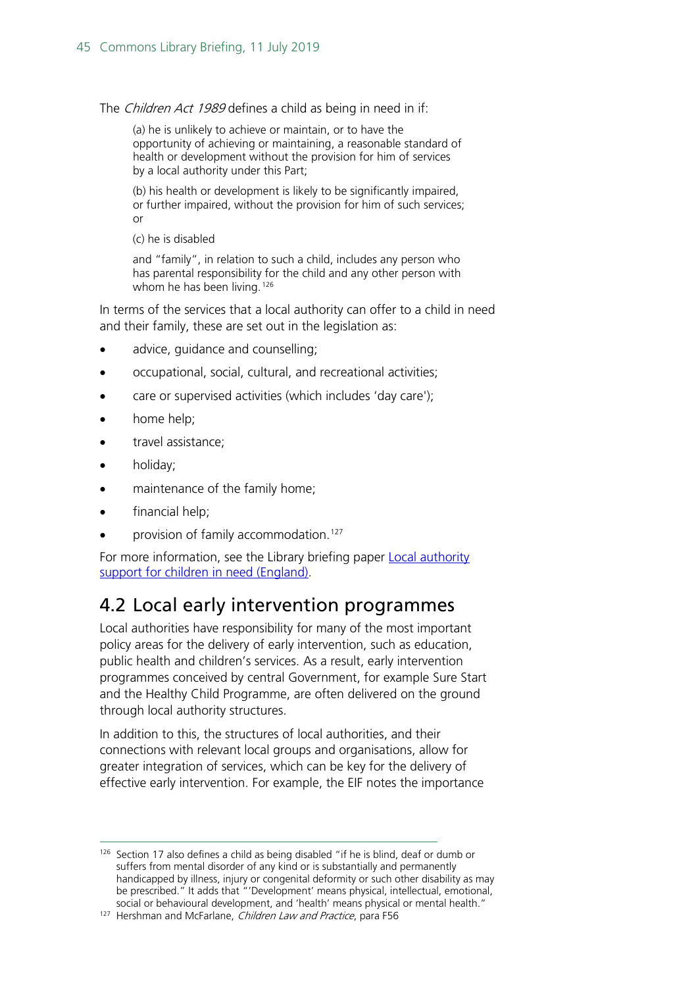The Children Act 1989 defines a child as being in need in if:

(a) he is unlikely to achieve or maintain, or to have the opportunity of achieving or maintaining, a reasonable standard of health or development without the provision for him of services by a local authority under this Part;

(b) his health or development is likely to be significantly impaired, or further impaired, without the provision for him of such services; or

(c) he is disabled

and "family", in relation to such a child, includes any person who has parental responsibility for the child and any other person with whom he has been living.<sup>[126](#page-44-1)</sup>

In terms of the services that a local authority can offer to a child in need and their family, these are set out in the legislation as:

- advice, guidance and counselling;
- occupational, social, cultural, and recreational activities;
- care or supervised activities (which includes 'day care');
- home help;
- travel assistance;
- holiday;
- maintenance of the family home;
- financial help;
- provision of family accommodation.<sup>[127](#page-44-2)</sup>

For more information, see the Library briefing paper Local authority [support for children in need \(England\).](https://researchbriefings.parliament.uk/ResearchBriefing/Summary/CBP-7730)

### <span id="page-44-0"></span>4.2 Local early intervention programmes

Local authorities have responsibility for many of the most important policy areas for the delivery of early intervention, such as education, public health and children's services. As a result, early intervention programmes conceived by central Government, for example Sure Start and the Healthy Child Programme, are often delivered on the ground through local authority structures.

In addition to this, the structures of local authorities, and their connections with relevant local groups and organisations, allow for greater integration of services, which can be key for the delivery of effective early intervention. For example, the EIF notes the importance

<span id="page-44-1"></span><sup>&</sup>lt;sup>126</sup> Section 17 also defines a child as being disabled "if he is blind, deaf or dumb or suffers from mental disorder of any kind or is substantially and permanently handicapped by illness, injury or congenital deformity or such other disability as may be prescribed." It adds that "'Development' means physical, intellectual, emotional, social or behavioural development, and 'health' means physical or mental health."

<span id="page-44-2"></span><sup>&</sup>lt;sup>127</sup> Hershman and McFarlane, *Children Law and Practice*, para F56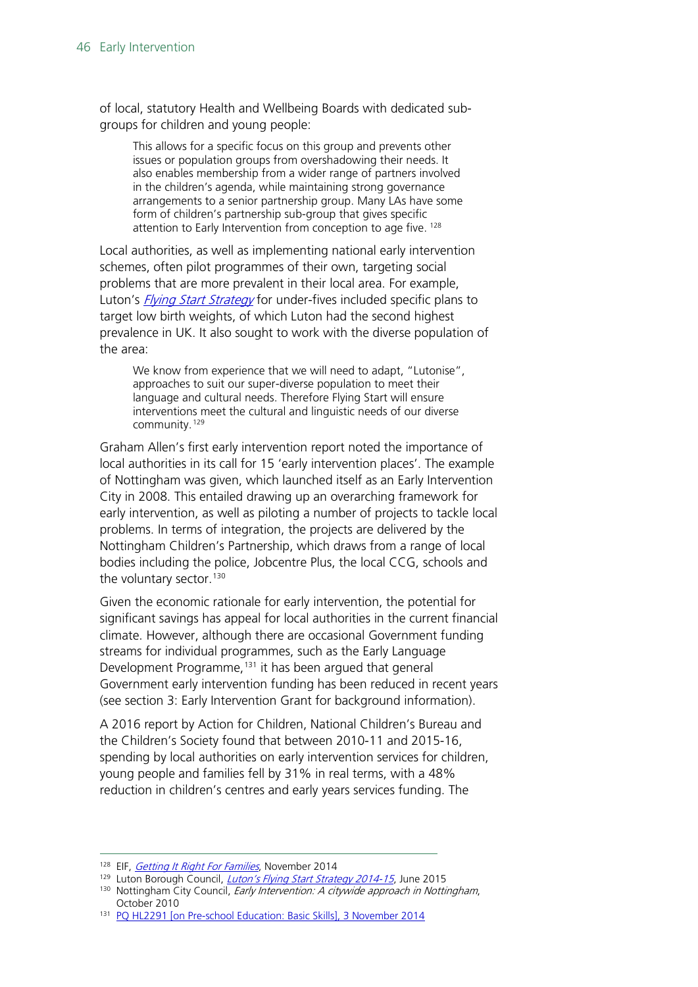of local, statutory Health and Wellbeing Boards with dedicated subgroups for children and young people:

This allows for a specific focus on this group and prevents other issues or population groups from overshadowing their needs. It also enables membership from a wider range of partners involved in the children's agenda, while maintaining strong governance arrangements to a senior partnership group. Many LAs have some form of children's partnership sub-group that gives specific attention to Early Intervention from conception to age five. [128](#page-45-0)

Local authorities, as well as implementing national early intervention schemes, often pilot programmes of their own, targeting social problems that are more prevalent in their local area. For example, Luton's *[Flying Start Strategy](https://www.flyingstartluton.com/)* for under-fives included specific plans to target low birth weights, of which Luton had the second highest prevalence in UK. It also sought to work with the diverse population of the area:

We know from experience that we will need to adapt, "Lutonise", approaches to suit our super-diverse population to meet their language and cultural needs. Therefore Flying Start will ensure interventions meet the cultural and linguistic needs of our diverse community.[129](#page-45-1)

Graham Allen's first early intervention report noted the importance of local authorities in its call for 15 'early intervention places'. The example of Nottingham was given, which launched itself as an Early Intervention City in 2008. This entailed drawing up an overarching framework for early intervention, as well as piloting a number of projects to tackle local problems. In terms of integration, the projects are delivered by the Nottingham Children's Partnership, which draws from a range of local bodies including the police, Jobcentre Plus, the local CCG, schools and the voluntary sector.<sup>[130](#page-45-2)</sup>

Given the economic rationale for early intervention, the potential for significant savings has appeal for local authorities in the current financial climate. However, although there are occasional Government funding streams for individual programmes, such as the Early Language Development Programme, [131](#page-45-3) it has been argued that general Government early intervention funding has been reduced in recent years (see section 3: Early Intervention Grant for background information).

A 2016 report by Action for Children, National Children's Bureau and the Children's Society found that between 2010-11 and 2015-16, spending by local authorities on early intervention services for children, young people and families fell by 31% in real terms, with a 48% reduction in children's centres and early years services funding. The

<span id="page-45-0"></span><sup>&</sup>lt;sup>128</sup> EIF, *[Getting It Right For Families](https://www.eif.org.uk/report/getting-it-right-for-families-a-review-of-integrated-systems-and-promising-practice-in-the-early-years/)*, November 2014<br><sup>129</sup> Luton Borough Council, *Luton's Flying Start Strategy 2014-15*, June 2015

<span id="page-45-2"></span><span id="page-45-1"></span><sup>130</sup> Nottingham City Council[,](http://flyingstartluton.com/wp-content/uploads/2015/06/Flying-Start-Strategy.pdf) *Early Intervention: A citywide approach in Nottingham*, October 2010

<span id="page-45-3"></span><sup>131</sup> [PQ HL2291 \[on Pre-school Education: Basic Skills\], 3 November 2014](http://www.parliament.uk/written-questions-answers-statements/written-question/lords/2014-10-22/HL2291)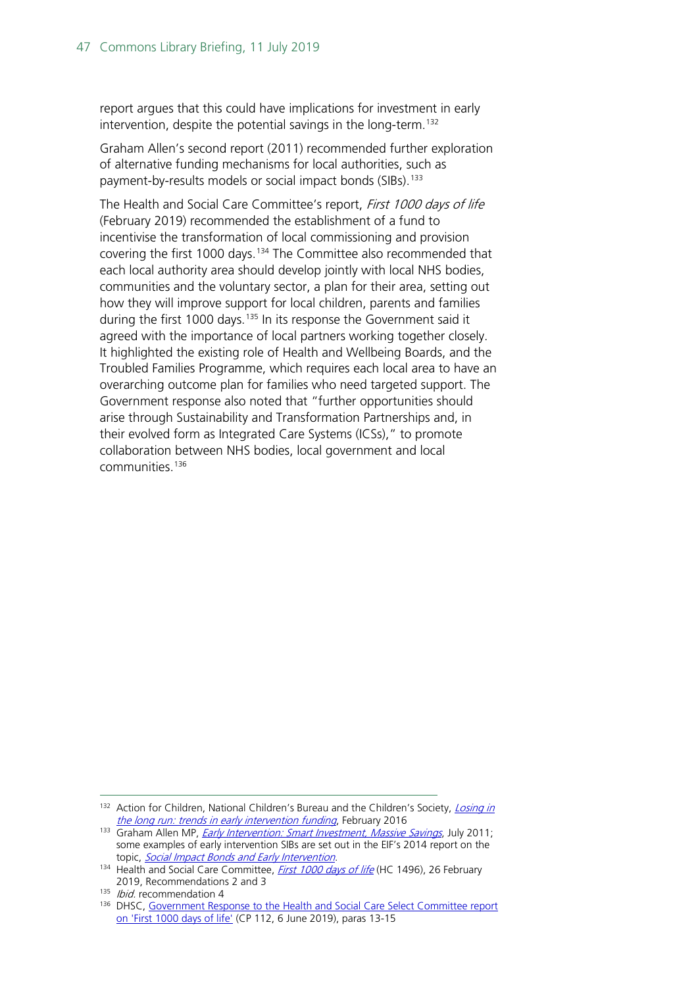report argues that this could have implications for investment in early intervention, despite the potential savings in the long-term.<sup>[132](#page-46-0)</sup>

Graham Allen's second report (2011) recommended further exploration of alternative funding mechanisms for local authorities, such as payment-by-results models or social impact bonds (SIBs).<sup>[133](#page-46-1)</sup>

The Health and Social Care Committee's report, First 1000 days of life (February 2019) recommended the establishment of a fund to incentivise the transformation of local commissioning and provision covering the first 1000 days. [134](#page-46-2) The Committee also recommended that each local authority area should develop jointly with local NHS bodies, communities and the voluntary sector, a plan for their area, setting out how they will improve support for local children, parents and families during the first 1000 days.<sup>[135](#page-46-3)</sup> In its response the Government said it agreed with the importance of local partners working together closely. It highlighted the existing role of Health and Wellbeing Boards, and the Troubled Families Programme, which requires each local area to have an overarching outcome plan for families who need targeted support. The Government response also noted that "further opportunities should arise through Sustainability and Transformation Partnerships and, in their evolved form as Integrated Care Systems (ICSs)," to promote collaboration between NHS bodies, local government and local communities.[136](#page-46-4)

<span id="page-46-0"></span><sup>132</sup> Action for Children, National Children's Bureau and the Children's Society, *Losing in* [the long run: trends in early intervention funding](http://www.childrenssociety.org.uk/sites/default/files/Losing_in_the_long_run_%5BFINAL%5D_print.pdf), February 2016

<span id="page-46-1"></span><sup>133</sup> Graham Allen MP, *[Early Intervention: Smart Investment, Massive Savings](https://www.gov.uk/government/uploads/system/uploads/attachment_data/file/61012/earlyintervention-smartinvestment.pdf)*, July 2011; some examples of early intervention SIBs are set out in the EIF's 2014 report on the topic, [Social Impact Bonds and Early Intervention](http://www.eif.org.uk/publication/social-impact-bonds-and-early-intervention/).

<span id="page-46-2"></span><sup>134</sup> Health and Social Care Committee, *[First 1000 days of life](https://publications.parliament.uk/pa/cm201719/cmselect/cmhealth/1496/1496.pdf)* (HC 1496), 26 February 2019, Recommendations 2 and 3

<span id="page-46-3"></span><sup>&</sup>lt;sup>135</sup> *Ibid.* recommendation 4

<span id="page-46-4"></span><sup>&</sup>lt;sup>136</sup> DHSC, Government Response to the Health and Social Care Select Committee report [on 'First 1000 days of life'](https://assets.publishing.service.gov.uk/government/uploads/system/uploads/attachment_data/file/806829/Government_response_to_the_Health_and_Social_Care_Select_Committee_report_on__First_1000_days_of_life__print_version.pdf) (CP 112, 6 June 2019), paras 13-15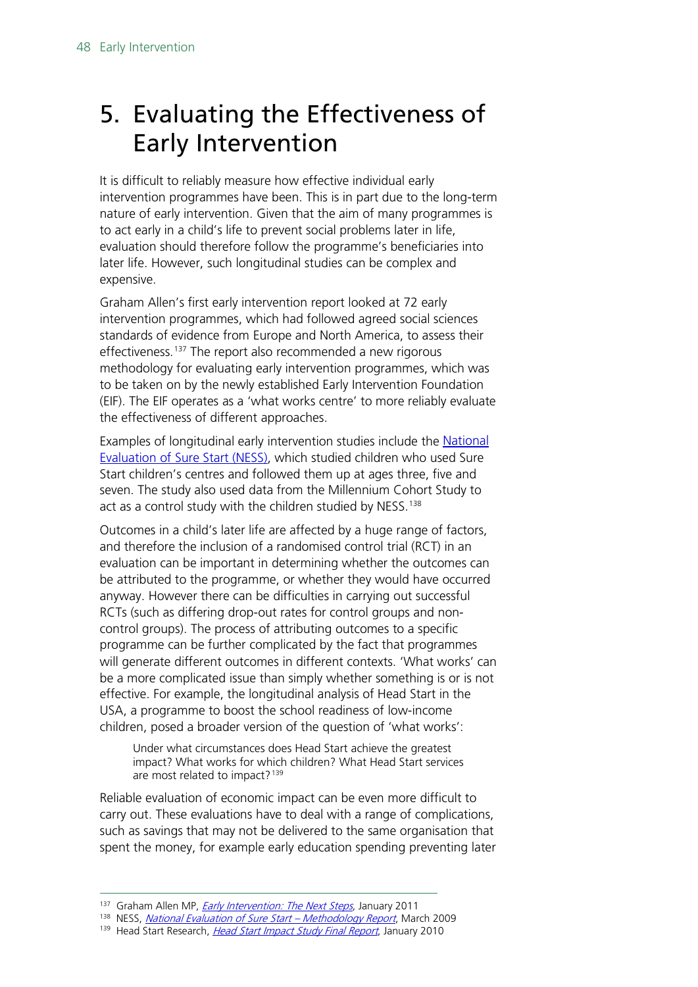## <span id="page-47-0"></span>5. Evaluating the Effectiveness of Early Intervention

It is difficult to reliably measure how effective individual early intervention programmes have been. This is in part due to the long-term nature of early intervention. Given that the aim of many programmes is to act early in a child's life to prevent social problems later in life, evaluation should therefore follow the programme's beneficiaries into later life. However, such longitudinal studies can be complex and expensive.

Graham Allen's first early intervention report looked at 72 early intervention programmes, which had followed agreed social sciences standards of evidence from Europe and North America, to assess their effectiveness.<sup>[137](#page-47-1)</sup> The report also recommended a new rigorous methodology for evaluating early intervention programmes, which was to be taken on by the newly established Early Intervention Foundation (EIF). The EIF operates as a 'what works centre' to more reliably evaluate the effectiveness of different approaches.

Examples of longitudinal early intervention studies include the [National](http://www.ness.bbk.ac.uk/)  [Evaluation of Sure Start \(NESS\),](http://www.ness.bbk.ac.uk/) which studied children who used Sure Start children's centres and followed them up at ages three, five and seven. The study also used data from the Millennium Cohort Study to act as a control study with the children studied by NESS.<sup>[138](#page-47-2)</sup>

Outcomes in a child's later life are affected by a huge range of factors, and therefore the inclusion of a randomised control trial (RCT) in an evaluation can be important in determining whether the outcomes can be attributed to the programme, or whether they would have occurred anyway. However there can be difficulties in carrying out successful RCTs (such as differing drop-out rates for control groups and noncontrol groups). The process of attributing outcomes to a specific programme can be further complicated by the fact that programmes will generate different outcomes in different contexts. 'What works' can be a more complicated issue than simply whether something is or is not effective. For example, the longitudinal analysis of Head Start in the USA, a programme to boost the school readiness of low-income children, posed a broader version of the question of 'what works':

Under what circumstances does Head Start achieve the greatest impact? What works for which children? What Head Start services are most related to impact?<sup>[139](#page-47-3)</sup>

Reliable evaluation of economic impact can be even more difficult to carry out. These evaluations have to deal with a range of complications, such as savings that may not be delivered to the same organisation that spent the money, for example early education spending preventing later

<sup>137</sup> Graham Allen MP, *[Early Intervention: The Next Steps](https://www.gov.uk/government/uploads/system/uploads/attachment_data/file/284086/early-intervention-next-steps2.pdf)*, January 2011

<span id="page-47-3"></span><span id="page-47-2"></span><span id="page-47-1"></span><sup>&</sup>lt;sup>138</sup> NESS, [National Evaluation of Sure Start –](http://www.ness.bbk.ac.uk/documents/Methodology.pdf) Methodology Report, March 2009

<sup>&</sup>lt;sup>139</sup> Head Start Research, [Head Start Impact Study Final Report](https://www.acf.hhs.gov/sites/default/files/opre/hs_impact_study_final.pdf), January 2010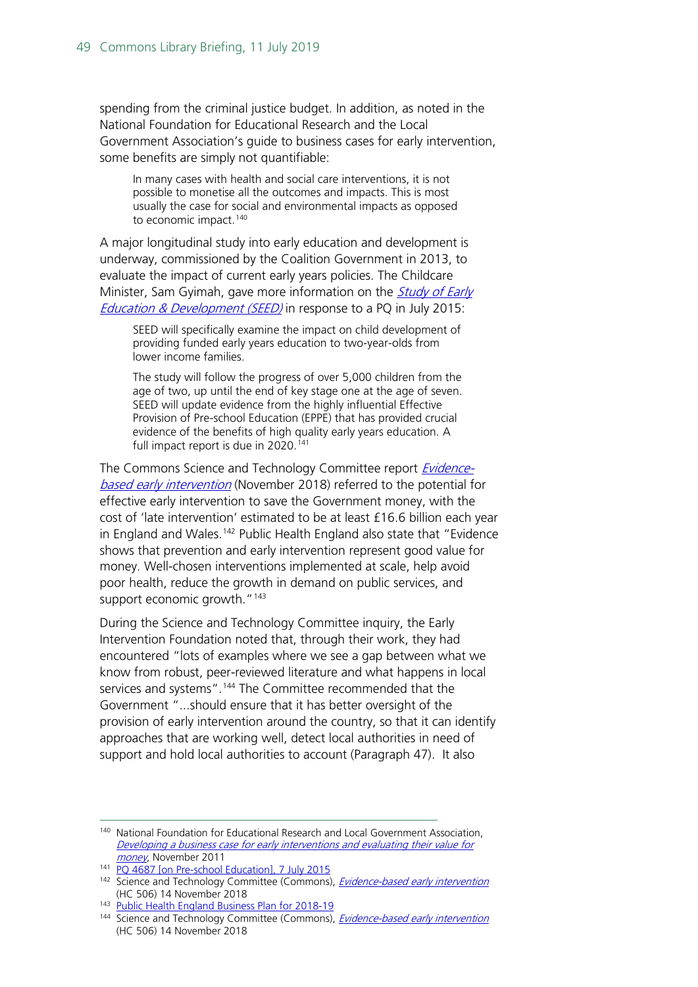spending from the criminal justice budget. In addition, as noted in the National Foundation for Educational Research and the Local Government Association's guide to business cases for early intervention, some benefits are simply not quantifiable:

In many cases with health and social care interventions, it is not possible to monetise all the outcomes and impacts. This is most usually the case for social and environmental impacts as opposed to economic impact.<sup>[140](#page-48-0)</sup>

A major longitudinal study into early education and development is underway, commissioned by the Coalition Government in 2013, to evaluate the impact of current early years policies. The Childcare Minister, Sam Gyimah, gave more information on the *Study of Early* [Education & Development \(SEED\)](http://www.seed.natcen.ac.uk/) in response to a PQ in July 2015:

SEED will specifically examine the impact on child development of providing funded early years education to two-year-olds from lower income families.

The study will follow the progress of over 5,000 children from the age of two, up until the end of key stage one at the age of seven. SEED will update evidence from the highly influential Effective Provision of Pre-school Education (EPPE) that has provided crucial evidence of the benefits of high quality early years education. A full impact report is due in 2020.<sup>[141](#page-48-1)</sup>

The Commons Science and Technology Committee report [Evidence](https://publications.parliament.uk/pa/cm201719/cmselect/cmsctech/506/506.pdf)[based early intervention](https://publications.parliament.uk/pa/cm201719/cmselect/cmsctech/506/506.pdf) (November 2018) referred to the potential for effective early intervention to save the Government money, with the cost of 'late intervention' estimated to be at least £16.6 billion each year in England and Wales.<sup>[142](#page-48-2)</sup> Public Health England also state that "Evidence shows that prevention and early intervention represent good value for money. Well-chosen interventions implemented at scale, help avoid poor health, reduce the growth in demand on public services, and support economic growth."<sup>143</sup>

During the Science and Technology Committee inquiry, the Early Intervention Foundation noted that, through their work, they had encountered "lots of examples where we see a gap between what we know from robust, peer-reviewed literature and what happens in local services and systems".<sup>[144](#page-48-4)</sup> The Committee recommended that the Government "...should ensure that it has better oversight of the provision of early intervention around the country, so that it can identify approaches that are working well, detect local authorities in need of support and hold local authorities to account (Paragraph 47). It also

<span id="page-48-0"></span> <sup>140</sup> National Foundation for Educational Research and Local Government Association, Developing a business case for early interventions and evaluating their value for [money](https://www.nfer.ac.uk/publications/EITS01/EITS01.pdf), November 2011

<span id="page-48-1"></span><sup>&</sup>lt;sup>141</sup> [PQ 4687 \[on Pre-school Education\], 7 July 2015](http://www.parliament.uk/written-questions-answers-statements/written-question/commons/2015-06-29/4687)

<span id="page-48-2"></span><sup>142</sup> Science and Technology Committee (Commons), *[Evidence-based early intervention](https://publications.parliament.uk/pa/cm201719/cmselect/cmsctech/506/506.pdf)* (HC 506) 14 November 2018

<span id="page-48-3"></span><sup>143</sup> [Public Health England Business Plan for 2018-19](https://assets.publishing.service.gov.uk/government/uploads/system/uploads/attachment_data/file/696145/PHE_Business_plan_2018.pdf)

<span id="page-48-4"></span><sup>&</sup>lt;sup>144</sup> Science and Technology Committee (Commons), *[Evidence-based early intervention](https://publications.parliament.uk/pa/cm201719/cmselect/cmsctech/506/506.pdf)* (HC 506) 14 November 2018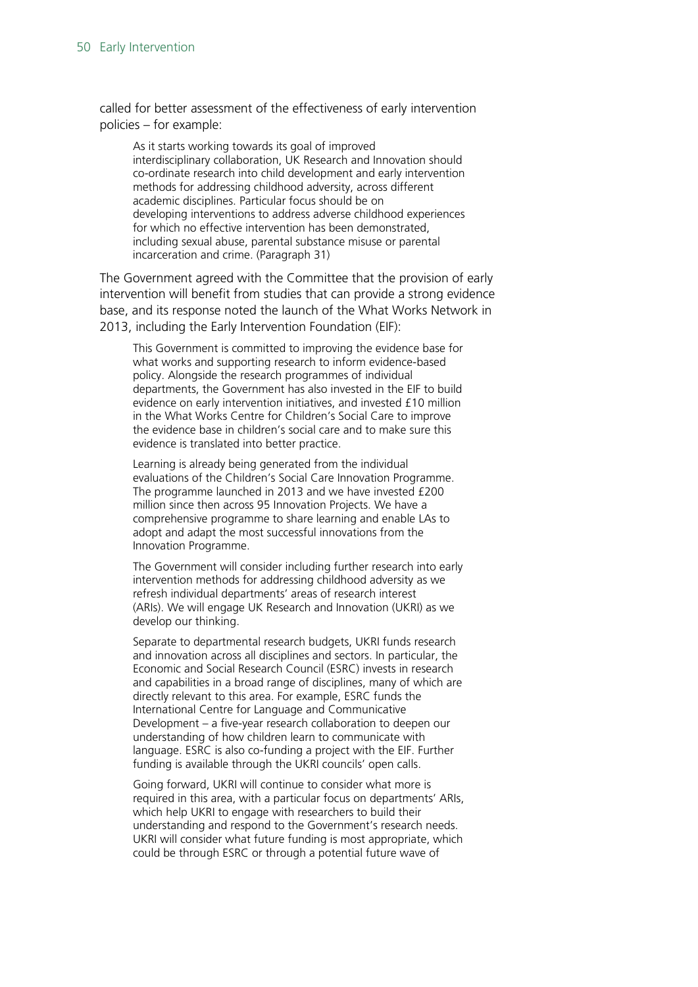called for better assessment of the effectiveness of early intervention policies – for example:

As it starts working towards its goal of improved interdisciplinary collaboration, UK Research and Innovation should co-ordinate research into child development and early intervention methods for addressing childhood adversity, across different academic disciplines. Particular focus should be on developing interventions to address adverse childhood experiences for which no effective intervention has been demonstrated, including sexual abuse, parental substance misuse or parental incarceration and crime. (Paragraph 31)

The Government agreed with the Committee that the provision of early intervention will benefit from studies that can provide a strong evidence base, and its response noted the launch of the What Works Network in 2013, including the Early Intervention Foundation (EIF):

This Government is committed to improving the evidence base for what works and supporting research to inform evidence-based policy. Alongside the research programmes of individual departments, the Government has also invested in the EIF to build evidence on early intervention initiatives, and invested £10 million in the What Works Centre for Children's Social Care to improve the evidence base in children's social care and to make sure this evidence is translated into better practice.

Learning is already being generated from the individual evaluations of the Children's Social Care Innovation Programme. The programme launched in 2013 and we have invested £200 million since then across 95 Innovation Projects. We have a comprehensive programme to share learning and enable LAs to adopt and adapt the most successful innovations from the Innovation Programme.

The Government will consider including further research into early intervention methods for addressing childhood adversity as we refresh individual departments' areas of research interest (ARIs). We will engage UK Research and Innovation (UKRI) as we develop our thinking.

Separate to departmental research budgets, UKRI funds research and innovation across all disciplines and sectors. In particular, the Economic and Social Research Council (ESRC) invests in research and capabilities in a broad range of disciplines, many of which are directly relevant to this area. For example, ESRC funds the International Centre for Language and Communicative Development – a five-year research collaboration to deepen our understanding of how children learn to communicate with language. ESRC is also co-funding a project with the EIF. Further funding is available through the UKRI councils' open calls.

Going forward, UKRI will continue to consider what more is required in this area, with a particular focus on departments' ARIs, which help UKRI to engage with researchers to build their understanding and respond to the Government's research needs. UKRI will consider what future funding is most appropriate, which could be through ESRC or through a potential future wave of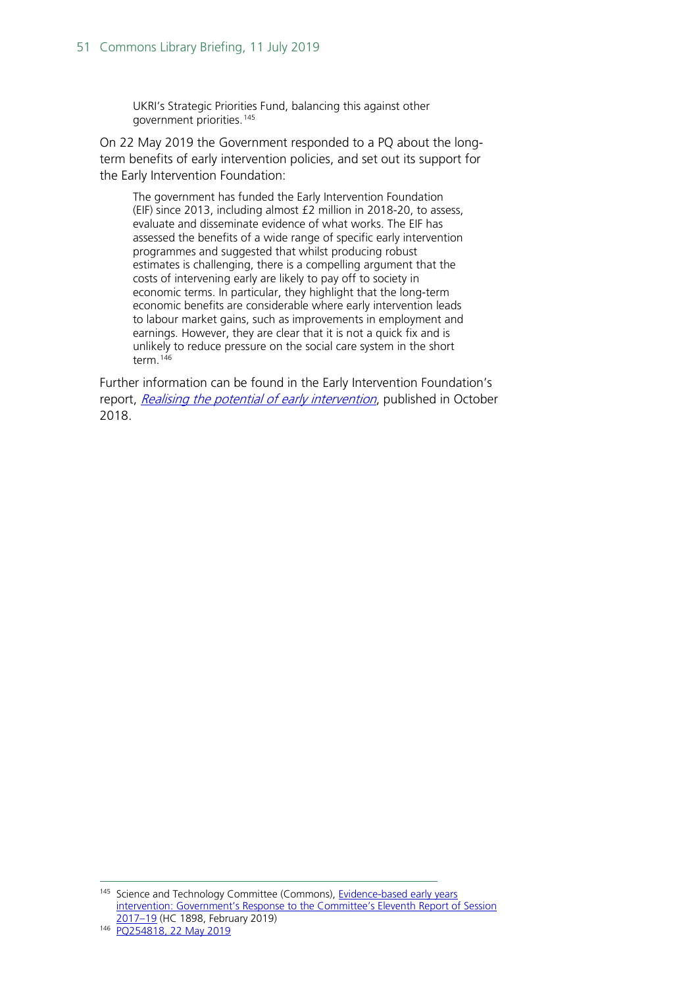UKRI's Strategic Priorities Fund, balancing this against other government priorities.[145](#page-50-0)

On 22 May 2019 the Government responded to a PQ about the longterm benefits of early intervention policies, and set out its support for the Early Intervention Foundation:

The government has funded the Early Intervention Foundation (EIF) since 2013, including almost £2 million in 2018-20, to assess, evaluate and disseminate evidence of what works. The EIF has assessed the benefits of a wide range of specific early intervention programmes and suggested that whilst producing robust estimates is challenging, there is a compelling argument that the costs of intervening early are likely to pay off to society in economic terms. In particular, they highlight that the long-term economic benefits are considerable where early intervention leads to labour market gains, such as improvements in employment and earnings. However, they are clear that it is not a quick fix and is unlikely to reduce pressure on the social care system in the short term.<sup>[146](#page-50-1)</sup>

Further information can be found in the Early Intervention Foundation's report, [Realising the potential of early intervention](https://www.eif.org.uk/report/realising-the-potential-of-early-intervention), published in October 2018.

<span id="page-50-0"></span><sup>&</sup>lt;sup>145</sup> Science and Technology Committee (Commons), Evidence-based early years [intervention: Government's Response to the Committee's Eleventh Report of Session](https://publications.parliament.uk/pa/cm201719/cmselect/cmsctech/1898/1898.pdf)  [2017–19](https://publications.parliament.uk/pa/cm201719/cmselect/cmsctech/1898/1898.pdf) (HC 1898, February 2019)

<span id="page-50-1"></span><sup>146</sup> [PQ254818, 22 May 2019](https://www.parliament.uk/written-questions-answers-statements/written-question/commons/2019-05-15/254818)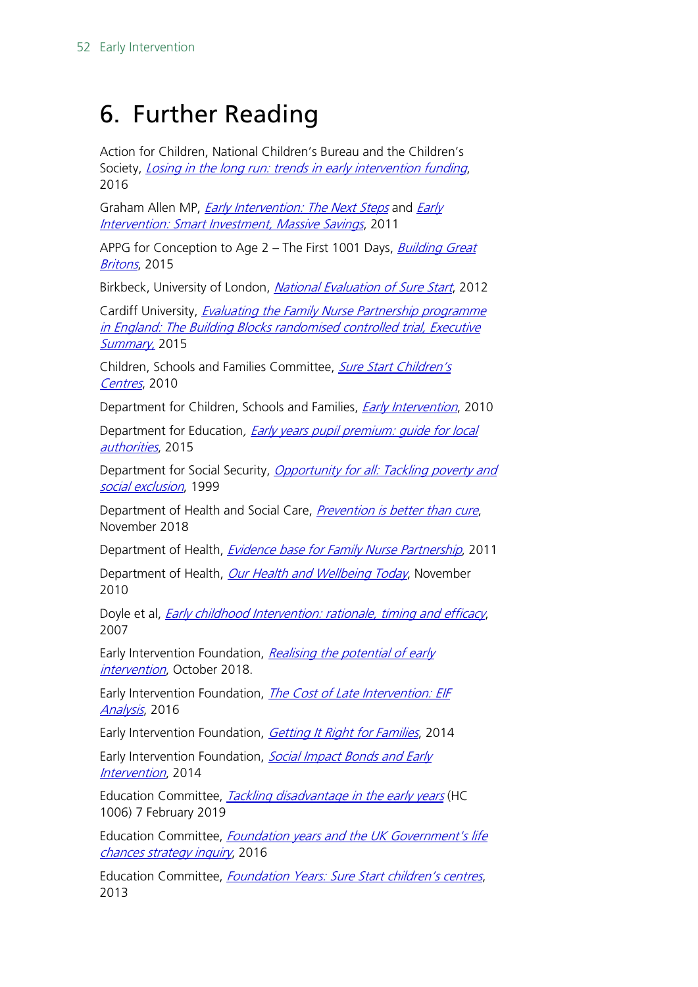## <span id="page-51-0"></span>6. Further Reading

Action for Children, National Children's Bureau and the Children's Society, *[Losing in the long run: trends in early](http://www.childrenssociety.org.uk/sites/default/files/Losing_in_the_long_run_%5BFINAL%5D_print.pdf) intervention funding*, 2016

Graham Allen MP, *[Early Intervention: The Next Steps](https://www.gov.uk/government/uploads/system/uploads/attachment_data/file/284086/early-intervention-next-steps2.pdf)* and *Early* [Intervention: Smart Investment, Massive Savings](https://www.gov.uk/government/uploads/system/uploads/attachment_data/file/61012/earlyintervention-smartinvestment.pdf), 2011

APPG for Conception to Age 2 – The First 1001 Days, *Building Great* [Britons](https://plct.files.wordpress.com/2012/11/building-great-britons-report-conception-to-age-2-feb-2015.pdf), 2015

Birkbeck, University of London, [National Evaluation of Sure Start](http://www.ness.bbk.ac.uk/), 2012

Cardiff University, *Evaluating the Family Nurse Partnership programme* [in England: The Building Blocks randomised controlled trial, Executive](https://www.cardiff.ac.uk/__data/assets/pdf_file/0009/504729/Building-Blocks-Full-Study-Report.pdf)  [Summary](https://www.cardiff.ac.uk/__data/assets/pdf_file/0009/504729/Building-Blocks-Full-Study-Report.pdf), 2015

Children, Schools and Families Committee, [Sure Start Children's](http://www.publications.parliament.uk/pa/cm200910/cmselect/cmchilsch/130/130i.pdf)  [Centres](http://www.publications.parliament.uk/pa/cm200910/cmselect/cmchilsch/130/130i.pdf), 2010

Department for Children, Schools and Families, *[Early Intervention](http://webarchive.nationalarchives.gov.uk/20130401151715/http:/www.education.gov.uk/publications/eOrderingDownload/DCSF-00349-2010.pdf)*, 2010

Department for Education, Early years pupil premium: quide for local [authorities](https://www.gov.uk/guidance/early-years-pupil-premium-guide-for-local-authorities), 2015

Department for Social Security, Opportunity for all: Tackling poverty and [social exclusion](http://dera.ioe.ac.uk/15121/1/Opportunity%20for%20all%20-%20tackling%20poverty%20and%20social%20exclusion.pdf), 1999

Department of Health and Social Care, [Prevention is better than cure](https://www.gov.uk/government/news/health-secretary-launches-prevention-is-better-than-cure-vision?mc_cid=6a59ee2f98&mc_eid=de12964af8), November 2018

Department of Health, *[Evidence base for Family Nurse Partnership](https://www.gov.uk/government/publications/evidence-base-for-family-nurse-partnership-fnp)*, 2011

Department of Health, [Our Health and Wellbeing Today](https://www.gov.uk/government/uploads/system/uploads/attachment_data/file/215911/dh_122238.pdf), November 2010

Doyle et al, *[Early childhood Intervention: rationale, timing and efficacy](http://www.ucd.ie/geary/static/publications/workingpapers/GearyWp200705.pdf)*, 2007

Early Intervention Foundation, Realising the potential of early [intervention](https://www.eif.org.uk/report/realising-the-potential-of-early-intervention), October 2018.

Early Intervention Foundation, *The Cost of Late Intervention: EIF* [Analysis](http://www.eif.org.uk/publication/the-cost-of-late-intervention-eif-analysis-2016/), 2016

Early Intervention Foundation, *[Getting It Right for Families](https://www.eif.org.uk/report/getting-it-right-for-families-a-review-of-integrated-systems-and-promising-practice-in-the-early-years/)*, 2014

Early Intervention Foundation, Social Impact Bonds and Early [Intervention](http://www.eif.org.uk/publication/social-impact-bonds-and-early-intervention/), 2014

Education Committee, *[Tackling disadvantage in the early years](https://publications.parliament.uk/pa/cm201719/cmselect/cmeduc/1006/1006.pdf)* (HC 1006) 7 February 2019

Education Committee, Foundation years and the UK Government's life [chances strategy inquiry](http://www.parliament.uk/business/committees/committees-a-z/commons-select/education-committee/inquiries/parliament-2015/foundation-years-and-the-uk-governments-life-chances-strategy-15-16/), 2016

Education Committee, *[Foundation Years: Sure Start children's centres](http://www.publications.parliament.uk/pa/cm201314/cmselect/cmeduc/364/364.pdf)*, 2013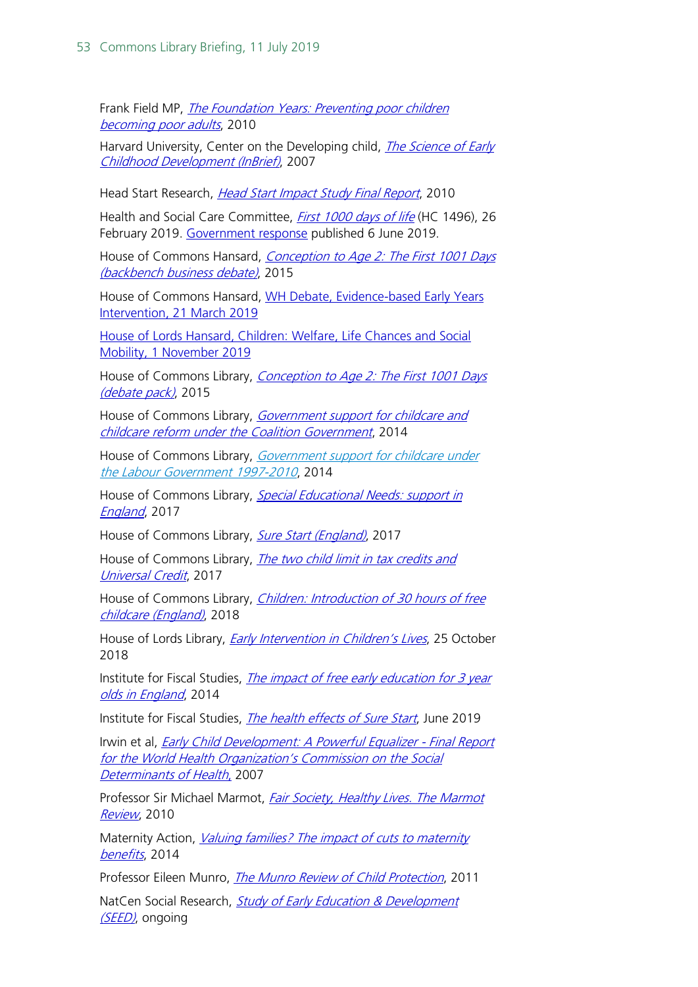Frank Field MP, [The Foundation Years: Preventing poor children](http://webarchive.nationalarchives.gov.uk/20110120090128/http:/povertyreview.independent.gov.uk/media/20254/poverty-report.pdf)  [becoming poor adults](http://webarchive.nationalarchives.gov.uk/20110120090128/http:/povertyreview.independent.gov.uk/media/20254/poverty-report.pdf), 2010

Harvard University, Center on the Developing child, *The Science of Early* [Childhood Development \(InBrief\)](http://developingchild.harvard.edu/resources/inbrief-science-of-ecd/), 2007

Head Start Research, [Head Start Impact Study Final Report](https://www.acf.hhs.gov/sites/default/files/opre/hs_impact_study_final.pdf), 2010

Health and Social Care Committee, *[First 1000 days of life](https://publications.parliament.uk/pa/cm201719/cmselect/cmhealth/1496/1496.pdf)* (HC 1496), 26 February 2019. [Government response](https://www.gov.uk/government/publications/government-response-to-the-first-1000-days-of-life-report) published 6 June 2019.

House of Commons Hansard, Conception to Age 2: The First 1001 Days [\(backbench business debate\)](http://www.publications.parliament.uk/pa/cm201516/cmhansrd/cm151217/debtext/151217-0003.htm), 2015

House of Commons Hansard, [WH Debate, Evidence-based Early Years](https://hansard.parliament.uk/Commons/2019-03-21/debates/10B3F8E0-174D-49E5-A711-FAADD7D1106A/Evidence-BasedEarlyYearsIntervention#contribution-8EC54C9A-8CB6-4B53-BB01-16E4CD3F600B)  [Intervention, 21 March 2019](https://hansard.parliament.uk/Commons/2019-03-21/debates/10B3F8E0-174D-49E5-A711-FAADD7D1106A/Evidence-BasedEarlyYearsIntervention#contribution-8EC54C9A-8CB6-4B53-BB01-16E4CD3F600B)

[House of Lords Hansard, Children: Welfare, Life Chances and Social](https://hansard.parliament.uk/Lords/2018-11-01/debates/667B8910-CAB6-4358-8DB5-A52838DB0FBF/ChildrenWelfareLifeChancesAndSocialMobility)  [Mobility, 1 November 2019](https://hansard.parliament.uk/Lords/2018-11-01/debates/667B8910-CAB6-4358-8DB5-A52838DB0FBF/ChildrenWelfareLifeChancesAndSocialMobility)

House of Commons Library, Conception to Age 2: The First 1001 Days [\(debate pack\)](http://researchbriefings.intranet.parliament.uk/ResearchBriefing/Summary/CDP-2015-0133), 2015

House of Commons Library, Government support for childcare and [childcare reform under the Coalition Government](http://researchbriefings.parliament.uk/ResearchBriefing/Summary/SN06807), 2014

House of Commons Library, Government support for childcare under [the Labour Government 1997-2010](http://researchbriefings.parliament.uk/ResearchBriefing/Summary/SN06382), 2014

House of Commons Library, [Special Educational Needs: support in](http://researchbriefings.parliament.uk/ResearchBriefing/Summary/SN07020) [England](http://researchbriefings.parliament.uk/ResearchBriefing/Summary/SN07020), 2017

House of Commons Library, [Sure Start \(England\)](http://researchbriefings.parliament.uk/ResearchBriefing/Summary/CBP-7257), 2017

House of Commons Library, The two child limit in tax credits and [Universal Credit](http://researchbriefings.parliament.uk/ResearchBriefing/Summary/CBP-7935), 2017

House of Commons Library, *Children: Introduction of 30 hours of free* [childcare \(England\)](http://researchbriefings.parliament.uk/ResearchBriefing/Summary/CBP-7581), 2018

House of Lords Library, *[Early Intervention in Children's Lives](http://researchbriefings.intranet.parliament.uk/ResearchBriefing/Summary/LLN-2018-0110)*, 25 October 2018

Institute for Fiscal Studies, The impact of free early education for 3 year [olds in England](http://www.ifs.org.uk/uploads/publications/docs/MISOC%20Childcare%20briefing%20paper.pdf), 2014

Institute for Fiscal Studies, [The health effects of Sure Start](https://www.ifs.org.uk/publications/14139), June 2019

Irwin et al, [Early Child Development: A Powerful Equalizer -](http://www.who.int/social_determinants/resources/ecd_kn_report_07_2007.pdf) Final Report for the World Health Organization's Commission on the Social [Determinants of Health](http://www.who.int/social_determinants/resources/ecd_kn_report_07_2007.pdf), 2007

Professor Sir Michael Marmot, *Fair Society, Healthy Lives. The Marmot* [Review](http://www.instituteofhealthequity.org/resources-reports/fair-society-healthy-lives-the-marmot-review), 2010

Maternity Action, *Valuing families? The impact of cuts to maternity* [benefits](http://www.maternityaction.org.uk/wp-content/uploads/2014/11/Valuing-Families-report-for-website.pdf), 2014

Professor Eileen Munro, *[The Munro Review of Child Protection](https://www.gov.uk/government/uploads/system/uploads/attachment_data/file/175391/Munro-Review.pdf)*, 2011

NatCen Social Research, Study of Early Education & Development [\(SEED\)](http://www.seed.natcen.ac.uk/), ongoing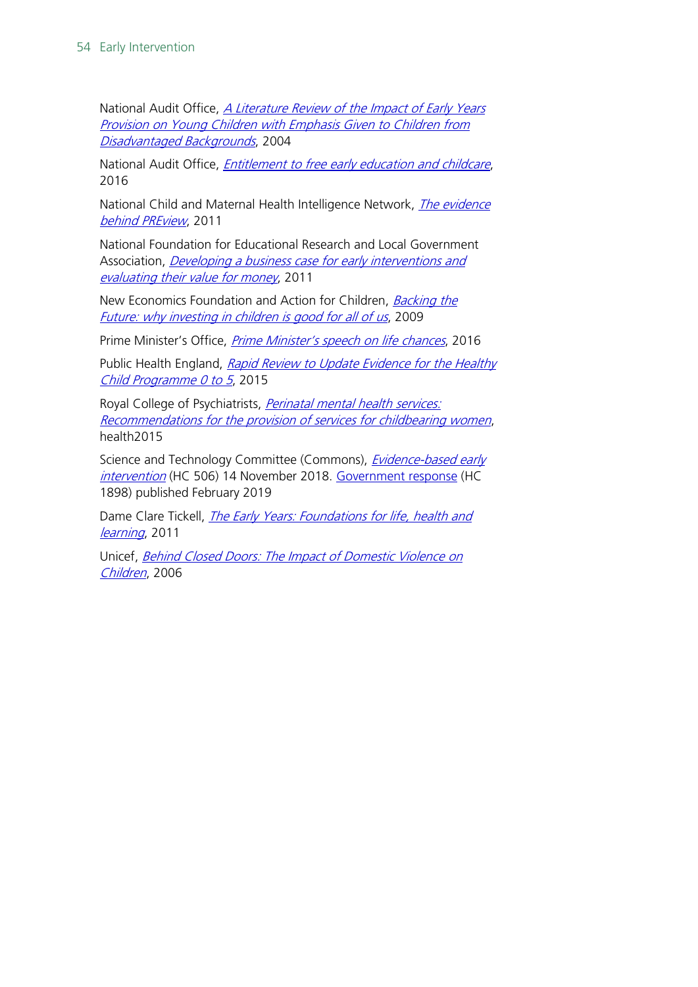National Audit Office, *A Literature Review of the Impact of Early Years* [Provision on Young Children with Emphasis Given to Children from](https://www.nao.org.uk/wp-content/uploads/2004/02/268_literaturereview.pdf)  [Disadvantaged Backgrounds](https://www.nao.org.uk/wp-content/uploads/2004/02/268_literaturereview.pdf), 2004

National Audit Office, *[Entitlement to free early education and childcare](https://www.nao.org.uk/wp-content/uploads/2016/03/Entitlement-to-free-early-education-and-childcare.pdf)*, 2016

National Child and Maternal Health Intelligence Network, *The evidence* [behind PREview](http://webarchive.nationalarchives.gov.uk/20170302101115/http:/www.chimat.org.uk/preview/evidence), 2011

National Foundation for Educational Research and Local Government Association, *Developing a business case for early interventions and* [evaluating their value for money](https://www.nfer.ac.uk/publications/EITS01/EITS01.pdf), 2011

New Economics Foundation and Action for Children, **Backing the** [Future: why investing in children is good for all of us](http://b.3cdn.net/nefoundation/e15acdab95a4f18989_j8m6vrt0j.pdf), 2009

Prime Minister's Office, *[Prime Minister's speech on life chances](https://www.gov.uk/government/speeches/prime-ministers-speech-on-life-chances)*, 2016

Public Health England, Rapid Review to Update Evidence for the Healthy [Child Programme 0 to 5](https://www.gov.uk/government/publications/healthy-child-programme-rapid-review-to-update-evidence), 2015

Royal College of Psychiatrists, *Perinatal mental health services:* [Recommendations for the provision of services for childbearing women](http://www.rcpsych.ac.uk/files/pdfversion/CR197.pdf), health2015

Science and Technology Committee (Commons), *Evidence-based early* [intervention](https://publications.parliament.uk/pa/cm201719/cmselect/cmsctech/506/506.pdf) (HC 506) 14 November 2018. [Government response](https://publications.parliament.uk/pa/cm201719/cmselect/cmsctech/1898/1898.pdf) (HC 1898) published February 2019

Dame Clare Tickell, *The Early Years: Foundations for life, health and* [learning](https://www.gov.uk/government/uploads/system/uploads/attachment_data/file/180919/DFE-00177-2011.pdf), 2011

Unicef, Behind Closed Doors: The Impact of Domestic Violence on [Children](http://www.unicef.org/media/files/BehindClosedDoors.pdf), 2006